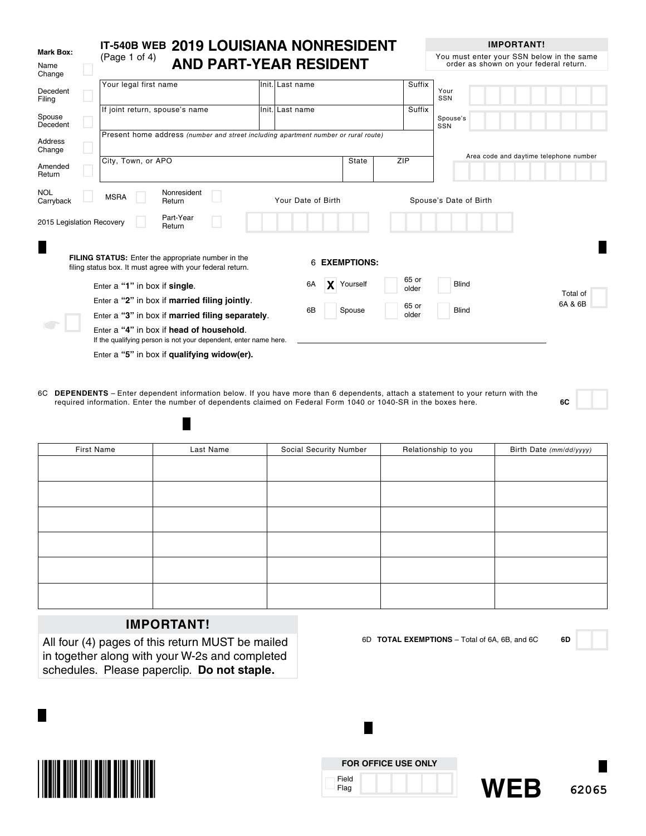|                             | IT-540B WEB 2019 LOUISIANA NONRESIDENT                                                                                  |                                                  |                               |                | <b>IMPORTANT!</b>                                                                   |
|-----------------------------|-------------------------------------------------------------------------------------------------------------------------|--------------------------------------------------|-------------------------------|----------------|-------------------------------------------------------------------------------------|
| Mark Box:<br>Name<br>Change | (Page 1 of 4)                                                                                                           |                                                  | <b>AND PART-YEAR RESIDENT</b> |                | You must enter your SSN below in the same<br>order as shown on your federal return. |
| Decedent<br>Filing          | Your legal first name                                                                                                   | Init. Last name                                  |                               | Suffix         | Your<br>SSN                                                                         |
| Spouse<br>Decedent          | If joint return, spouse's name                                                                                          | Init. Last name                                  |                               | Suffix         | Spouse's<br>SSN                                                                     |
| <b>Address</b><br>Change    | Present home address (number and street including apartment number or rural route)                                      |                                                  |                               |                |                                                                                     |
| Amended<br>Return           | City, Town, or APO                                                                                                      |                                                  | <b>State</b>                  | ZIP            | Area code and daytime telephone number                                              |
| <b>NOL</b><br>Carryback     | Nonresident<br><b>MSRA</b><br>Return                                                                                    |                                                  | Your Date of Birth            |                | Spouse's Date of Birth                                                              |
| 2015 Legislation Recovery   | Part-Year<br>Return                                                                                                     |                                                  |                               |                |                                                                                     |
| Π                           | <b>FILING STATUS:</b> Enter the appropriate number in the<br>filing status box. It must agree with your federal return. |                                                  | <b>EXEMPTIONS:</b><br>6       |                |                                                                                     |
|                             | Enter a "1" in box if single.                                                                                           |                                                  | 6A<br>X<br>Yourself           | 65 or<br>older | <b>Blind</b><br>Total of                                                            |
|                             | Enter a "2" in box if married filing jointly.                                                                           |                                                  | 6B<br>Spouse                  | 65 or          | 6A & 6B<br><b>Blind</b>                                                             |
|                             |                                                                                                                         | Enter a "3" in box if married filing separately. |                               |                |                                                                                     |
|                             | Enter a "4" in box if head of household.<br>If the qualifying person is not your dependent, enter name here.            |                                                  |                               |                |                                                                                     |
|                             | Enter a "5" in box if qualifying widow(er).                                                                             |                                                  |                               |                |                                                                                     |

6C **DEPENDENTS** – Enter dependent information below. If you have more than 6 dependents, attach a statement to your return with the required information. Enter the number of dependents claimed on Federal Form 1040 or 1040-SR in the boxes here. **6C**

| First Name | Last Name | Social Security Number | Relationship to you | Birth Date (mm/dd/yyyy) |
|------------|-----------|------------------------|---------------------|-------------------------|
|            |           |                        |                     |                         |
|            |           |                        |                     |                         |
|            |           |                        |                     |                         |
|            |           |                        |                     |                         |
|            |           |                        |                     |                         |
|            |           |                        |                     |                         |
|            |           |                        |                     |                         |
|            |           |                        |                     |                         |
|            |           |                        |                     |                         |
|            |           |                        |                     |                         |
|            |           |                        |                     |                         |
|            |           |                        |                     |                         |

## **IMPORTANT!**

П

All four (4) pages of this return MUST be mailed in together along with your W-2s and completed schedules. Please paperclip. **Do not staple.**



|               | <b>FOR OFFICE USE ONLY</b> |
|---------------|----------------------------|
| Field<br>Flag |                            |

н

6D **TOTAL EXEMPTIONS** – Total of 6A, 6B, and 6C **6D**

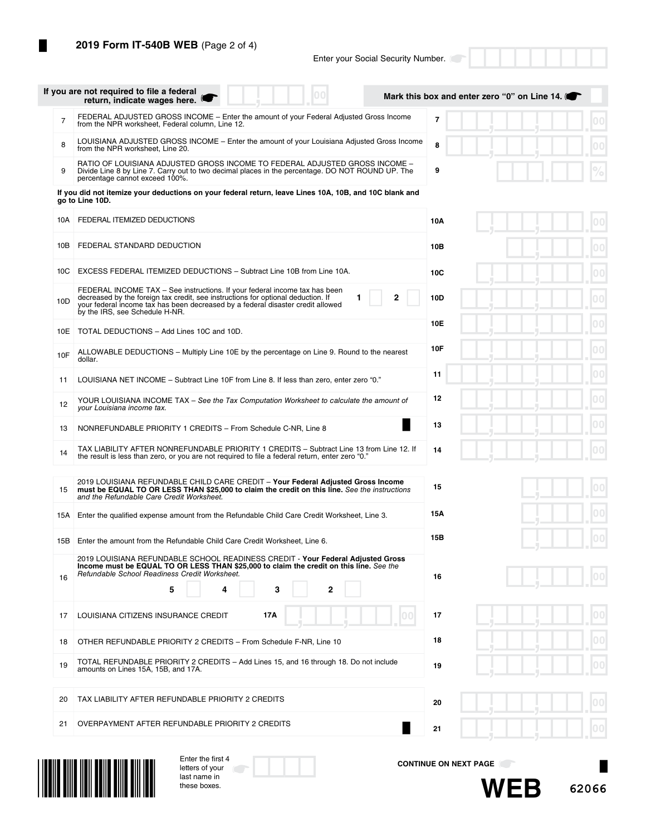П

|                | If you are not required to file a federal<br>00<br>return, indicate wages here.                                                                                                                                                                                                          | Mark this box and enter zero "0" on Line 14. |
|----------------|------------------------------------------------------------------------------------------------------------------------------------------------------------------------------------------------------------------------------------------------------------------------------------------|----------------------------------------------|
| $\overline{7}$ | FEDERAL ADJUSTED GROSS INCOME – Enter the amount of your Federal Adjusted Gross Income<br>from the NPR worksheet, Federal column, Line 12.                                                                                                                                               | $\overline{7}$<br>00                         |
| 8              | LOUISIANA ADJUSTED GROSS INCOME - Enter the amount of your Louisiana Adjusted Gross Income<br>from the NPR worksheet, Line 20.                                                                                                                                                           | 8                                            |
| 9              | RATIO OF LOUISIANA ADJUSTED GROSS INCOME TO FEDERAL ADJUSTED GROSS INCOME -<br>Divide Line 8 by Line 7. Carry out to two decimal places in the percentage. DO NOT ROUND UP. The<br>percentage cannot exceed 100%.                                                                        | 9                                            |
|                | If you did not itemize your deductions on your federal return, leave Lines 10A, 10B, and 10C blank and<br>go to Line 10D.                                                                                                                                                                |                                              |
| 10A            | FEDERAL ITEMIZED DEDUCTIONS                                                                                                                                                                                                                                                              | $ 00\rangle$<br>10A                          |
| 10B            | FEDERAL STANDARD DEDUCTION                                                                                                                                                                                                                                                               | 10B<br>$ 00\rangle$                          |
| 10C            | EXCESS FEDERAL ITEMIZED DEDUCTIONS - Subtract Line 10B from Line 10A.                                                                                                                                                                                                                    | 00<br>10C                                    |
| 10D            | FEDERAL INCOME TAX - See instructions. If your federal income tax has been<br>2<br>decreased by the foreign tax credit, see instructions for optional deduction. If<br>your federal income tax has been decreased by a federal disaster credit allowed<br>by the IRS, see Schedule H-NR. | 10D<br>00                                    |
| 10E            | TOTAL DEDUCTIONS - Add Lines 10C and 10D.                                                                                                                                                                                                                                                | 00<br>10E                                    |
| 10F            | ALLOWABLE DEDUCTIONS – Multiply Line 10E by the percentage on Line 9. Round to the nearest<br>dollar.                                                                                                                                                                                    | 10F<br>00                                    |
| 11             | LOUISIANA NET INCOME - Subtract Line 10F from Line 8. If less than zero, enter zero "0."                                                                                                                                                                                                 | 11                                           |
| 12             | YOUR LOUISIANA INCOME TAX - See the Tax Computation Worksheet to calculate the amount of<br>your Louisiana income tax.                                                                                                                                                                   | 12                                           |
| 13             | ×<br>NONREFUNDABLE PRIORITY 1 CREDITS - From Schedule C-NR, Line 8                                                                                                                                                                                                                       | 13                                           |
| 14             | TAX LIABILITY AFTER NONREFUNDABLE PRIORITY 1 CREDITS - Subtract Line 13 from Line 12. If<br>the result is less than zero, or you are not required to file a federal return, enter zero "0."                                                                                              | 14                                           |
| 15             | 2019 LOUISIANA REFUNDABLE CHILD CARE CREDIT - Your Federal Adjusted Gross Income<br>must be EQUAL TO OR LESS THAN \$25,000 to claim the credit on this line. See the instructions<br>and the Refundable Care Credit Worksheet.                                                           | $ 00\rangle$<br>15                           |
| 15A            | Enter the qualified expense amount from the Refundable Child Care Credit Worksheet, Line 3.                                                                                                                                                                                              | 15Α                                          |
| 15B            | Enter the amount from the Refundable Child Care Credit Worksheet, Line 6.                                                                                                                                                                                                                | 15B                                          |
| 16             | 2019 LOUISIANA REFUNDABLE SCHOOL READINESS CREDIT - Your Federal Adjusted Gross<br>Income must be EQUAL TO OR LESS THAN \$25,000 to claim the credit on this line. See the<br>Refundable School Readiness Credit Worksheet.<br>5<br>3<br>2<br>4                                          | 16                                           |
| 17             | LOUISIANA CITIZENS INSURANCE CREDIT<br>17A<br>0101                                                                                                                                                                                                                                       | 00<br>17                                     |
| 18             | OTHER REFUNDABLE PRIORITY 2 CREDITS - From Schedule F-NR, Line 10                                                                                                                                                                                                                        | $ 00\rangle$<br>18                           |
| 19             | TOTAL REFUNDABLE PRIORITY 2 CREDITS - Add Lines 15, and 16 through 18. Do not include<br>amounts on Lines 15A, 15B, and 17A.                                                                                                                                                             | $ 00\rangle$<br>19                           |
| 20             | TAX LIABILITY AFTER REFUNDABLE PRIORITY 2 CREDITS                                                                                                                                                                                                                                        | 20                                           |
| 21             | OVERPAYMENT AFTER REFUNDABLE PRIORITY 2 CREDITS                                                                                                                                                                                                                                          | 21                                           |



| Enter the first 4 |  |
|-------------------|--|
| letters of vour   |  |
| last name in      |  |
| these boxes.      |  |

**CONTINUE ON NEXT PAGE**



×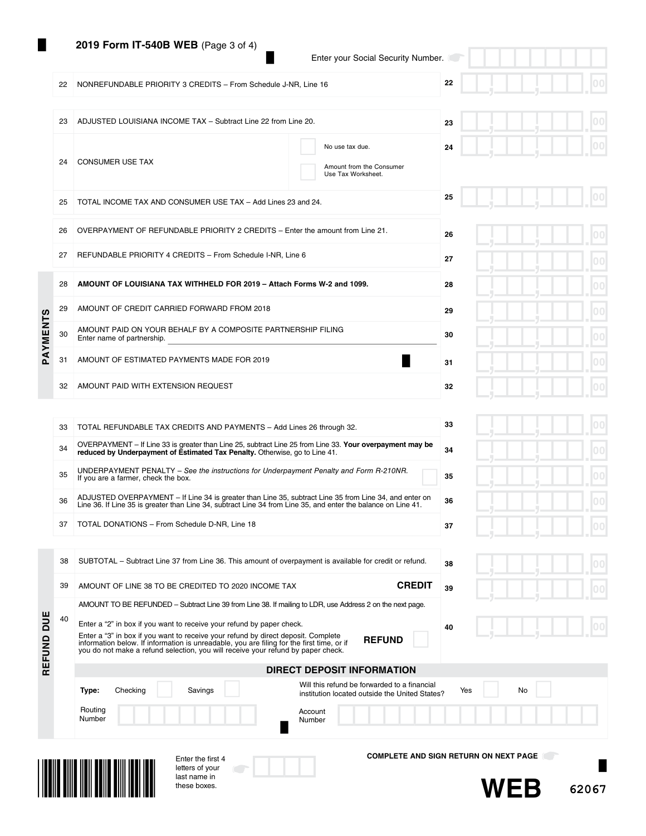## **2019 Form IT-540B WEB** (Page 3 of 4)

24 CONSUMER USE TAX

22 NONREFUNDABLE PRIORITY 3 CREDITS - From Schedule J-NR, Line 16

23 ADJUSTED LOUISIANA INCOME TAX – Subtract Line 22 from Line 20.

25 TOTAL INCOME TAX AND CONSUMER USE TAX – Add Lines 23 and 24.

|  |  | Enter your Social Security Number. |
|--|--|------------------------------------|
|  |  |                                    |

No use tax due.

Amount from the Consumer Use Tax Worksheet.

**22**

**23**

**24**

**25**

|  |  |  | 00<br>п |
|--|--|--|---------|
|  |  |  | 00<br>п |
|  |  |  | 00<br>г |
|  |  |  | 00      |

|                 | 26 | OVERPAYMENT OF REFUNDABLE PRIORITY 2 CREDITS - Enter the amount from Line 21.              | 26 |  |
|-----------------|----|--------------------------------------------------------------------------------------------|----|--|
|                 | 27 | REFUNDABLE PRIORITY 4 CREDITS - From Schedule I-NR, Line 6                                 | 27 |  |
|                 | 28 | AMOUNT OF LOUISIANA TAX WITHHELD FOR 2019 - Attach Forms W-2 and 1099.                     | 28 |  |
|                 | 29 | AMOUNT OF CREDIT CARRIED FORWARD FROM 2018                                                 | 29 |  |
| <b>SLNEMAVC</b> | 30 | AMOUNT PAID ON YOUR BEHALF BY A COMPOSITE PARTNERSHIP FILING<br>Enter name of partnership. | 30 |  |
|                 | 31 | AMOUNT OF ESTIMATED PAYMENTS MADE FOR 2019                                                 | 31 |  |
|                 | 32 | AMOUNT PAID WITH EXTENSION REQUEST                                                         | 32 |  |

| 33 | TOTAL REFUNDABLE TAX CREDITS AND PAYMENTS - Add Lines 26 through 32.                                                                                                                                                    | 33 |
|----|-------------------------------------------------------------------------------------------------------------------------------------------------------------------------------------------------------------------------|----|
| 34 | OVERPAYMENT – If Line 33 is greater than Line 25, subtract Line 25 from Line 33. Your overpayment may be<br>reduced by Underpayment of Estimated Tax Penalty. Otherwise, go to Line 41.                                 | 34 |
| 35 | UNDERPAYMENT PENALTY – See the instructions for Underpayment Penalty and Form R-210NR.<br>If you are a farmer, check the box.                                                                                           | 35 |
| 36 | ADJUSTED OVERPAYMENT – If Line 34 is greater than Line 35, subtract Line 35 from Line 34, and enter on<br>Line 36. If Line 35 is greater than Line 34, subtract Line 34 from Line 35, and enter the balance on Line 41. | 36 |
| 37 | TOTAL DONATIONS - From Schedule D-NR, Line 18                                                                                                                                                                           | 37 |

38 SUBTOTAL – Subtract Line 37 from Line 36. This amount of overpayment is available for credit or refund.

39 AMOUNT OF LINE 38 TO BE CREDITED TO 2020 INCOME TAX **CREDIT**

AMOUNT TO BE REFUNDED – Subtract Line 39 from Line 38. If mailing to LDR, use Address 2 on the next page.

| ٠<br>ч |  | ٠ |  | .<br>п              |
|--------|--|---|--|---------------------|
|        |  |   |  | 00                  |
|        |  |   |  | 0 <sup>0</sup><br>ш |
|        |  |   |  | 0 <sub>0</sub><br>п |
|        |  |   |  | $ 00\rangle$        |
|        |  |   |  |                     |

| <b>SOL</b><br>REFUND | 40 | Enter a "2" in box if you want to receive your refund by paper check.<br>Enter a "3" in box if you want to receive your refund by direct deposit. Complete<br>information below. If information is unreadable, you are filing for the first time, or if<br>you do not make a refund selection, you will receive your refund by paper check. | 40<br><b>REFUND</b>                                                                                         |
|----------------------|----|---------------------------------------------------------------------------------------------------------------------------------------------------------------------------------------------------------------------------------------------------------------------------------------------------------------------------------------------|-------------------------------------------------------------------------------------------------------------|
|                      |    |                                                                                                                                                                                                                                                                                                                                             | DIRECT DEPOSIT INFORMATION                                                                                  |
|                      |    | Savings<br>Checking<br>Type:                                                                                                                                                                                                                                                                                                                | Will this refund be forwarded to a financial<br>No<br>Yes<br>institution located outside the United States? |
|                      |    | Routing<br>Number                                                                                                                                                                                                                                                                                                                           | Account<br>Number                                                                                           |
|                      |    |                                                                                                                                                                                                                                                                                                                                             |                                                                                                             |



DUE  $\overline{\mathbf{Q}}$ 

> Enter the first 4 letters of your last name in these boxes.

**COMPLETE AND SIGN RETURN ON NEXT PAGE**

**38**

**39**



**62067**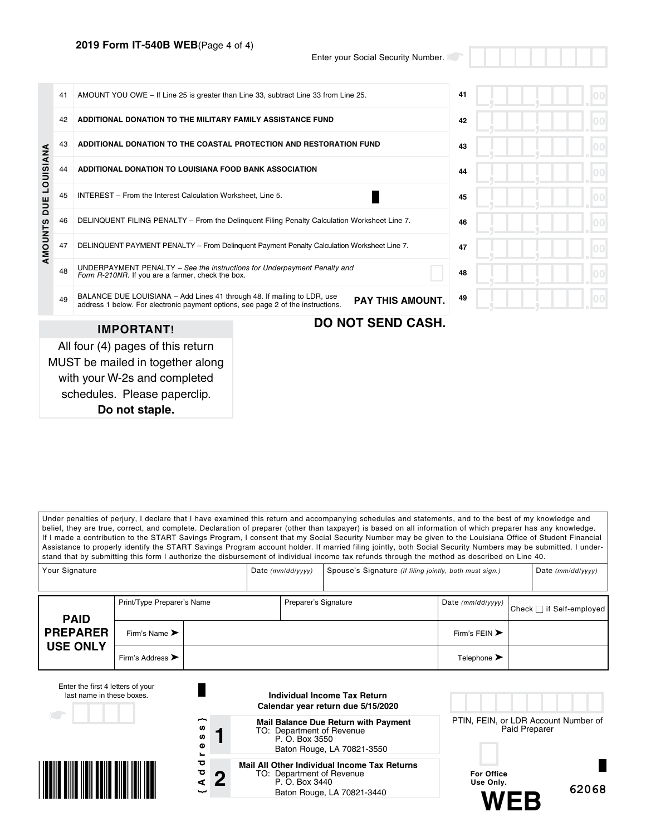## **2019 Form IT-540B WEB**(Page 4 of 4)

Enter your Social Security Number.

|                      | 41                                                                                                                                  | AMOUNT YOU OWE - If Line 25 is greater than Line 33, subtract Line 33 from Line 25.                                                                         |                                                                                            |    |  |
|----------------------|-------------------------------------------------------------------------------------------------------------------------------------|-------------------------------------------------------------------------------------------------------------------------------------------------------------|--------------------------------------------------------------------------------------------|----|--|
|                      | 42                                                                                                                                  | ADDITIONAL DONATION TO THE MILITARY FAMILY ASSISTANCE FUND                                                                                                  |                                                                                            | 42 |  |
|                      | 43                                                                                                                                  | ADDITIONAL DONATION TO THE COASTAL PROTECTION AND RESTORATION FUND                                                                                          |                                                                                            | 43 |  |
| <b>DUE LOUISIANA</b> | 44<br>ADDITIONAL DONATION TO LOUISIANA FOOD BANK ASSOCIATION                                                                        |                                                                                                                                                             |                                                                                            |    |  |
|                      | 45                                                                                                                                  | INTEREST - From the Interest Calculation Worksheet, Line 5.                                                                                                 |                                                                                            | 45 |  |
|                      | 46                                                                                                                                  | DELINQUENT FILING PENALTY - From the Delinguent Filing Penalty Calculation Worksheet Line 7.                                                                |                                                                                            |    |  |
| AMOUNTS              | 47                                                                                                                                  |                                                                                                                                                             | DELINQUENT PAYMENT PENALTY - From Delinguent Payment Penalty Calculation Worksheet Line 7. | 47 |  |
|                      | UNDERPAYMENT PENALTY - See the instructions for Underpayment Penalty and<br>48<br>Form R-210NR. If you are a farmer, check the box. |                                                                                                                                                             |                                                                                            | 48 |  |
|                      | 49                                                                                                                                  | BALANCE DUE LOUISIANA - Add Lines 41 through 48. If mailing to LDR, use<br>address 1 below. For electronic payment options, see page 2 of the instructions. | <b>PAY THIS AMOUNT.</b>                                                                    | 49 |  |
|                      |                                                                                                                                     | <b>IMPORTANT!</b>                                                                                                                                           | <b>DO NOT SEND CASH.</b>                                                                   |    |  |
|                      |                                                                                                                                     | All four (4) pages of this return<br>MUST be mailed in together along<br>with your W-2s and completed                                                       |                                                                                            |    |  |

schedules. Please paperclip.

**Do not staple.**

Under penalties of perjury, I declare that I have examined this return and accompanying schedules and statements, and to the best of my knowledge and belief, they are true, correct, and complete. Declaration of preparer (other than taxpayer) is based on all information of which preparer has any knowledge. If I made a contribution to the START Savings Program, I consent that my Social Security Number may be given to the Louisiana Office of Student Financial Assistance to properly identify the START Savings Program account holder. If married filing jointly, both Social Security Numbers may be submitted. I understand that by submitting this form I authorize the disbursement of individual income tax refunds through the method as described on Line 40.

| Your Signature  |                                      | Date $(mm/dd/yyyy)$ |                      | Spouse's Signature (If filing jointly, both must sign.) |                                   | Date $(mm/dd/yyyy)$      |
|-----------------|--------------------------------------|---------------------|----------------------|---------------------------------------------------------|-----------------------------------|--------------------------|
| <b>PAID</b>     | Print/Type Preparer's Name           |                     | Preparer's Signature |                                                         | Date (mm/dd/yyyy)                 | Check □ if Self-employed |
| <b>PREPARER</b> | Firm's Name $\blacktriangleright$    |                     |                      |                                                         | Firm's FEIN $\blacktriangleright$ |                          |
| <b>USE ONLY</b> | Firm's Address $\blacktriangleright$ |                     |                      |                                                         | Telephone $\blacktriangleright$   |                          |

| Enter the first 4 letters of your<br>last name in these boxes. |                                                              | Individual Income Tax Return<br>Calendar year return due 5/15/2020                                                        |                                                       |
|----------------------------------------------------------------|--------------------------------------------------------------|---------------------------------------------------------------------------------------------------------------------------|-------------------------------------------------------|
| $\begin{array}{c} \begin{array}{c} \end{array} \end{array}$    | ∼<br><b>SD</b><br><b>SD</b><br>Φ<br>$\overline{\phantom{a}}$ | <b>Mail Balance Due Return with Payment</b><br>TO: Department of Revenue<br>P. O. Box 3550<br>Baton Rouge, LA 70821-3550  | PTIN, FEIN, or LDR Account Number of<br>Paid Preparer |
|                                                                | ਠ<br>ъ<br>$\boldsymbol{2}$<br>⋖<br>ىب                        | Mail All Other Individual Income Tax Returns<br>TO: Department of Revenue<br>P. O. Box 3440<br>Baton Rouge, LA 70821-3440 | <b>For Office</b><br>Use Only.<br>62068<br>WFR        |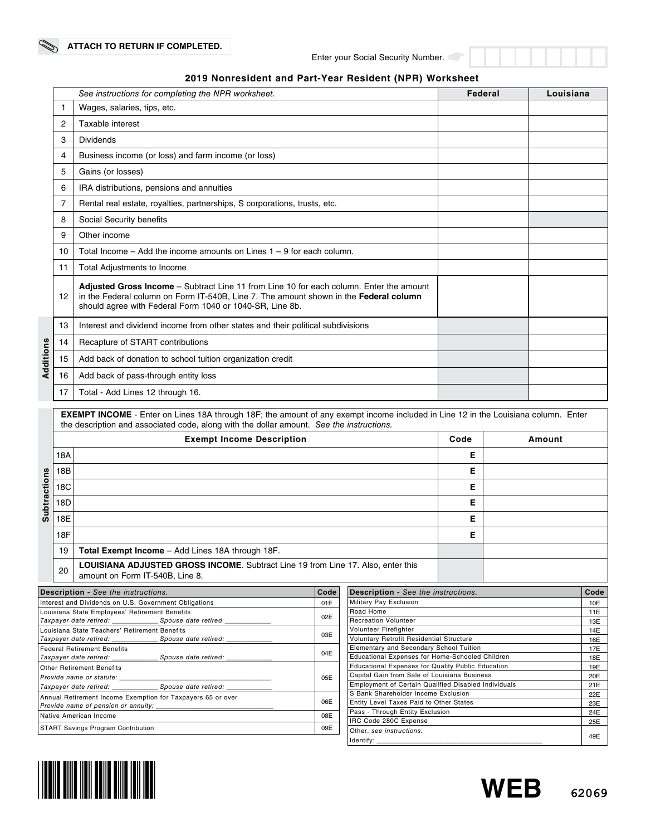|           |    | See instructions for completing the NPR worksheet.                                                                                                                                                                                           | Federal | Louisiana |
|-----------|----|----------------------------------------------------------------------------------------------------------------------------------------------------------------------------------------------------------------------------------------------|---------|-----------|
|           | 1  | Wages, salaries, tips, etc.                                                                                                                                                                                                                  |         |           |
|           | 2  | Taxable interest                                                                                                                                                                                                                             |         |           |
|           | 3  | <b>Dividends</b>                                                                                                                                                                                                                             |         |           |
|           | 4  | Business income (or loss) and farm income (or loss)                                                                                                                                                                                          |         |           |
|           | 5  | Gains (or losses)                                                                                                                                                                                                                            |         |           |
|           | 6  | IRA distributions, pensions and annuities                                                                                                                                                                                                    |         |           |
|           | 7  | Rental real estate, royalties, partnerships, S corporations, trusts, etc.                                                                                                                                                                    |         |           |
|           | 8  | Social Security benefits                                                                                                                                                                                                                     |         |           |
|           | 9  | Other income                                                                                                                                                                                                                                 |         |           |
|           | 10 | Total Income $-$ Add the income amounts on Lines $1 - 9$ for each column.                                                                                                                                                                    |         |           |
|           | 11 | Total Adjustments to Income                                                                                                                                                                                                                  |         |           |
|           | 12 | Adjusted Gross Income - Subtract Line 11 from Line 10 for each column. Enter the amount<br>in the Federal column on Form IT-540B, Line 7. The amount shown in the Federal column<br>should agree with Federal Form 1040 or 1040-SR, Line 8b. |         |           |
|           | 13 | Interest and dividend income from other states and their political subdivisions                                                                                                                                                              |         |           |
|           | 14 | Recapture of START contributions                                                                                                                                                                                                             |         |           |
| Additions | 15 | Add back of donation to school tuition organization credit                                                                                                                                                                                   |         |           |
|           | 16 | Add back of pass-through entity loss                                                                                                                                                                                                         |         |           |
|           | 17 | Total - Add Lines 12 through 16.                                                                                                                                                                                                             |         |           |

## **2019 Nonresident and Part-Year Resident (NPR) Worksheet**

the description and associated code, along with the dollar amount. *See the instructions.* **Exempt Income Description Code Amount** 18A **E Subtractions** 18B **E Subtractions** 18C **E** 18D **E** 18E **E** 18F **E** 19 **Total Exempt Income** – Add Lines 18A through 18F. 20 **LOUISIANA ADJUSTED GROSS INCOME**. Subtract Line 19 from Line 17. Also, enter this amount on Form IT-540B, Line 8.

**EXEMPT INCOME** - Enter on Lines 18A through 18F; the amount of any exempt income included in Line 12 in the Louisiana column. Enter

| <b>Description - See the instructions.</b>                                                                     |  | Code |  |
|----------------------------------------------------------------------------------------------------------------|--|------|--|
| Interest and Dividends on U.S. Government Obligations                                                          |  | 01E  |  |
| Louisiana State Employees' Retirement Benefits                                                                 |  |      |  |
| Taxpayer date retired: _______________________Spouse date retired _______________                              |  | 02E  |  |
| Louisiana State Teachers' Retirement Benefits                                                                  |  | 03E  |  |
| Taxpayer date retired: _________________Spouse date retired: ______________                                    |  |      |  |
| <b>Federal Retirement Benefits</b>                                                                             |  | 04E  |  |
|                                                                                                                |  |      |  |
| <b>Other Retirement Benefits</b>                                                                               |  |      |  |
| Provide name or statute: example and the status of the status of the status of the status of the status of the |  | 05E  |  |
| Taxpayer date retired: _______________________Spouse date retired: ______________                              |  |      |  |
| Annual Retirement Income Exemption for Taxpayers 65 or over                                                    |  | 06E  |  |
|                                                                                                                |  |      |  |
| Native American Income                                                                                         |  | 08E  |  |
| <b>START Savings Program Contribution</b>                                                                      |  | 09E  |  |
|                                                                                                                |  |      |  |

| <b>Description - See the instructions.</b>               | Code |
|----------------------------------------------------------|------|
| Military Pay Exclusion                                   | 10E  |
| Road Home                                                | 11E  |
| <b>Recreation Volunteer</b>                              | 13E  |
| Volunteer Firefighter                                    | 14E  |
| Voluntary Retrofit Residential Structure                 | 16E  |
| Elementary and Secondary School Tuition                  | 17E  |
| Educational Expenses for Home-Schooled Children          | 18E  |
| <b>Educational Expenses for Quality Public Education</b> | 19E  |
| Capital Gain from Sale of Louisiana Business             | 20E  |
| Employment of Certain Qualified Disabled Individuals     | 21E  |
| S Bank Shareholder Income Exclusion                      | 22E  |
| Entity Level Taxes Paid to Other States                  | 23E  |
| Pass - Through Entity Exclusion                          | 24E  |
| IRC Code 280C Expense                                    | 25E  |
| Other, see instructions.<br>Identify:                    | 49E  |



 $\ddot{\phantom{0}}$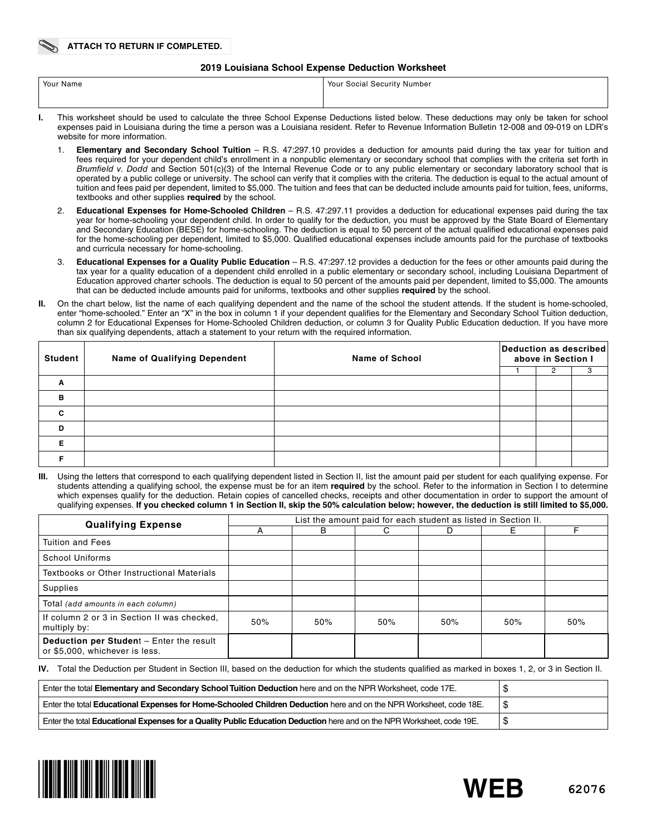#### **2019 Louisiana School Expense Deduction Worksheet**

| Your Name | Your Social Security Number                                                                                                                |
|-----------|--------------------------------------------------------------------------------------------------------------------------------------------|
|           |                                                                                                                                            |
|           | This werkebast should be used to seleulate the three Cabool Expense Deductions listed below. These deductions may enly be taken for sebect |

- **I.** This worksheet should be used to calculate the three School Expense Deductions listed below. These deductions may only be taken for school expenses paid in Louisiana during the time a person was a Louisiana resident. Refer to Revenue Information Bulletin 12-008 and 09-019 on LDR's website for more information.
	- 1. **Elementary and Secondary School Tuition** R.S. 47:297.10 provides a deduction for amounts paid during the tax year for tuition and fees required for your dependent child's enrollment in a nonpublic elementary or secondary school that complies with the criteria set forth in *Brumfield v. Dodd* and Section 501(c)(3) of the Internal Revenue Code or to any public elementary or secondary laboratory school that is operated by a public college or university. The school can verify that it complies with the criteria. The deduction is equal to the actual amount of tuition and fees paid per dependent, limited to \$5,000. The tuition and fees that can be deducted include amounts paid for tuition, fees, uniforms, textbooks and other supplies **required** by the school.
	- 2. **Educational Expenses for Home-Schooled Children** R.S. 47:297.11 provides a deduction for educational expenses paid during the tax year for home-schooling your dependent child. In order to qualify for the deduction, you must be approved by the State Board of Elementary and Secondary Education (BESE) for home-schooling. The deduction is equal to 50 percent of the actual qualifed educational expenses paid for the home-schooling per dependent, limited to \$5,000. Qualifed educational expenses include amounts paid for the purchase of textbooks and curricula necessary for home-schooling.
	- 3. **Educational Expenses for a Quality Public Education** R.S. 47:297.12 provides a deduction for the fees or other amounts paid during the tax year for a quality education of a dependent child enrolled in a public elementary or secondary school, including Louisiana Department of Education approved charter schools. The deduction is equal to 50 percent of the amounts paid per dependent, limited to \$5,000. The amounts that can be deducted include amounts paid for uniforms, textbooks and other supplies **required** by the school.
- **II.** On the chart below, list the name of each qualifying dependent and the name of the school the student attends. If the student is home-schooled, enter "home-schooled." Enter an "X" in the box in column 1 if your dependent qualifes for the Elementary and Secondary School Tuition deduction, column 2 for Educational Expenses for Home-Schooled Children deduction, or column 3 for Quality Public Education deduction. If you have more than six qualifying dependents, attach a statement to your return with the required information.

| <b>Student</b> | <b>Name of Qualifying Dependent</b> | <b>Name of School</b> |  | Deduction as described<br>above in Section I |  |  |
|----------------|-------------------------------------|-----------------------|--|----------------------------------------------|--|--|
|                |                                     |                       |  |                                              |  |  |
| A              |                                     |                       |  |                                              |  |  |
| B              |                                     |                       |  |                                              |  |  |
| $\mathbf{c}$   |                                     |                       |  |                                              |  |  |
| D              |                                     |                       |  |                                              |  |  |
| Е              |                                     |                       |  |                                              |  |  |
|                |                                     |                       |  |                                              |  |  |

Using the letters that correspond to each qualifying dependent listed in Section II, list the amount paid per student for each qualifying expense. For students attending a qualifying school, the expense must be for an item **required** by the school. Refer to the information in Section I to determine which expenses qualify for the deduction. Retain copies of cancelled checks, receipts and other documentation in order to support the amount of qualifying expenses. **If you checked column 1 in Section II, skip the 50% calculation below; however, the deduction is still limited to \$5,000.**

| <b>Qualifying Expense</b>                                                  | List the amount paid for each student as listed in Section II. |     |     |     |     |     |
|----------------------------------------------------------------------------|----------------------------------------------------------------|-----|-----|-----|-----|-----|
|                                                                            |                                                                | B   | C.  | D   | Е   |     |
| <b>Tuition and Fees</b>                                                    |                                                                |     |     |     |     |     |
| School Uniforms                                                            |                                                                |     |     |     |     |     |
| Textbooks or Other Instructional Materials                                 |                                                                |     |     |     |     |     |
| Supplies                                                                   |                                                                |     |     |     |     |     |
| Total (add amounts in each column)                                         |                                                                |     |     |     |     |     |
| If column 2 or 3 in Section II was checked.<br>multiply by:                | 50%                                                            | 50% | 50% | 50% | 50% | 50% |
| Deduction per Student - Enter the result<br>or \$5,000, whichever is less. |                                                                |     |     |     |     |     |

**IV.** Total the Deduction per Student in Section III, based on the deduction for which the students qualifed as marked in boxes 1, 2, or 3 in Section II.

| Enter the total Elementary and Secondary School Tuition Deduction here and on the NPR Worksheet, code 17E.             |    |
|------------------------------------------------------------------------------------------------------------------------|----|
| Enter the total Educational Expenses for Home-Schooled Children Deduction here and on the NPR Worksheet, code 18E.     |    |
| Enter the total Educational Expenses for a Quality Public Education Deduction here and on the NPR Worksheet, code 19E. | ۰D |



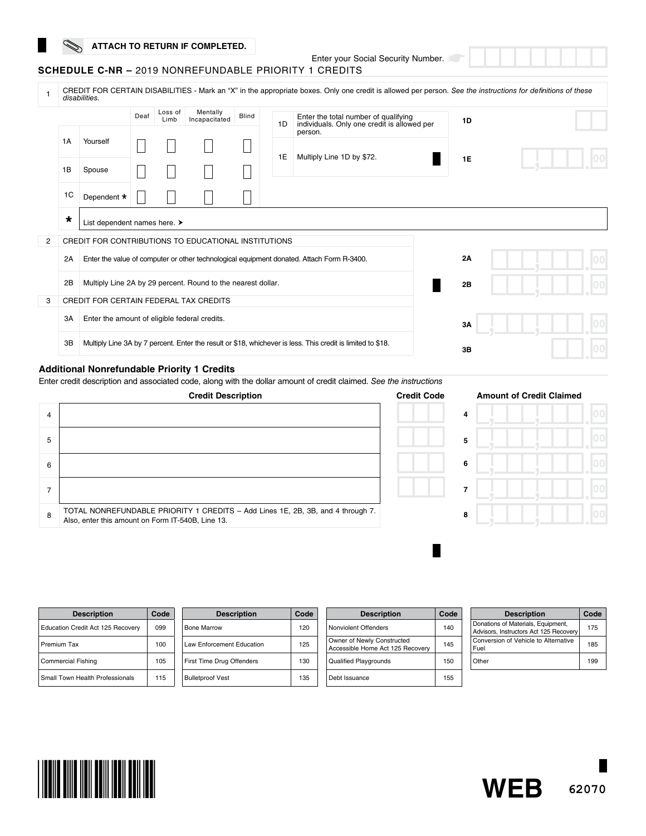## **ATTACH TO RETURN IF COMPLETED.**

Enter your Social Security Number.

| <b>SCHEDULE C-NR - 2019 NONREFUNDABLE PRIORITY 1 CREDITS</b> |
|--------------------------------------------------------------|
|--------------------------------------------------------------|

|   | CREDIT FOR CERTAIN DISABILITIES - Mark an "X" in the appropriate boxes. Only one credit is allowed per person. See the instructions for definitions of these<br>disabilities. |                                                      |                                               |                 |                                                              |       |    |                                                                                                             |    |  |  |
|---|-------------------------------------------------------------------------------------------------------------------------------------------------------------------------------|------------------------------------------------------|-----------------------------------------------|-----------------|--------------------------------------------------------------|-------|----|-------------------------------------------------------------------------------------------------------------|----|--|--|
|   |                                                                                                                                                                               |                                                      | Deaf                                          | Loss of<br>Limb | Mentally<br>Incapacitated                                    | Blind | 1D | Enter the total number of qualifying<br>individuals. Only one credit is allowed per                         | 1D |  |  |
|   | 1A                                                                                                                                                                            | Yourself                                             |                                               |                 |                                                              |       | 1E | person.<br>Multiply Line 1D by \$72.                                                                        |    |  |  |
|   | 1B<br>Spouse<br>1C<br>Dependent *<br>$\star$<br>List dependent names here. >                                                                                                  |                                                      |                                               |                 |                                                              |       |    | <b>1E</b>                                                                                                   |    |  |  |
|   |                                                                                                                                                                               |                                                      |                                               |                 |                                                              |       |    |                                                                                                             |    |  |  |
|   |                                                                                                                                                                               |                                                      |                                               |                 |                                                              |       |    |                                                                                                             |    |  |  |
| 2 |                                                                                                                                                                               | CREDIT FOR CONTRIBUTIONS TO EDUCATIONAL INSTITUTIONS |                                               |                 |                                                              |       |    |                                                                                                             |    |  |  |
|   | 2A                                                                                                                                                                            |                                                      |                                               |                 |                                                              |       |    | Enter the value of computer or other technological equipment donated. Attach Form R-3400.                   | 2A |  |  |
|   | 2B                                                                                                                                                                            |                                                      |                                               |                 | Multiply Line 2A by 29 percent. Round to the nearest dollar. |       |    |                                                                                                             | 2B |  |  |
| 3 |                                                                                                                                                                               | <b>CREDIT FOR CERTAIN FEDERAL TAX CREDITS</b>        |                                               |                 |                                                              |       |    |                                                                                                             |    |  |  |
|   | 3A                                                                                                                                                                            |                                                      | Enter the amount of eligible federal credits. |                 |                                                              |       |    |                                                                                                             | 3A |  |  |
|   | 3B                                                                                                                                                                            |                                                      |                                               |                 |                                                              |       |    | Multiply Line 3A by 7 percent. Enter the result or \$18, whichever is less. This credit is limited to \$18. | 3B |  |  |

#### **Additional Nonrefundable Priority 1 Credits**

Enter credit description and associated code, along with the dollar amount of credit claimed. See the in

|                | <b>Credit Description</b>                                                                                                            | <b>Credit Code</b> |   | <b>Amount of Credit Claimed</b> |
|----------------|--------------------------------------------------------------------------------------------------------------------------------------|--------------------|---|---------------------------------|
| $\overline{4}$ |                                                                                                                                      |                    | 4 |                                 |
| 5              |                                                                                                                                      |                    | 5 |                                 |
| 6              |                                                                                                                                      |                    | 6 |                                 |
| ⇁              |                                                                                                                                      |                    |   |                                 |
| 8              | TOTAL NONREFUNDABLE PRIORITY 1 CREDITS - Add Lines 1E, 2B, 3B, and 4 through 7.<br>Also, enter this amount on Form IT-540B, Line 13. |                    | 8 |                                 |

| <i>nstructions</i> |                |                             |
|--------------------|----------------|-----------------------------|
| edit Code          |                | <b>Amount of Credit Cla</b> |
|                    | $\overline{4}$ |                             |
|                    | 5              |                             |
|                    | 6              |                             |
|                    | 7              |                             |
|                    | 8              |                             |
|                    |                |                             |

٠

| <b>Description</b>                | Code | <b>Description</b>        | Code | <b>Description</b>                                             | Code | <b>Description</b>                                                           | Code |
|-----------------------------------|------|---------------------------|------|----------------------------------------------------------------|------|------------------------------------------------------------------------------|------|
| Education Credit Act 125 Recovery | 099  | Bone Marrow               | 120  | Nonviolent Offenders                                           | 140  | Donations of Materials, Equipment,<br>Advisors, Instructors Act 125 Recovery | 175  |
| Premium Tax                       | 100  | Law Enforcement Education | 125  | Owner of Newly Constructed<br>Accessible Home Act 125 Recovery | 145  | Conversion of Vehicle to Alternative<br>Fuel                                 | 185  |
| <b>Commercial Fishing</b>         | 105  | First Time Drug Offenders | 130  | <b>Qualified Playgrounds</b>                                   | 150  | Other                                                                        | 199  |
| Small Town Health Professionals   | 115  | <b>Bulletproof Vest</b>   | 135  | Debt Issuance                                                  | 155  |                                                                              |      |



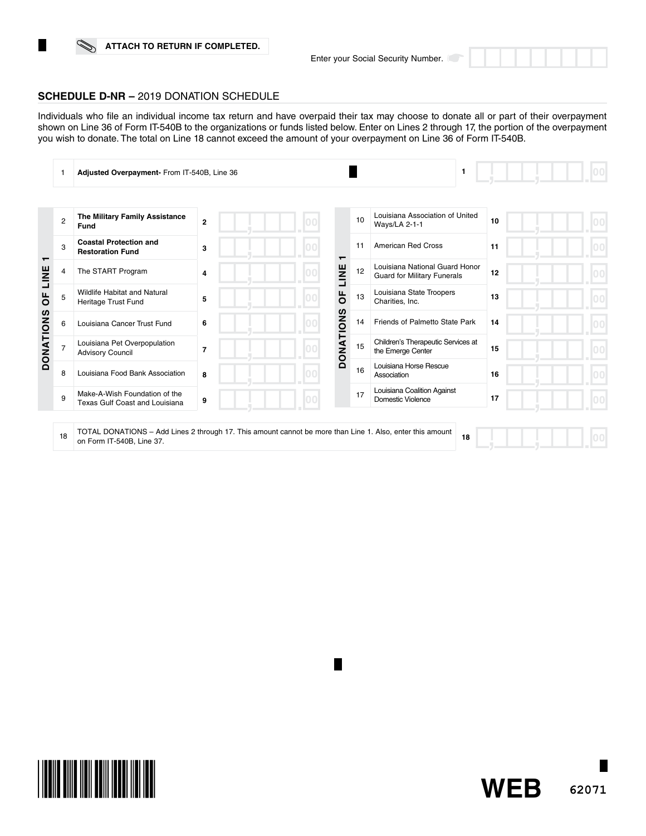## **ATTACH TO RETURN IF COMPLETED.**

**62071**

**WEB**



Individuals who fle an individual income tax return and have overpaid their tax may choose to donate all or part of their overpayment shown on Line 36 of Form IT-540B to the organizations or funds listed below. Enter on Lines 2 through 17, the portion of the overpayment you wish to donate. The total on Line 18 cannot exceed the amount of your overpayment on Line 36 of Form IT-540B.

|                  |                | Adjusted Overpayment- From IT-540B, Line 36                                                                                            |                |     |                  |    | 1                                                                    |    |  |
|------------------|----------------|----------------------------------------------------------------------------------------------------------------------------------------|----------------|-----|------------------|----|----------------------------------------------------------------------|----|--|
|                  |                |                                                                                                                                        |                |     |                  |    |                                                                      |    |  |
|                  | $\overline{2}$ | The Military Family Assistance<br>Fund                                                                                                 | $\overline{2}$ |     |                  | 10 | Louisiana Association of United<br>Ways/LA 2-1-1                     | 10 |  |
|                  | 3              | <b>Coastal Protection and</b><br><b>Restoration Fund</b>                                                                               | 3              |     |                  | 11 | <b>American Red Cross</b>                                            | 11 |  |
| ┯<br>LINE<br>Ъ   | 4              | The START Program                                                                                                                      | 4              |     | LINE             | 12 | Louisiana National Guard Honor<br><b>Guard for Military Funerals</b> | 12 |  |
|                  | 5              | <b>Wildlife Habitat and Natural</b><br>Heritage Trust Fund                                                                             | 5              |     | щ<br>O           | 13 | Louisiana State Troopers<br>Charities, Inc.                          | 13 |  |
|                  | 6              | Louisiana Cancer Trust Fund                                                                                                            | 6              |     |                  | 14 | Friends of Palmetto State Park                                       | 14 |  |
| <b>DONATIONS</b> | 7              | Louisiana Pet Overpopulation<br><b>Advisory Council</b>                                                                                | $\overline{7}$ |     | <b>DONATIONS</b> | 15 | Children's Therapeutic Services at<br>the Emerge Center              | 15 |  |
|                  | 8              | Louisiana Food Bank Association                                                                                                        | 8              | lnn |                  | 16 | Louisiana Horse Rescue<br>Association                                | 16 |  |
|                  | 9              | Make-A-Wish Foundation of the<br><b>Texas Gulf Coast and Louisiana</b>                                                                 | 9              |     |                  | 17 | Louisiana Coalition Against<br>Domestic Violence                     | 17 |  |
|                  |                |                                                                                                                                        |                |     |                  |    |                                                                      |    |  |
|                  | 18             | TOTAL DONATIONS - Add Lines 2 through 17. This amount cannot be more than Line 1. Also, enter this amount<br>on Form IT-540B. Line 37. |                |     |                  |    | 18                                                                   |    |  |

П

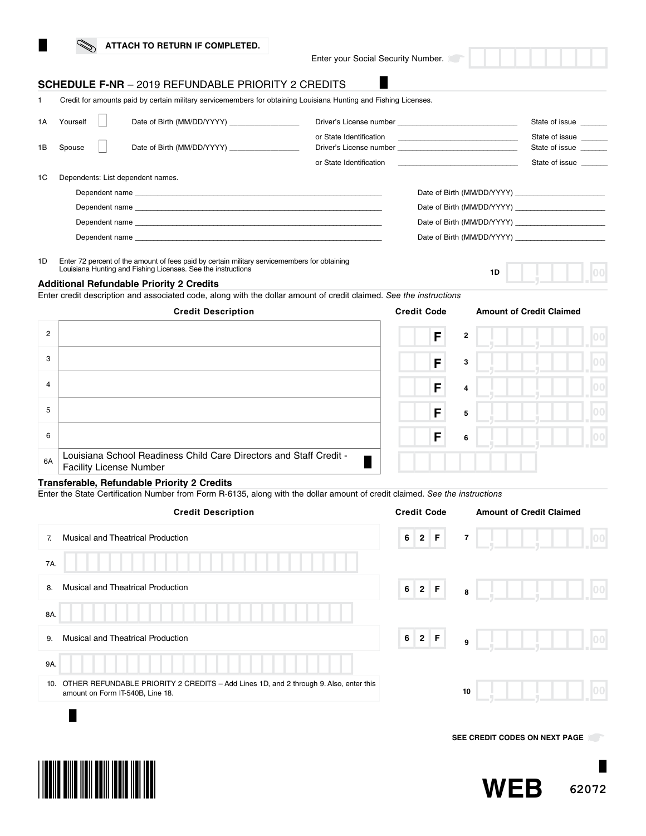| ATTACH TO RETURN IF COMPLETED. |
|--------------------------------|
|--------------------------------|

Enter your Social Security Number.

**1D**

## **SCHEDULE F-NR** – 2019 REFUNDABLE PRIORITY 2 CREDITS

1 Credit for amounts paid by certain military servicemembers for obtaining Louisiana Hunting and Fishing Licenses.

| 1 A | Yourself | Date of Birth (MM/DD/YYYY) __________________ |                                                    |                                                                                                                                                                                                                                                                                                                          | State of issue                                     |
|-----|----------|-----------------------------------------------|----------------------------------------------------|--------------------------------------------------------------------------------------------------------------------------------------------------------------------------------------------------------------------------------------------------------------------------------------------------------------------------|----------------------------------------------------|
| 1B  | Spouse   | Date of Birth (MM/DD/YYYY)                    | or State Identification<br>or State Identification | $\overline{\phantom{a}}$ . The contract of the contract of the contract of the contract of the contract of the contract of the contract of the contract of the contract of the contract of the contract of the contract of the contract of<br>the control of the control of the control of the control of the control of | State of issue<br>State of issue<br>State of issue |
| 1C  |          | Dependents: List dependent names.             |                                                    |                                                                                                                                                                                                                                                                                                                          |                                                    |
|     |          |                                               |                                                    |                                                                                                                                                                                                                                                                                                                          |                                                    |
|     |          |                                               |                                                    |                                                                                                                                                                                                                                                                                                                          |                                                    |
|     |          |                                               |                                                    |                                                                                                                                                                                                                                                                                                                          |                                                    |
|     |          |                                               |                                                    |                                                                                                                                                                                                                                                                                                                          |                                                    |

1D Enter 72 percent of the amount of fees paid by certain military servicemembers for obtaining Louisiana Hunting and Fishing Licenses. See the instructions

#### **Additional Refundable Priority 2 Credits**

Enter credit description and associated code, along with the dollar amount of credit claimed. *See the instructions*

#### **Credit Description Credit Code Amount of Credit Claimed** 2 F **2** 3 F **3** 4 F **4** 5 F **5** 6 F **6** 6A Louisiana School Readiness Child Care Directors and Staff Credit -П Facility License Number

### **Transferable, Refundable Priority 2 Credits**

Enter the State Certifcation Number from Form R-6135, along with the dollar amount of credit claimed. *See the instructions*

|     | <b>Credit Description</b>                                                                                                 | <b>Credit Code</b> |            |    | <b>Amount of Credit Claimed</b> |     |
|-----|---------------------------------------------------------------------------------------------------------------------------|--------------------|------------|----|---------------------------------|-----|
| 7.  | Musical and Theatrical Production                                                                                         | 6                  | $2 \mid F$ | 7  |                                 | 100 |
| 7A. |                                                                                                                           |                    |            |    |                                 |     |
| 8.  | Musical and Theatrical Production                                                                                         | $\bf 6$            | $2 \mid F$ | 8  |                                 | 00  |
| 8A. |                                                                                                                           |                    |            |    |                                 |     |
| 9.  | Musical and Theatrical Production                                                                                         | 6                  | $2 \mid F$ | 9  |                                 | 100 |
| 9A. |                                                                                                                           |                    |            |    |                                 |     |
| 10. | OTHER REFUNDABLE PRIORITY 2 CREDITS - Add Lines 1D, and 2 through 9. Also, enter this<br>amount on Form IT-540B, Line 18. |                    |            | 10 |                                 |     |
|     |                                                                                                                           |                    |            |    |                                 |     |
|     |                                                                                                                           |                    |            |    | SEE CREDIT CODES ON NEXT PAGE   |     |
|     |                                                                                                                           |                    |            |    |                                 |     |

**62072**

**WEB**

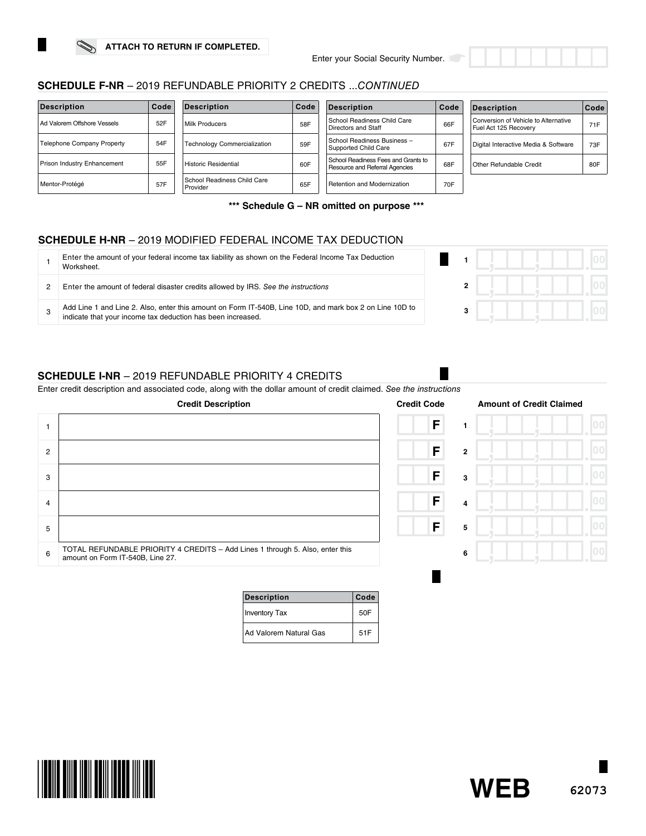## **SCHEDULE F-NR** – 2019 REFUNDABLE PRIORITY 2 CREDITS ...*CONTINUED*

| <b>Description</b>                 | Code | <b>Description</b>                      | Code | <b>Description</b>                                                    | Code | <b>Description</b>                                            | Code |
|------------------------------------|------|-----------------------------------------|------|-----------------------------------------------------------------------|------|---------------------------------------------------------------|------|
| Ad Valorem Offshore Vessels        | 52F  | Milk Producers                          | 58F  | School Readiness Child Care<br>Directors and Staff                    | 66F  | Conversion of Vehicle to Alternative<br>Fuel Act 125 Recoverv | 71F  |
| Telephone Company Property         | 54F  | Technology Commercialization            | 59F  | School Readiness Business -<br>Supported Child Care                   | 67F  | Digital Interactive Media & Software                          | 73F  |
| <b>Prison Industry Enhancement</b> | 55F  | Historic Residential                    | 60F  | School Readiness Fees and Grants to<br>Resource and Referral Agencies | 68F  | <b>Other Refundable Credit</b>                                | 80F  |
| Mentor-Protégé                     | 57F  | School Readiness Child Care<br>Provider | 65F  | <b>Retention and Modernization</b>                                    | 70F  |                                                               |      |

**\*\*\* Schedule G – NR omitted on purpose \*\*\***

## **SCHEDULE H-NR** – 2019 MODIFIED FEDERAL INCOME TAX DEDUCTION

| Enter the amount of your federal income tax liability as shown on the Federal Income Tax Deduction<br>Worksheet.                                                       |  |  |
|------------------------------------------------------------------------------------------------------------------------------------------------------------------------|--|--|
| Enter the amount of federal disaster credits allowed by IRS. See the instructions                                                                                      |  |  |
| Add Line 1 and Line 2. Also, enter this amount on Form IT-540B, Line 10D, and mark box 2 on Line 10D to<br>indicate that your income tax deduction has been increased. |  |  |

## **SCHEDULE I-NR** – 2019 REFUNDABLE PRIORITY 4 CREDITS

Enter credit description and associated code, along with the dollar amount of credit claimed. See

|                | <b>Credit Description</b>                                                                                         | <b>Credit Code</b> |                | <b>Amount of Credit Claimed</b> |
|----------------|-------------------------------------------------------------------------------------------------------------------|--------------------|----------------|---------------------------------|
|                |                                                                                                                   | F                  |                |                                 |
| $\overline{2}$ |                                                                                                                   | F                  | $\mathbf{2}$   |                                 |
| 3              |                                                                                                                   | F                  | 3              |                                 |
| $\overline{4}$ |                                                                                                                   | F                  | $\overline{4}$ |                                 |
| 5              |                                                                                                                   | F                  | 5              |                                 |
| 6              | TOTAL REFUNDABLE PRIORITY 4 CREDITS - Add Lines 1 through 5. Also, enter this<br>amount on Form IT-540B, Line 27. |                    | 6              |                                 |

| Description            | Code |  |
|------------------------|------|--|
| <b>Inventory Tax</b>   | 50F  |  |
| Ad Valorem Natural Gas | 51F  |  |

| the instructions |                         |                         |
|------------------|-------------------------|-------------------------|
| Credit Code      |                         | <b>Amount of Credit</b> |
| F                | 1                       |                         |
| F                | $\overline{\mathbf{2}}$ |                         |
| F                | 3                       |                         |
| F                | 4                       |                         |
| F                | 5                       |                         |
|                  | 6                       |                         |
|                  |                         |                         |





| ctions |              |                                 |  |
|--------|--------------|---------------------------------|--|
| le     |              | <b>Amount of Credit Claimed</b> |  |
| í      | 1            |                                 |  |
| í      | $\mathbf{2}$ |                                 |  |

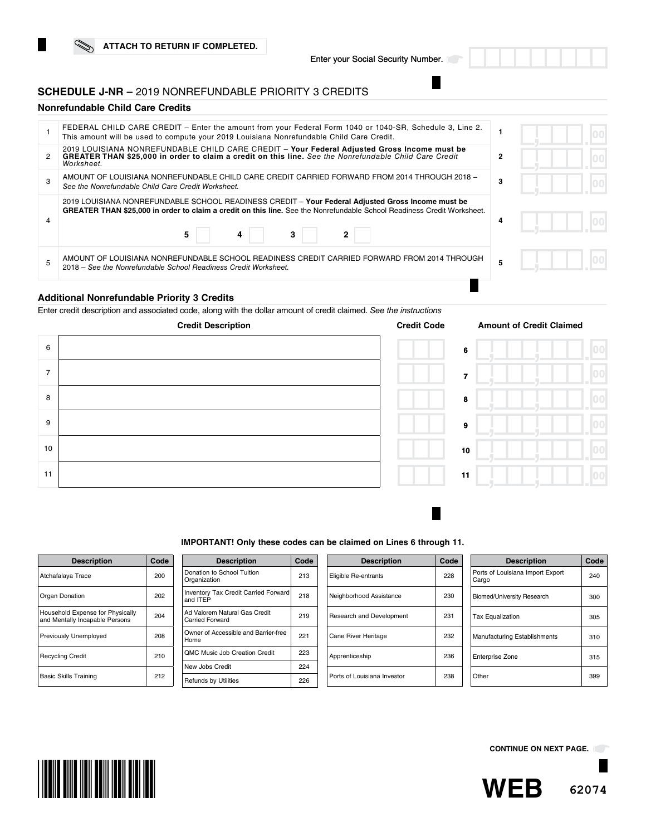## **SCHEDULE J-NR –** 2019 NONREFUNDABLE PRIORITY 3 CREDITS

## **Nonrefundable Child Care Credits**

|   | FEDERAL CHILD CARE CREDIT – Enter the amount from your Federal Form 1040 or 1040-SR, Schedule 3, Line 2.<br>This amount will be used to compute your 2019 Louisiana Nonrefundable Child Care Credit.                                               |   |  |  |
|---|----------------------------------------------------------------------------------------------------------------------------------------------------------------------------------------------------------------------------------------------------|---|--|--|
|   | 2019 LOUISIANA NONREFUNDABLE CHILD CARE CREDIT - Your Federal Adjusted Gross Income must be GREATER THAN \$25,000 in order to claim a credit on this line. See the Nonrefundable Child Care Credit<br>Worksheet.                                   | 2 |  |  |
|   | AMOUNT OF LOUISIANA NONREFUNDABLE CHILD CARE CREDIT CARRIED FORWARD FROM 2014 THROUGH 2018 -<br>See the Nonrefundable Child Care Credit Worksheet.                                                                                                 | 3 |  |  |
|   | 2019 LOUISIANA NONREFUNDABLE SCHOOL READINESS CREDIT - Your Federal Adjusted Gross Income must be<br><b>GREATER THAN \$25,000 in order to claim a credit on this line.</b> See the Nonrefundable School Readiness Credit Worksheet.<br>5<br>3<br>4 | 4 |  |  |
| 5 | AMOUNT OF LOUISIANA NONREFUNDABLE SCHOOL READINESS CREDIT CARRIED FORWARD FROM 2014 THROUGH<br>2018 - See the Nonrefundable School Readiness Credit Worksheet.                                                                                     |   |  |  |
|   |                                                                                                                                                                                                                                                    |   |  |  |

### **Additional Nonrefundable Priority 3 Credits**

Enter credit description and associated code, along with the dollar amount of credit claimed. *See the instructions* 



| eun coue |                 | Allivulit |
|----------|-----------------|-----------|
|          | 6               |           |
|          | 7               |           |
|          | 8               |           |
|          | 9               |           |
|          | 10              |           |
|          | $\overline{11}$ |           |
|          |                 |           |

|  | IMPORTANT! Only these codes can be claimed on Lines 6 through 11. |
|--|-------------------------------------------------------------------|
|  |                                                                   |

| <b>Description</b>                                                 | Code |
|--------------------------------------------------------------------|------|
| Atchafalaya Trace                                                  | 200  |
| Organ Donation                                                     | 202  |
| Household Expense for Physically<br>and Mentally Incapable Persons | 204  |
| Previously Unemployed                                              | 208  |
| <b>Recycling Credit</b>                                            | 210  |
| <b>Basic Skills Training</b>                                       | 212  |

| <b>Description</b>                                      | Code |
|---------------------------------------------------------|------|
| Donation to School Tuition<br>Organization              | 213  |
| <b>Inventory Tax Credit Carried Forward</b><br>and ITEP | 218  |
| Ad Valorem Natural Gas Credit<br>Carried Forward        | 219  |
| Owner of Accessible and Barrier-free<br>Home            | 221  |
| <b>OMC Music Job Creation Credit</b>                    | 223  |
| New Jobs Credit                                         | 224  |
| <b>Refunds by Utilities</b>                             | 226  |

| <b>Description</b>          | Code |
|-----------------------------|------|
| Eligible Re-entrants        | 228  |
| Neighborhood Assistance     | 230  |
| Research and Development    | 231  |
| Cane River Heritage         | 232  |
| Apprenticeship              | 236  |
| Ports of Louisiana Investor | 238  |

| <b>Description</b>                        | Code |
|-------------------------------------------|------|
| Ports of Louisiana Import Export<br>Cargo | 240  |
| <b>Biomed/University Research</b>         | 300  |
| <b>Tax Equalization</b>                   | 305  |
| <b>Manufacturing Establishments</b>       | 310  |
| <b>Enterprise Zone</b>                    | 315  |
| Other                                     | 399  |



**CONTINUE ON NEXT PAGE.**

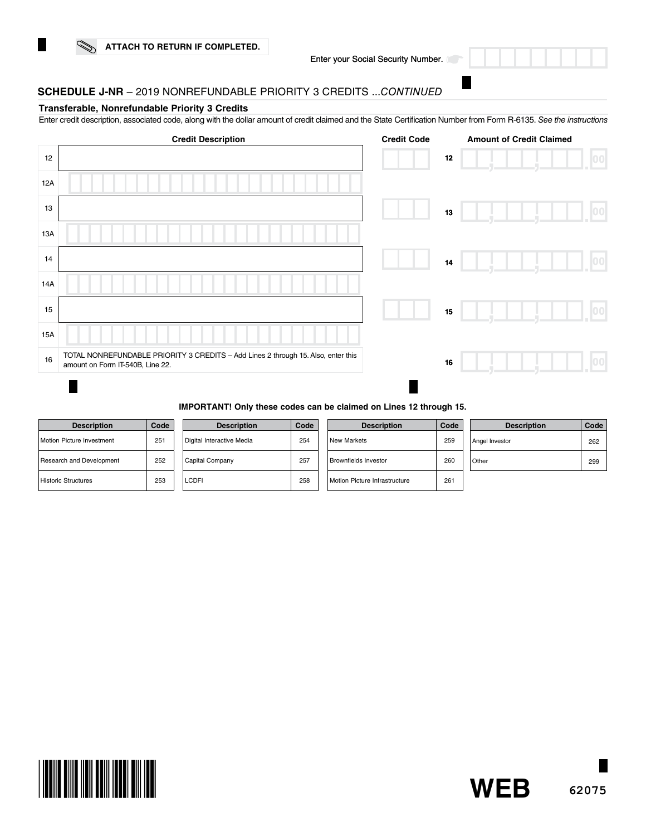

## **SCHEDULE J-NR** – 2019 NONREFUNDABLE PRIORITY 3 CREDITS ...*CONTINUED*

#### **Transferable, Nonrefundable Priority 3 Credits**

Enter credit description, associated code, along with the dollar amount of credit claimed and the State Certifcation Number from Form R-6135. *See the instructions*

|     | <b>Credit Description</b>                                                                                             | <b>Credit Code</b> |        | <b>Amount of Credit Claimed</b> |                  |
|-----|-----------------------------------------------------------------------------------------------------------------------|--------------------|--------|---------------------------------|------------------|
| 12  |                                                                                                                       |                    | $12\,$ |                                 | 00               |
| 12A |                                                                                                                       |                    |        |                                 |                  |
| 13  |                                                                                                                       |                    | 13     |                                 | 00               |
| 13A |                                                                                                                       |                    |        |                                 |                  |
| 14  |                                                                                                                       |                    | 14     |                                 | 100 <sub>1</sub> |
| 14A |                                                                                                                       |                    |        |                                 |                  |
| 15  |                                                                                                                       |                    | 15     |                                 | [00]             |
| 15A |                                                                                                                       |                    |        |                                 |                  |
| 16  | TOTAL NONREFUNDABLE PRIORITY 3 CREDITS - Add Lines 2 through 15. Also, enter this<br>amount on Form IT-540B, Line 22. |                    | 16     |                                 |                  |
|     |                                                                                                                       |                    |        |                                 |                  |

#### **IMPORTANT! Only these codes can be claimed on Lines 12 through 15.**

| <b>Description</b>               | Code |
|----------------------------------|------|
| <b>Motion Picture Investment</b> | 251  |
| Research and Development         | 252  |
| <b>Historic Structures</b>       | 253  |

|  | <b>Description</b>        | Code |
|--|---------------------------|------|
|  | Digital Interactive Media | 254  |
|  | Capital Company           | 257  |
|  | LCDFI                     | 258  |

| Code | <b>Description</b>            | Code | <b>Description</b> | Code |
|------|-------------------------------|------|--------------------|------|
| 254  | New Markets                   | 259  | Angel Investor     | 262  |
| 257  | Brownfields Investor          | 260  | Other              | 299  |
| 258  | Motion Picture Infrastructure | 261  |                    |      |

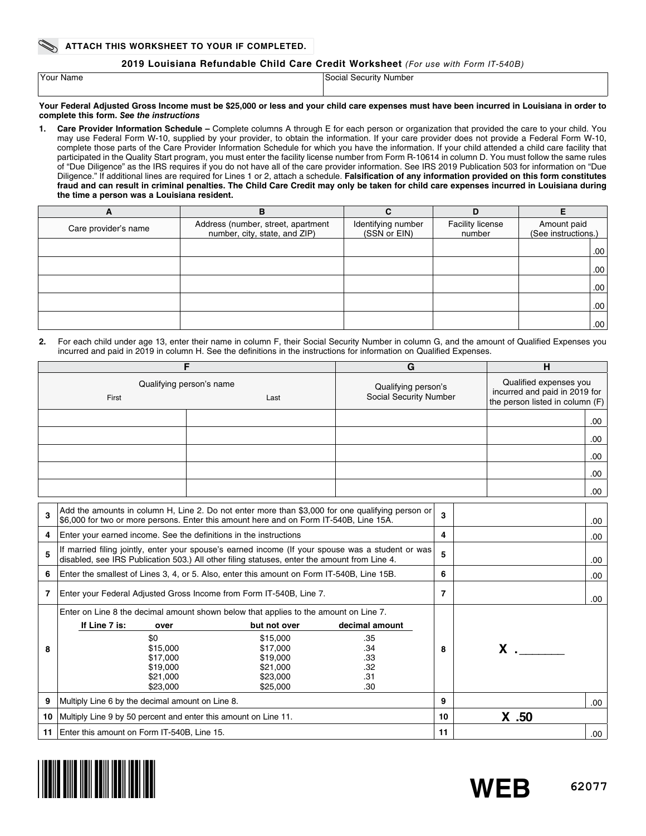## **2019 Louisiana Refundable Child Care Credit Worksheet** *(For use with Form IT-540B)*

| Your Name | Social Security Number |
|-----------|------------------------|
|           |                        |

#### **Your Federal Adjusted Gross Income must be \$25,000 or less and your child care expenses must have been incurred in Louisiana in order to complete this form.** *See the instructions*

**1. Care Provider Information Schedule –** Complete columns A through E for each person or organization that provided the care to your child. You may use Federal Form W-10, supplied by your provider, to obtain the information. If your care provider does not provide a Federal Form W-10, complete those parts of the Care Provider Information Schedule for which you have the information. If your child attended a child care facility that participated in the Quality Start program, you must enter the facility license number from Form R-10614 in column D. You must follow the same rules of "Due Diligence" as the IRS requires if you do not have all of the care provider information. See IRS 2019 Publication 503 for information on "Due Diligence." If additional lines are required for Lines 1 or 2, attach a schedule. **Falsifcation of any information provided on this form constitutes fraud and can result in criminal penalties. The Child Care Credit may only be taken for child care expenses incurred in Louisiana during the time a person was a Louisiana resident.** 

| A                    | в                                                                   | r                                  | D                          |                                    |
|----------------------|---------------------------------------------------------------------|------------------------------------|----------------------------|------------------------------------|
| Care provider's name | Address (number, street, apartment<br>number, city, state, and ZIP) | Identifying number<br>(SSN or EIN) | Facility license<br>number | Amount paid<br>(See instructions.) |
|                      |                                                                     |                                    |                            | .00                                |
|                      |                                                                     |                                    |                            | .00.                               |
|                      |                                                                     |                                    |                            | .00.                               |
|                      |                                                                     |                                    |                            | .00.                               |
|                      |                                                                     |                                    |                            | .00.                               |

**2.** For each child under age 13, enter their name in column F, their Social Security Number in column G, and the amount of Qualifed Expenses you incurred and paid in 2019 in column H. See the defnitions in the instructions for information on Qualifed Expenses.

|                      |                                                                   | F                                                                                                                                                                                                 | G                                             | H                                                                                          |                |
|----------------------|-------------------------------------------------------------------|---------------------------------------------------------------------------------------------------------------------------------------------------------------------------------------------------|-----------------------------------------------|--------------------------------------------------------------------------------------------|----------------|
|                      | First                                                             | Qualifying person's name<br>Last                                                                                                                                                                  | Qualifying person's<br>Social Security Number | Qualified expenses you<br>incurred and paid in 2019 for<br>the person listed in column (F) |                |
|                      |                                                                   |                                                                                                                                                                                                   |                                               |                                                                                            | .00.           |
|                      |                                                                   |                                                                                                                                                                                                   |                                               |                                                                                            | .00            |
|                      |                                                                   |                                                                                                                                                                                                   |                                               |                                                                                            |                |
|                      |                                                                   |                                                                                                                                                                                                   |                                               |                                                                                            | .00            |
|                      |                                                                   |                                                                                                                                                                                                   |                                               |                                                                                            | .00            |
|                      |                                                                   |                                                                                                                                                                                                   |                                               |                                                                                            | .00.           |
| 3                    |                                                                   | Add the amounts in column H, Line 2. Do not enter more than \$3,000 for one qualifying person or<br>\$6,000 for two or more persons. Enter this amount here and on Form IT-540B, Line 15A.        |                                               | 3                                                                                          | .00.           |
| 4                    | Enter your earned income. See the definitions in the instructions |                                                                                                                                                                                                   |                                               | 4                                                                                          | .00.           |
| 5                    |                                                                   | If married filing jointly, enter your spouse's earned income (If your spouse was a student or was<br>disabled, see IRS Publication 503.) All other filing statuses, enter the amount from Line 4. |                                               | 5                                                                                          | .00.           |
| 6                    |                                                                   | Enter the smallest of Lines 3, 4, or 5. Also, enter this amount on Form IT-540B, Line 15B.                                                                                                        |                                               | 6                                                                                          | .00            |
| 7                    |                                                                   | Enter your Federal Adjusted Gross Income from Form IT-540B, Line 7.                                                                                                                               |                                               | $\overline{7}$                                                                             | .00.           |
|                      |                                                                   | Enter on Line 8 the decimal amount shown below that applies to the amount on Line 7.                                                                                                              |                                               |                                                                                            |                |
|                      | If Line 7 is:<br>over                                             | but not over                                                                                                                                                                                      | decimal amount                                |                                                                                            |                |
|                      | \$0                                                               | \$15,000                                                                                                                                                                                          | .35                                           |                                                                                            |                |
| 8                    | \$15,000                                                          | \$17,000                                                                                                                                                                                          | .34                                           | 8                                                                                          | $\mathsf{X}$ . |
| \$17,000<br>\$19,000 |                                                                   |                                                                                                                                                                                                   | .33                                           |                                                                                            |                |
|                      | \$19,000                                                          | \$21,000                                                                                                                                                                                          | .32                                           |                                                                                            |                |
|                      | \$21,000                                                          | \$23,000                                                                                                                                                                                          | .31                                           |                                                                                            |                |
|                      | \$23,000                                                          | \$25,000                                                                                                                                                                                          | .30                                           |                                                                                            |                |
| 9                    | Multiply Line 6 by the decimal amount on Line 8.                  |                                                                                                                                                                                                   | 9                                             | .00.                                                                                       |                |
| 10                   | Multiply Line 9 by 50 percent and enter this amount on Line 11.   |                                                                                                                                                                                                   |                                               | 10                                                                                         | $X$ .50        |
| 11                   | Enter this amount on Form IT-540B, Line 15.                       | 11                                                                                                                                                                                                | .00.                                          |                                                                                            |                |

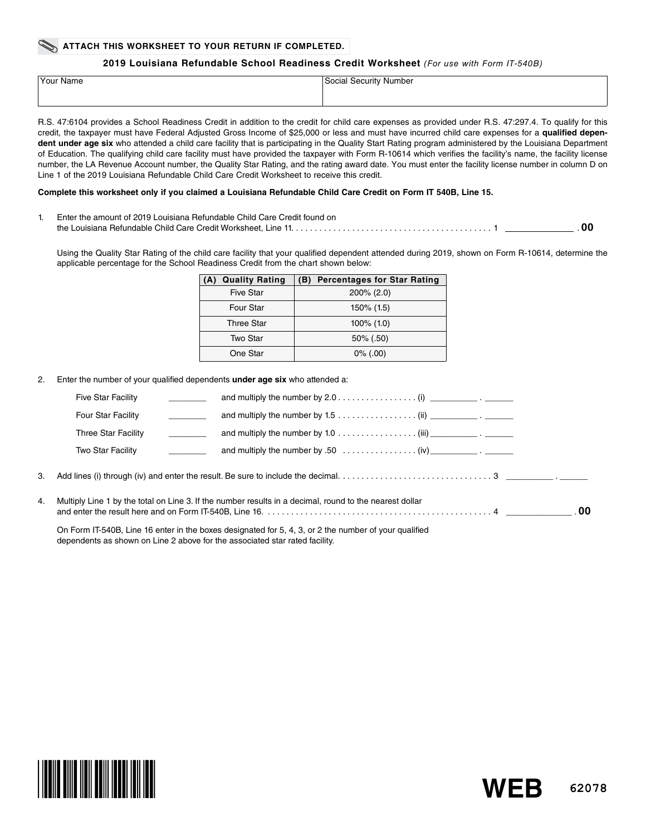### **ATTACH THIS WORKSHEET TO YOUR RETURN IF COMPLETED.**

#### **2019 Louisiana Refundable School Readiness Credit Worksheet** *(For use with Form IT-540B)*

| <sup>1</sup> Your Name | Social Security Number |
|------------------------|------------------------|
|                        |                        |

R.S. 47:6104 provides a School Readiness Credit in addition to the credit for child care expenses as provided under R.S. 47:297.4. To qualify for this credit, the taxpayer must have Federal Adjusted Gross Income of \$25,000 or less and must have incurred child care expenses for a **qualifed depen**dent under age six who attended a child care facility that is participating in the Quality Start Rating program administered by the Louisiana Department of Education. The qualifying child care facility must have provided the taxpayer with Form R-10614 which verifes the facility's name, the facility license number, the LA Revenue Account number, the Quality Star Rating, and the rating award date. You must enter the facility license number in column D on Line 1 of the 2019 Louisiana Refundable Child Care Credit Worksheet to receive this credit.

#### **Complete this worksheet only if you claimed a Louisiana Refundable Child Care Credit on Form IT 540B, Line 15.**

1. Enter the amount of 2019 Louisiana Refundable Child Care Credit found on the Louisiana Refundable Child Care Credit Worksheet, Line 11. . . . . . . . . . . . . . . . . . . . . . . . . . . . . . . . . . . . . . . . . . . 1 . **00**

Using the Quality Star Rating of the child care facility that your qualifed dependent attended during 2019, shown on Form R-10614, determine the applicable percentage for the School Readiness Credit from the chart shown below:

| <b>Quality Rating</b><br>(A) | <b>Percentages for Star Rating</b><br>(B) |
|------------------------------|-------------------------------------------|
| <b>Five Star</b>             | $200\%$ (2.0)                             |
| Four Star                    | 150% (1.5)                                |
| <b>Three Star</b>            | $100\%$ (1.0)                             |
| Two Star                     | $50\%$ (.50)                              |
| One Star                     | $0\%$ (.00)                               |

2. Enter the number of your qualifed dependents **under age six** who attended a:

| <b>Five Star Facility</b> |                                                                                                                                                                                                                                                                                                                                         |
|---------------------------|-----------------------------------------------------------------------------------------------------------------------------------------------------------------------------------------------------------------------------------------------------------------------------------------------------------------------------------------|
| <b>Four Star Facility</b> | and multiply the number by 1.5 (ii) $\frac{1}{\sqrt{1-\frac{1}{2}}\cdot\sqrt{1-\frac{1}{2}}\cdot\sqrt{1-\frac{1}{2}}\cdot\sqrt{1-\frac{1}{2}}\cdot\sqrt{1-\frac{1}{2}}\cdot\sqrt{1-\frac{1}{2}}\cdot\sqrt{1-\frac{1}{2}}\cdot\sqrt{1-\frac{1}{2}}\cdot\sqrt{1-\frac{1}{2}}\cdot\sqrt{1-\frac{1}{2}}\cdot\sqrt{1-\frac{1}{2}}\cdot\sqrt$ |
| Three Star Facility       | and multiply the number by 1.0 (iii) $\frac{1}{\sqrt{1-\frac{1}{2}}\cdot\sqrt{1-\frac{1}{2}}\cdot\sqrt{1-\frac{1}{2}}\cdot\sqrt{1-\frac{1}{2}}\cdot\sqrt{1-\frac{1}{2}}\cdot\sqrt{1-\frac{1}{2}}\cdot\sqrt{1-\frac{1}{2}}\cdot\sqrt{1-\frac{1}{2}}\cdot\sqrt{1-\frac{1}{2}}\cdot\sqrt{1-\frac{1}{2}}\cdot\sqrt{1-\frac{1}{2}}\cdot\$    |
| Two Star Facility         |                                                                                                                                                                                                                                                                                                                                         |
|                           |                                                                                                                                                                                                                                                                                                                                         |

4. Multiply Line 1 by the total on Line 3. If the number results in a decimal, round to the nearest dollar and enter the result here and on Form IT-540B, Line 16. . . . . . . . . . . . . . . . . . . . . . . . . . . . . . . . . . . . . . . . . . . . . . . . . 4 \_\_\_\_\_\_\_\_\_\_\_\_\_\_ . **00**

On Form IT-540B, Line 16 enter in the boxes designated for 5, 4, 3, or 2 the number of your qualifed dependents as shown on Line 2 above for the associated star rated facility.



**62078 WEB**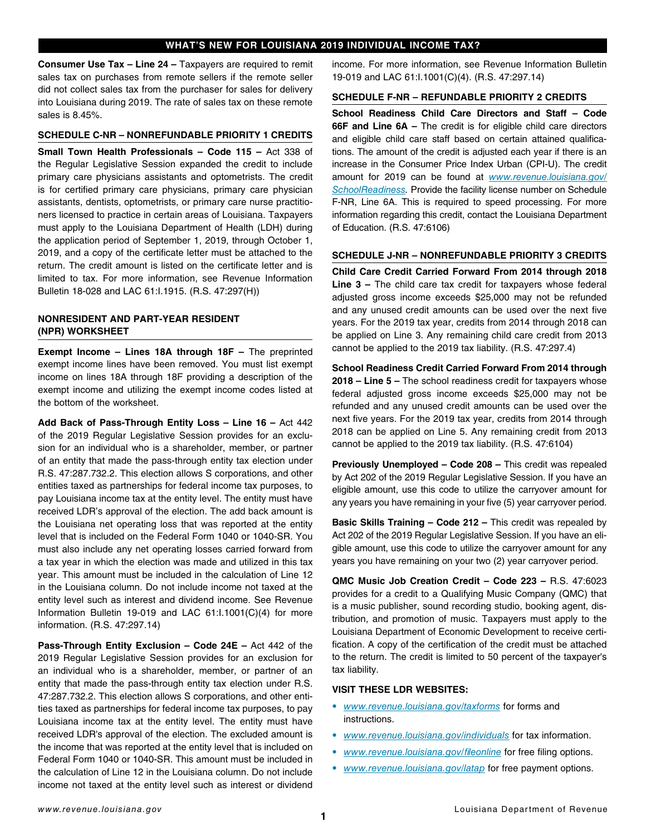## **WHAT'S NEW FOR LOUISIANA 2019 INDIVIDUAL INCOME TAX?**

**Consumer Use Tax – Line 24 –** Taxpayers are required to remit sales tax on purchases from remote sellers if the remote seller did not collect sales tax from the purchaser for sales for delivery into Louisiana during 2019. The rate of sales tax on these remote sales is 8.45%.

### **SCHEDULE C-NR – NONREFUNDABLE PRIORITY 1 CREDITS**

**Small Town Health Professionals – Code 115 –** Act 338 of the Regular Legislative Session expanded the credit to include primary care physicians assistants and optometrists. The credit is for certifed primary care physicians, primary care physician assistants, dentists, optometrists, or primary care nurse practitioners licensed to practice in certain areas of Louisiana. Taxpayers must apply to the Louisiana Department of Health (LDH) during the application period of September 1, 2019, through October 1, 2019, and a copy of the certifcate letter must be attached to the return. The credit amount is listed on the certificate letter and is limited to tax. For more information, see Revenue Information Bulletin 18-028 and LAC 61:I.1915. (R.S. 47:297(H))

## **NONRESIDENT AND PART-YEAR RESIDENT (NPR) WORKSHEET**

**Exempt Income – Lines 18A through 18F –** The preprinted exempt income lines have been removed. You must list exempt income on lines 18A through 18F providing a description of the exempt income and utilizing the exempt income codes listed at the bottom of the worksheet.

**Add Back of Pass-Through Entity Loss – Line 16 –** Act 442 of the 2019 Regular Legislative Session provides for an exclusion for an individual who is a shareholder, member, or partner of an entity that made the pass-through entity tax election under R.S. 47:287.732.2. This election allows S corporations, and other entities taxed as partnerships for federal income tax purposes, to pay Louisiana income tax at the entity level. The entity must have received LDR's approval of the election. The add back amount is the Louisiana net operating loss that was reported at the entity level that is included on the Federal Form 1040 or 1040-SR. You must also include any net operating losses carried forward from a tax year in which the election was made and utilized in this tax year. This amount must be included in the calculation of Line 12 in the Louisiana column. Do not include income not taxed at the entity level such as interest and dividend income. See Revenue Information Bulletin 19-019 and LAC 61:I.1001(C)(4) for more information. (R.S. 47:297.14)

**Pass-Through Entity Exclusion – Code 24E –** Act 442 of the 2019 Regular Legislative Session provides for an exclusion for an individual who is a shareholder, member, or partner of an entity that made the pass-through entity tax election under R.S. 47:287.732.2. This election allows S corporations, and other entities taxed as partnerships for federal income tax purposes, to pay Louisiana income tax at the entity level. The entity must have received LDR's approval of the election. The excluded amount is the income that was reported at the entity level that is included on Federal Form 1040 or 1040-SR. This amount must be included in the calculation of Line 12 in the Louisiana column. Do not include income not taxed at the entity level such as interest or dividend income. For more information, see Revenue Information Bulletin 19-019 and LAC 61:I.1001(C)(4). (R.S. 47:297.14)

### **SCHEDULE F-NR – REFUNDABLE PRIORITY 2 CREDITS**

**School Readiness Child Care Directors and Staff – Code 66F and Line 6A –** The credit is for eligible child care directors and eligible child care staff based on certain attained qualifications. The amount of the credit is adjusted each year if there is an increase in the Consumer Price Index Urban (CPI-U). The credit amount for 2019 can be found at *[www.revenue.louisiana.gov/](http://www.revenue.louisiana.gov/SchoolReadiness) [SchoolReadiness](http://www.revenue.louisiana.gov/SchoolReadiness).* Provide the facility license number on Schedule F-NR, Line 6A. This is required to speed processing. For more information regarding this credit, contact the Louisiana Department of Education. (R.S. 47:6106)

#### **SCHEDULE J-NR – NONREFUNDABLE PRIORITY 3 CREDITS**

**Child Care Credit Carried Forward From 2014 through 2018 Line 3 –** The child care tax credit for taxpayers whose federal adjusted gross income exceeds \$25,000 may not be refunded and any unused credit amounts can be used over the next five years. For the 2019 tax year, credits from 2014 through 2018 can be applied on Line 3. Any remaining child care credit from 2013 cannot be applied to the 2019 tax liability. (R.S. 47:297.4)

**School Readiness Credit Carried Forward From 2014 through 2018 – Line 5 –** The school readiness credit for taxpayers whose federal adjusted gross income exceeds \$25,000 may not be refunded and any unused credit amounts can be used over the next five years. For the 2019 tax year, credits from 2014 through 2018 can be applied on Line 5. Any remaining credit from 2013 cannot be applied to the 2019 tax liability. (R.S. 47:6104)

**Previously Unemployed – Code 208 –** This credit was repealed by Act 202 of the 2019 Regular Legislative Session. If you have an eligible amount, use this code to utilize the carryover amount for any years you have remaining in your five (5) year carryover period.

**Basic Skills Training - Code 212 - This credit was repealed by** Act 202 of the 2019 Regular Legislative Session. If you have an eligible amount, use this code to utilize the carryover amount for any years you have remaining on your two (2) year carryover period.

**QMC Music Job Creation Credit – Code 223 –** R.S. 47:6023 provides for a credit to a Qualifying Music Company (QMC) that is a music publisher, sound recording studio, booking agent, distribution, and promotion of music. Taxpayers must apply to the Louisiana Department of Economic Development to receive certification. A copy of the certification of the credit must be attached to the return. The credit is limited to 50 percent of the taxpayer's tax liability.

## **VISIT THESE LDR WEBSITES:**

- *• [www.revenue.louisiana.gov/taxforms](http://www.revenue.louisiana.gov/taxforms)* for forms and instructions.
- *• [www.revenue.louisiana.gov/individuals](http://www.revenue.louisiana.gov/individuals)* for tax information.
- *• [www.revenue.louisiana.gov/](http://www.revenue.louisiana.gov/fileonline)*f*leonline* for free fling options.
- *• [www.revenue.louisiana.gov/latap](http://www.revenue.louisiana.gov/latap)* for free payment options.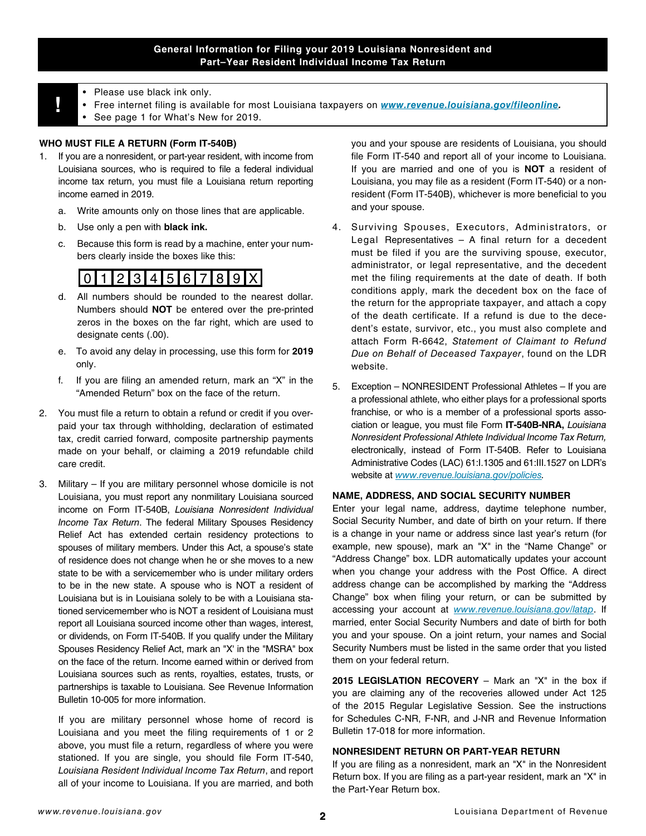## **General Information for Filing your 2019 Louisiana Nonresident and Part–Year Resident Individual Income Tax Return**

- 
- **!** Please use black ink only. Free internet filing is available for most Louisiana taxpayers on *[www.revenue.louisiana.gov/fileonline](http://www.revenue.louisiana.gov/fileonline).*
	- See page 1 for What's New for 2019.

## **WHO MUST FILE A RETURN (Form IT-540B)**

- 1. If you are a nonresident, or part-year resident, with income from Louisiana sources, who is required to fle a federal individual income tax return, you must fle a Louisiana return reporting income earned in 2019.
	- a. Write amounts only on those lines that are applicable.
	- b. Use only a pen with **black ink.**
	- c. Because this form is read by a machine, enter your numbers clearly inside the boxes like this:

# 0123456789X

- d. All numbers should be rounded to the nearest dollar. Numbers should **NOT** be entered over the pre-printed zeros in the boxes on the far right, which are used to designate cents (.00).
- e. To avoid any delay in processing, use this form for **2019**  only.
- f. If you are fling an amended return, mark an "X" in the "Amended Return" box on the face of the return.
- 2. You must fle a return to obtain a refund or credit if you overpaid your tax through withholding, declaration of estimated tax, credit carried forward, composite partnership payments made on your behalf, or claiming a 2019 refundable child care credit.
- 3. Military If you are military personnel whose domicile is not Louisiana, you must report any nonmilitary Louisiana sourced income on Form IT-540B, *Louisiana Nonresident Individual Income Tax Return*. The federal Military Spouses Residency Relief Act has extended certain residency protections to spouses of military members. Under this Act, a spouse's state of residence does not change when he or she moves to a new state to be with a servicemember who is under military orders to be in the new state. A spouse who is NOT a resident of Louisiana but is in Louisiana solely to be with a Louisiana stationed servicemember who is NOT a resident of Louisiana must report all Louisiana sourced income other than wages, interest, or dividends, on Form IT-540B. If you qualify under the Military Spouses Residency Relief Act, mark an "X' in the "MSRA" box on the face of the return. Income earned within or derived from Louisiana sources such as rents, royalties, estates, trusts, or partnerships is taxable to Louisiana. See Revenue Information Bulletin 10-005 for more information.

If you are military personnel whose home of record is Louisiana and you meet the fling requirements of 1 or 2 above, you must file a return, regardless of where you were stationed. If you are single, you should file Form IT-540, *Louisiana Resident Individual Income Tax Return*, and report all of your income to Louisiana. If you are married, and both

you and your spouse are residents of Louisiana, you should file Form IT-540 and report all of your income to Louisiana. If you are married and one of you is **NOT** a resident of Louisiana, you may fle as a resident (Form IT-540) or a nonresident (Form IT-540B), whichever is more beneficial to you and your spouse.

- 4. Surviving Spouses, Executors, Administrators, or Legal Representatives – A final return for a decedent must be filed if you are the surviving spouse, executor, administrator, or legal representative, and the decedent met the filing requirements at the date of death. If both conditions apply, mark the decedent box on the face of the return for the appropriate taxpayer, and attach a copy of the death certificate. If a refund is due to the decedent's estate, survivor, etc., you must also complete and attach Form R-6642, *Statement of Claimant to Refund Due on Behalf of Deceased Taxpayer*, found on the LDR website.
- 5. Exception NONRESIDENT Professional Athletes If you are a professional athlete, who either plays for a professional sports franchise, or who is a member of a professional sports association or league, you must fle Form **IT-540B-NRA,** *Louisiana Nonresident Professional Athlete Individual Income Tax Return,* electronically, instead of Form IT-540B. Refer to Louisiana Administrative Codes (LAC) 61:I.1305 and 61:III.1527 on LDR's website at *[www.revenue.louisiana.gov/policies.](http://www.revenue.louisiana.gov/policies)*

#### **NAME, ADDRESS, AND SOCIAL SECURITY NUMBER**

Enter your legal name, address, daytime telephone number, Social Security Number, and date of birth on your return. If there is a change in your name or address since last year's return (for example, new spouse), mark an "X" in the "Name Change" or "Address Change" box. LDR automatically updates your account when you change your address with the Post Office. A direct address change can be accomplished by marking the "Address Change" box when fling your return, or can be submitted by accessing your account at *[www.revenue.louisiana.gov/latap](http://www.revenue.louisiana.gov/latap)*. If married, enter Social Security Numbers and date of birth for both you and your spouse. On a joint return, your names and Social Security Numbers must be listed in the same order that you listed them on your federal return.

**2015 LEGISLATION RECOVERY** – Mark an "X" in the box if you are claiming any of the recoveries allowed under Act 125 of the 2015 Regular Legislative Session. See the instructions for Schedules C-NR, F-NR, and J-NR and Revenue Information Bulletin 17-018 for more information.

## **NONRESIDENT RETURN OR PART-YEAR RETURN**

If you are fling as a nonresident, mark an "X" in the Nonresident Return box. If you are fling as a part-year resident, mark an "X" in the Part-Year Return box.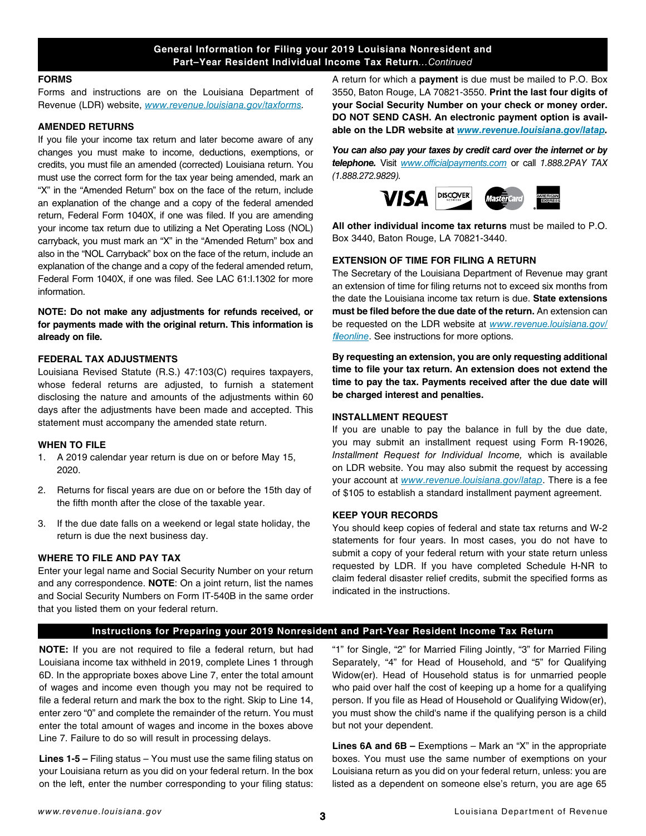## **General Information for Filing your 2019 Louisiana Nonresident and Part–Year Resident Individual Income Tax Return***...Continued*

#### **FORMS**

Forms and instructions are on the Louisiana Department of Revenue (LDR) website, *[www.revenue.louisiana.gov/taxforms.](http://www.revenue.louisiana.gov/taxforms)*

#### **AMENDED RETURNS**

If you file your income tax return and later become aware of any changes you must make to income, deductions, exemptions, or credits, you must fle an amended (corrected) Louisiana return. You must use the correct form for the tax year being amended, mark an "X" in the "Amended Return" box on the face of the return, include an explanation of the change and a copy of the federal amended return, Federal Form 1040X, if one was filed. If you are amending your income tax return due to utilizing a Net Operating Loss (NOL) carryback, you must mark an "X" in the "Amended Return" box and also in the "NOL Carryback" box on the face of the return, include an explanation of the change and a copy of the federal amended return, Federal Form 1040X, if one was filed. See LAC 61:I.1302 for more information.

**NOTE: Do not make any adjustments for refunds received, or for payments made with the original return. This information is already on fle.**

### **FEDERAL TAX ADJUSTMENTS**

Louisiana Revised Statute (R.S.) 47:103(C) requires taxpayers, whose federal returns are adjusted, to furnish a statement disclosing the nature and amounts of the adjustments within 60 days after the adjustments have been made and accepted. This statement must accompany the amended state return.

#### **WHEN TO FILE**

- 1. A 2019 calendar year return is due on or before May 15, 2020.
- 2. Returns for fiscal years are due on or before the 15th day of the fifth month after the close of the taxable year.
- 3. If the due date falls on a weekend or legal state holiday, the return is due the next business day.

## **WHERE TO FILE AND PAY TAX**

Enter your legal name and Social Security Number on your return and any correspondence. **NOTE**: On a joint return, list the names and Social Security Numbers on Form IT-540B in the same order that you listed them on your federal return.

A return for which a **payment** is due must be mailed to P.O. Box 3550, Baton Rouge, LA 70821-3550. **Print the last four digits of your Social Security Number on your check or money order. DO NOT SEND CASH. An electronic payment option is available on the LDR website at** *[www.revenue.louisiana.gov/latap](http://www.revenue.louisiana.gov/latap).*

*You can also pay your taxes by credit card over the internet or by telephone.* Visit *[www.officialpayments.com](http://www.officialpayments.com)* or call *1.888.2PAY TAX (1.888.272.9829).*



**All other individual income tax returns** must be mailed to P.O. Box 3440, Baton Rouge, LA 70821-3440.

## **EXTENSION OF TIME FOR FILING A RETURN**

The Secretary of the Louisiana Department of Revenue may grant an extension of time for fling returns not to exceed six months from the date the Louisiana income tax return is due. **State extensions must be fled before the due date of the return.** An extension can be requested on the LDR website at *[www.revenue.louisiana.gov/](http://www.revenue.louisiana.gov/fileonline)* f*[leonline](http://www.revenue.louisiana.gov/fileonline)*. See instructions for more options.

**By requesting an extension, you are only requesting additional time to fle your tax return. An extension does not extend the time to pay the tax. Payments received after the due date will be charged interest and penalties.** 

#### **INSTALLMENT REQUEST**

If you are unable to pay the balance in full by the due date, you may submit an installment request using Form R-19026, *Installment Request for Individual Income,* which is available on LDR website. You may also submit the request by accessing your account at *[www.revenue.louisiana.gov/latap](http://www.revenue.louisiana.gov/latap)*. There is a fee of \$105 to establish a standard installment payment agreement.

#### **KEEP YOUR RECORDS**

You should keep copies of federal and state tax returns and W-2 statements for four years. In most cases, you do not have to submit a copy of your federal return with your state return unless requested by LDR. If you have completed Schedule H-NR to claim federal disaster relief credits, submit the specifed forms as indicated in the instructions.

### **Instructions for Preparing your 2019 Nonresident and Part-Year Resident Income Tax Return**

**NOTE:** If you are not required to fle a federal return, but had Louisiana income tax withheld in 2019, complete Lines 1 through 6D. In the appropriate boxes above Line 7, enter the total amount of wages and income even though you may not be required to file a federal return and mark the box to the right. Skip to Line 14, enter zero "0" and complete the remainder of the return. You must enter the total amount of wages and income in the boxes above Line 7. Failure to do so will result in processing delays.

**Lines 1-5 –** Filing status – You must use the same fling status on your Louisiana return as you did on your federal return. In the box on the left, enter the number corresponding to your fling status:

"1" for Single, "2" for Married Filing Jointly, "3" for Married Filing Separately, "4" for Head of Household, and "5" for Qualifying Widow(er). Head of Household status is for unmarried people who paid over half the cost of keeping up a home for a qualifying person. If you file as Head of Household or Qualifying Widow(er), you must show the child's name if the qualifying person is a child but not your dependent.

**Lines 6A and 6B –** Exemptions – Mark an "X" in the appropriate boxes. You must use the same number of exemptions on your Louisiana return as you did on your federal return, unless: you are listed as a dependent on someone else's return, you are age 65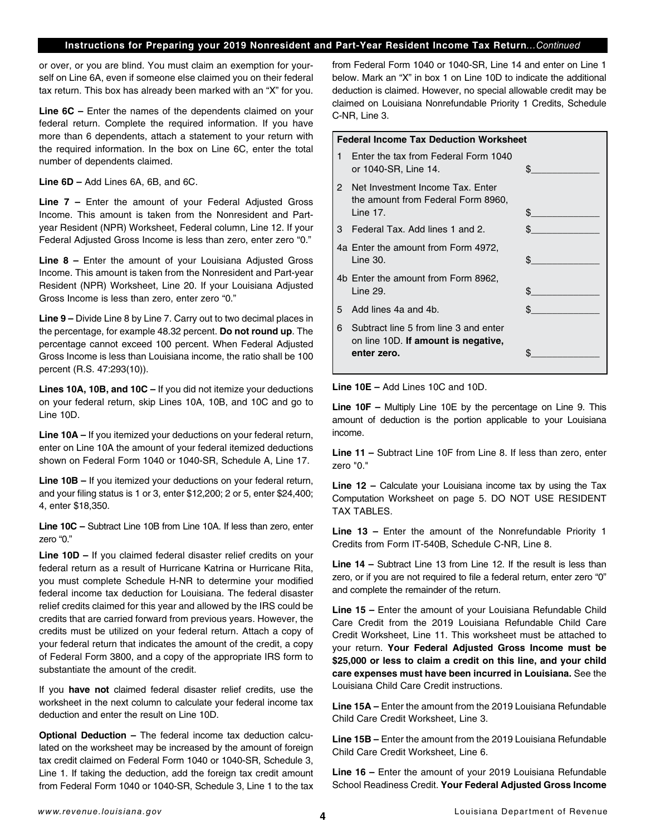### **Instructions for Preparing your 2019 Nonresident and Part-Year Resident Income Tax Return***...Continued*

or over, or you are blind. You must claim an exemption for yourself on Line 6A, even if someone else claimed you on their federal tax return. This box has already been marked with an "X" for you.

**Line 6C –** Enter the names of the dependents claimed on your federal return. Complete the required information. If you have more than 6 dependents, attach a statement to your return with the required information. In the box on Line 6C, enter the total number of dependents claimed.

**Line 6D –** Add Lines 6A, 6B, and 6C.

**Line 7 –** Enter the amount of your Federal Adjusted Gross Income. This amount is taken from the Nonresident and Partyear Resident (NPR) Worksheet, Federal column, Line 12. If your Federal Adjusted Gross Income is less than zero, enter zero "0."

**Line 8 –** Enter the amount of your Louisiana Adjusted Gross Income. This amount is taken from the Nonresident and Part-year Resident (NPR) Worksheet, Line 20. If your Louisiana Adjusted Gross Income is less than zero, enter zero "0."

**Line 9 –** Divide Line 8 by Line 7. Carry out to two decimal places in the percentage, for example 48.32 percent. **Do not round up**. The percentage cannot exceed 100 percent. When Federal Adjusted Gross Income is less than Louisiana income, the ratio shall be 100 percent (R.S. 47:293(10)).

**Lines 10A, 10B, and 10C –** If you did not itemize your deductions on your federal return, skip Lines 10A, 10B, and 10C and go to Line 10D.

**Line 10A –** If you itemized your deductions on your federal return, enter on Line 10A the amount of your federal itemized deductions shown on Federal Form 1040 or 1040-SR, Schedule A, Line 17.

**Line 10B –** If you itemized your deductions on your federal return, and your fling status is 1 or 3, enter \$12,200; 2 or 5, enter \$24,400; 4, enter \$18,350.

**Line 10C –** Subtract Line 10B from Line 10A. If less than zero, enter zero "0."

**Line 10D –** If you claimed federal disaster relief credits on your federal return as a result of Hurricane Katrina or Hurricane Rita, you must complete Schedule H-NR to determine your modifed federal income tax deduction for Louisiana. The federal disaster relief credits claimed for this year and allowed by the IRS could be credits that are carried forward from previous years. However, the credits must be utilized on your federal return. Attach a copy of your federal return that indicates the amount of the credit, a copy of Federal Form 3800, and a copy of the appropriate IRS form to substantiate the amount of the credit.

If you **have not** claimed federal disaster relief credits, use the worksheet in the next column to calculate your federal income tax deduction and enter the result on Line 10D.

**Optional Deduction –** The federal income tax deduction calculated on the worksheet may be increased by the amount of foreign tax credit claimed on Federal Form 1040 or 1040-SR, Schedule 3, Line 1. If taking the deduction, add the foreign tax credit amount from Federal Form 1040 or 1040-SR, Schedule 3, Line 1 to the tax from Federal Form 1040 or 1040-SR, Line 14 and enter on Line 1 below. Mark an "X" in box 1 on Line 10D to indicate the additional deduction is claimed. However, no special allowable credit may be claimed on Louisiana Nonrefundable Priority 1 Credits, Schedule C-NR, Line 3.

## **Federal Income Tax Deduction Worksheet**

| 1 | Enter the tax from Federal Form 1040<br>or 1040-SR, Line 14.                                | \$  |
|---|---------------------------------------------------------------------------------------------|-----|
| 2 | Net Investment Income Tax. Enter<br>the amount from Federal Form 8960,<br>Line 17.          | \$. |
| 3 | Federal Tax. Add lines 1 and 2.                                                             | ፍ   |
|   | 4a Enter the amount from Form 4972,<br>Line 30.                                             | \$. |
|   | 4b Enter the amount from Form 8962,<br>Line 29.                                             | \$  |
| 5 | Add lines 4a and 4b.                                                                        | \$. |
| 6 | Subtract line 5 from line 3 and enter<br>on line 10D. If amount is negative,<br>enter zero. |     |
|   |                                                                                             |     |

**Line 10E –** Add Lines 10C and 10D.

**Line 10F –** Multiply Line 10E by the percentage on Line 9. This amount of deduction is the portion applicable to your Louisiana income.

**Line 11 –** Subtract Line 10F from Line 8. If less than zero, enter zero "0."

**Line 12 –** Calculate your Louisiana income tax by using the Tax Computation Worksheet on page 5. DO NOT USE RESIDENT TAX TABLES.

**Line 13 –** Enter the amount of the Nonrefundable Priority 1 Credits from Form IT-540B, Schedule C-NR, Line 8.

**Line 14 –** Subtract Line 13 from Line 12. If the result is less than zero, or if you are not required to file a federal return, enter zero "0" and complete the remainder of the return.

**Line 15 –** Enter the amount of your Louisiana Refundable Child Care Credit from the 2019 Louisiana Refundable Child Care Credit Worksheet, Line 11. This worksheet must be attached to your return. **Your Federal Adjusted Gross Income must be \$25,000 or less to claim a credit on this line, and your child care expenses must have been incurred in Louisiana.** See the Louisiana Child Care Credit instructions.

**Line 15A –** Enter the amount from the 2019 Louisiana Refundable Child Care Credit Worksheet, Line 3.

**Line 15B –** Enter the amount from the 2019 Louisiana Refundable Child Care Credit Worksheet, Line 6.

**Line 16 –** Enter the amount of your 2019 Louisiana Refundable School Readiness Credit. **Your Federal Adjusted Gross Income**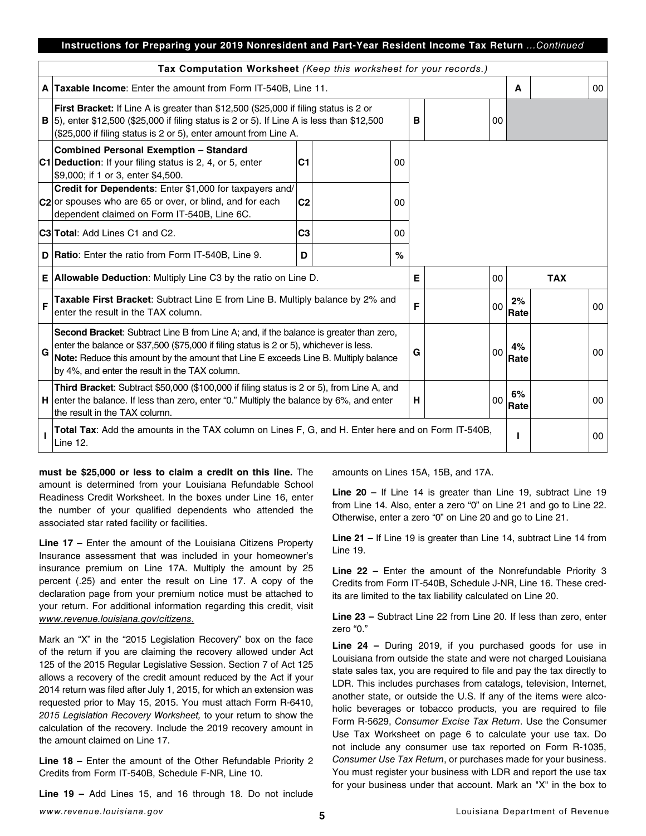## **Instructions for Preparing your 2019 Nonresident and Part-Year Resident Income Tax Return** *...Continued*

|   | Tax Computation Worksheet (Keep this worksheet for your records.)                                                                                                                                                                                                                                                          |   |  |    |   |  |    |            |            |    |
|---|----------------------------------------------------------------------------------------------------------------------------------------------------------------------------------------------------------------------------------------------------------------------------------------------------------------------------|---|--|----|---|--|----|------------|------------|----|
|   | A Taxable Income: Enter the amount from Form IT-540B, Line 11.                                                                                                                                                                                                                                                             |   |  |    |   |  |    | A          |            | 00 |
|   | First Bracket: If Line A is greater than \$12,500 (\$25,000 if filing status is 2 or<br><b>B</b> $ 5 $ , enter \$12,500 (\$25,000 if filing status is 2 or 5). If Line A is less than \$12,500<br>(\$25,000 if filing status is 2 or 5), enter amount from Line A.                                                         |   |  |    | в |  | 00 |            |            |    |
|   | <b>Combined Personal Exemption - Standard</b><br>C1 Deduction: If your filing status is 2, 4, or 5, enter<br>C <sub>1</sub><br>00<br>\$9,000; if 1 or 3, enter \$4,500.                                                                                                                                                    |   |  |    |   |  |    |            |            |    |
|   | Credit for Dependents: Enter \$1,000 for taxpayers and/<br>$ C2 $ or spouses who are 65 or over, or blind, and for each<br>C <sub>2</sub><br>00<br>dependent claimed on Form IT-540B, Line 6C.                                                                                                                             |   |  |    |   |  |    |            |            |    |
|   | C <sub>3</sub><br><b>C3 Total: Add Lines C1 and C2.</b>                                                                                                                                                                                                                                                                    |   |  | 00 |   |  |    |            |            |    |
|   | D   Ratio: Enter the ratio from Form IT-540B, Line 9.                                                                                                                                                                                                                                                                      | D |  | %  |   |  |    |            |            |    |
|   | $E$ Allowable Deduction: Multiply Line C3 by the ratio on Line D.                                                                                                                                                                                                                                                          |   |  |    | Е |  | 00 |            | <b>TAX</b> |    |
| F | Taxable First Bracket: Subtract Line E from Line B. Multiply balance by 2% and<br>enter the result in the TAX column.                                                                                                                                                                                                      |   |  |    | F |  | 00 | 2%<br>Rate |            | 00 |
| G | Second Bracket: Subtract Line B from Line A; and, if the balance is greater than zero,<br>enter the balance or \$37,500 (\$75,000 if filing status is 2 or 5), whichever is less.<br>Note: Reduce this amount by the amount that Line E exceeds Line B. Multiply balance<br>by 4%, and enter the result in the TAX column. |   |  |    |   |  | 00 | 4%<br>Rate |            | 00 |
|   | Third Bracket: Subtract \$50,000 (\$100,000 if filing status is 2 or 5), from Line A, and<br>$H$ enter the balance. If less than zero, enter "0." Multiply the balance by 6%, and enter<br>the result in the TAX column.                                                                                                   |   |  |    | н |  | 00 | 6%<br>Rate |            | 00 |
|   | Total Tax: Add the amounts in the TAX column on Lines F, G, and H. Enter here and on Form IT-540B,<br>Line 12.                                                                                                                                                                                                             |   |  |    |   |  |    |            |            | 00 |

**must be \$25,000 or less to claim a credit on this line.** The amount is determined from your Louisiana Refundable School Readiness Credit Worksheet. In the boxes under Line 16, enter the number of your qualifed dependents who attended the associated star rated facility or facilities.

**Line 17 –** Enter the amount of the Louisiana Citizens Property Insurance assessment that was included in your homeowner's insurance premium on Line 17A. Multiply the amount by 25 percent (.25) and enter the result on Line 17. A copy of the declaration page from your premium notice must be attached to your return. For additional information regarding this credit, visit *www.revenue.louisiana.gov/citizens*.

Mark an "X" in the "2015 Legislation Recovery" box on the face of the return if you are claiming the recovery allowed under Act 125 of the 2015 Regular Legislative Session. Section 7 of Act 125 allows a recovery of the credit amount reduced by the Act if your 2014 return was fled after July 1, 2015, for which an extension was requested prior to May 15, 2015. You must attach Form R-6410, *2015 Legislation Recovery Worksheet,* to your return to show the calculation of the recovery. Include the 2019 recovery amount in the amount claimed on Line 17.

**Line 18 –** Enter the amount of the Other Refundable Priority 2 Credits from Form IT-540B, Schedule F-NR, Line 10.

**Line 19 –** Add Lines 15, and 16 through 18. Do not include

amounts on Lines 15A, 15B, and 17A.

**Line 20 –** If Line 14 is greater than Line 19, subtract Line 19 from Line 14. Also, enter a zero "0" on Line 21 and go to Line 22. Otherwise, enter a zero "0" on Line 20 and go to Line 21.

**Line 21 –** If Line 19 is greater than Line 14, subtract Line 14 from Line 19.

**Line 22 –** Enter the amount of the Nonrefundable Priority 3 Credits from Form IT-540B, Schedule J-NR, Line 16. These credits are limited to the tax liability calculated on Line 20.

**Line 23 –** Subtract Line 22 from Line 20. If less than zero, enter zero "0."

**Line 24 –** During 2019, if you purchased goods for use in Louisiana from outside the state and were not charged Louisiana state sales tax, you are required to fle and pay the tax directly to LDR. This includes purchases from catalogs, television, Internet, another state, or outside the U.S. If any of the items were alcoholic beverages or tobacco products, you are required to fle Form R-5629, *Consumer Excise Tax Return*. Use the Consumer Use Tax Worksheet on page 6 to calculate your use tax. Do not include any consumer use tax reported on Form R-1035, *Consumer Use Tax Return*, or purchases made for your business. You must register your business with LDR and report the use tax for your business under that account. Mark an "X" in the box to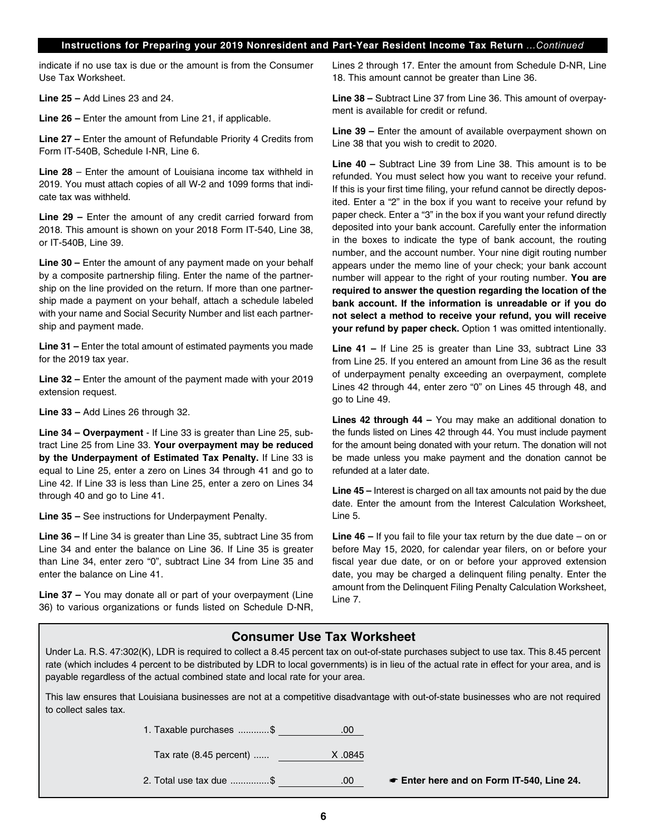## **Instructions for Preparing your 2019 Nonresident and Part-Year Resident Income Tax Return** *...Continued*

indicate if no use tax is due or the amount is from the Consumer Use Tax Worksheet.

**Line 25 –** Add Lines 23 and 24.

**Line 26 –** Enter the amount from Line 21, if applicable.

**Line 27 –** Enter the amount of Refundable Priority 4 Credits from Form IT-540B, Schedule I-NR, Line 6.

**Line 28** – Enter the amount of Louisiana income tax withheld in 2019. You must attach copies of all W-2 and 1099 forms that indicate tax was withheld.

**Line 29 –** Enter the amount of any credit carried forward from 2018. This amount is shown on your 2018 Form IT-540, Line 38, or IT-540B, Line 39.

**Line 30 –** Enter the amount of any payment made on your behalf by a composite partnership fling. Enter the name of the partnership on the line provided on the return. If more than one partnership made a payment on your behalf, attach a schedule labeled with your name and Social Security Number and list each partnership and payment made.

**Line 31 –** Enter the total amount of estimated payments you made for the 2019 tax year.

**Line 32 –** Enter the amount of the payment made with your 2019 extension request.

**Line 33 –** Add Lines 26 through 32.

**Line 34 – Overpayment** - If Line 33 is greater than Line 25, subtract Line 25 from Line 33. **Your overpayment may be reduced by the Underpayment of Estimated Tax Penalty.** If Line 33 is equal to Line 25, enter a zero on Lines 34 through 41 and go to Line 42. If Line 33 is less than Line 25, enter a zero on Lines 34 through 40 and go to Line 41.

**Line 35 –** See instructions for Underpayment Penalty.

**Line 36 –** If Line 34 is greater than Line 35, subtract Line 35 from Line 34 and enter the balance on Line 36. If Line 35 is greater than Line 34, enter zero "0", subtract Line 34 from Line 35 and enter the balance on Line 41.

**Line 37 –** You may donate all or part of your overpayment (Line 36) to various organizations or funds listed on Schedule D-NR, Lines 2 through 17. Enter the amount from Schedule D-NR, Line 18. This amount cannot be greater than Line 36.

**Line 38 –** Subtract Line 37 from Line 36. This amount of overpayment is available for credit or refund.

Line 39 – Enter the amount of available overpayment shown on Line 38 that you wish to credit to 2020.

**Line 40 –** Subtract Line 39 from Line 38. This amount is to be refunded. You must select how you want to receive your refund. If this is your first time filing, your refund cannot be directly deposited. Enter a "2" in the box if you want to receive your refund by paper check. Enter a "3" in the box if you want your refund directly deposited into your bank account. Carefully enter the information in the boxes to indicate the type of bank account, the routing number, and the account number. Your nine digit routing number appears under the memo line of your check; your bank account number will appear to the right of your routing number. **You are required to answer the question regarding the location of the bank account. If the information is unreadable or if you do not select a method to receive your refund, you will receive your refund by paper check.** Option 1 was omitted intentionally.

**Line 41 –** If Line 25 is greater than Line 33, subtract Line 33 from Line 25. If you entered an amount from Line 36 as the result of underpayment penalty exceeding an overpayment, complete Lines 42 through 44, enter zero "0" on Lines 45 through 48, and go to Line 49.

**Lines 42 through 44 –** You may make an additional donation to the funds listed on Lines 42 through 44. You must include payment for the amount being donated with your return. The donation will not be made unless you make payment and the donation cannot be refunded at a later date.

**Line 45 –** Interest is charged on all tax amounts not paid by the due date. Enter the amount from the Interest Calculation Worksheet, Line 5.

**Line 46 –** If you fail to fle your tax return by the due date – on or before May 15, 2020, for calendar year filers, on or before your fiscal year due date, or on or before your approved extension date, you may be charged a delinquent fling penalty. Enter the amount from the Delinquent Filing Penalty Calculation Worksheet, Line 7.

## **Consumer Use Tax Worksheet**

Under La. R.S. 47:302(K), LDR is required to collect a 8.45 percent tax on out-of-state purchases subject to use tax. This 8.45 percent rate (which includes 4 percent to be distributed by LDR to local governments) is in lieu of the actual rate in effect for your area, and is payable regardless of the actual combined state and local rate for your area.

This law ensures that Louisiana businesses are not at a competitive disadvantage with out-of-state businesses who are not required to collect sales tax.

> 1. Taxable purchases ............\$ .00 Tax rate (8.45 percent) ...... X .0845 2. Total use tax due ...............\$ .00 ☛ **Enter here and on Form IT-540, Line 24.**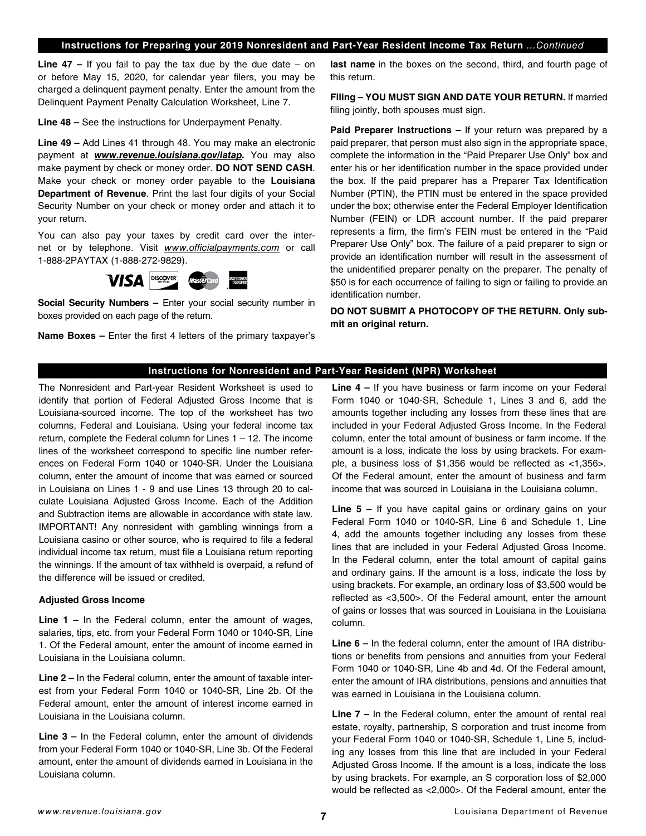## **Instructions for Preparing your 2019 Nonresident and Part-Year Resident Income Tax Return** *...Continued*

**Line 47 –** If you fail to pay the tax due by the due date – on or before May 15, 2020, for calendar year flers, you may be charged a delinquent payment penalty. Enter the amount from the Delinquent Payment Penalty Calculation Worksheet, Line 7.

**Line 48 –** See the instructions for Underpayment Penalty.

**Line 49 –** Add Lines 41 through 48. You may make an electronic payment at *[www.revenue.louisiana.gov/latap.](http://www.revenue.louisiana.gov/latap)* You may also make payment by check or money order. **DO NOT SEND CASH**. Make your check or money order payable to the **Louisiana Department of Revenue**. Print the last four digits of your Social Security Number on your check or money order and attach it to your return.

You can also pay your taxes by credit card over the internet or by telephone. Visit *[www.officialpayments.com](http://www.officialpayments.com)* or call 1-888-2PAYTAX (1-888-272-9829).



**Social Security Numbers –** Enter your social security number in boxes provided on each page of the return.

**Name Boxes -** Enter the first 4 letters of the primary taxpayer's

**last name** in the boxes on the second, third, and fourth page of this return.

**Filing – YOU MUST SIGN AND DATE YOUR RETURN.** If married filing jointly, both spouses must sign.

**Paid Preparer Instructions –** If your return was prepared by a paid preparer, that person must also sign in the appropriate space, complete the information in the "Paid Preparer Use Only" box and enter his or her identification number in the space provided under the box. If the paid preparer has a Preparer Tax Identifcation Number (PTIN), the PTIN must be entered in the space provided under the box; otherwise enter the Federal Employer Identification Number (FEIN) or LDR account number. If the paid preparer represents a firm, the firm's FEIN must be entered in the "Paid Preparer Use Only" box. The failure of a paid preparer to sign or provide an identification number will result in the assessment of the unidentifed preparer penalty on the preparer. The penalty of \$50 is for each occurrence of failing to sign or failing to provide an identification number.

**DO NOT SUBMIT A PHOTOCOPY OF THE RETURN. Only submit an original return.**

#### **Instructions for Nonresident and Part-Year Resident (NPR) Worksheet**

The Nonresident and Part-year Resident Worksheet is used to identify that portion of Federal Adjusted Gross Income that is Louisiana-sourced income. The top of the worksheet has two columns, Federal and Louisiana. Using your federal income tax return, complete the Federal column for Lines 1 – 12. The income lines of the worksheet correspond to specific line number references on Federal Form 1040 or 1040-SR. Under the Louisiana column, enter the amount of income that was earned or sourced in Louisiana on Lines 1 - 9 and use Lines 13 through 20 to calculate Louisiana Adjusted Gross Income. Each of the Addition and Subtraction items are allowable in accordance with state law. IMPORTANT! Any nonresident with gambling winnings from a Louisiana casino or other source, who is required to fle a federal individual income tax return, must file a Louisiana return reporting the winnings. If the amount of tax withheld is overpaid, a refund of the difference will be issued or credited.

#### **Adjusted Gross Income**

**Line 1 –** In the Federal column, enter the amount of wages, salaries, tips, etc. from your Federal Form 1040 or 1040-SR, Line 1. Of the Federal amount, enter the amount of income earned in Louisiana in the Louisiana column.

**Line 2 –** In the Federal column, enter the amount of taxable interest from your Federal Form 1040 or 1040-SR, Line 2b. Of the Federal amount, enter the amount of interest income earned in Louisiana in the Louisiana column.

**Line 3 –** In the Federal column, enter the amount of dividends from your Federal Form 1040 or 1040-SR, Line 3b. Of the Federal amount, enter the amount of dividends earned in Louisiana in the Louisiana column.

**Line 4 –** If you have business or farm income on your Federal Form 1040 or 1040-SR, Schedule 1, Lines 3 and 6, add the amounts together including any losses from these lines that are included in your Federal Adjusted Gross Income. In the Federal column, enter the total amount of business or farm income. If the amount is a loss, indicate the loss by using brackets. For example, a business loss of \$1,356 would be refected as <1,356>. Of the Federal amount, enter the amount of business and farm income that was sourced in Louisiana in the Louisiana column.

**Line 5 –** If you have capital gains or ordinary gains on your Federal Form 1040 or 1040-SR, Line 6 and Schedule 1, Line 4, add the amounts together including any losses from these lines that are included in your Federal Adjusted Gross Income. In the Federal column, enter the total amount of capital gains and ordinary gains. If the amount is a loss, indicate the loss by using brackets. For example, an ordinary loss of \$3,500 would be reflected as <3,500>. Of the Federal amount, enter the amount of gains or losses that was sourced in Louisiana in the Louisiana column.

**Line 6 –** In the federal column, enter the amount of IRA distributions or benefits from pensions and annuities from your Federal Form 1040 or 1040-SR, Line 4b and 4d. Of the Federal amount, enter the amount of IRA distributions, pensions and annuities that was earned in Louisiana in the Louisiana column.

**Line 7 –** In the Federal column, enter the amount of rental real estate, royalty, partnership, S corporation and trust income from your Federal Form 1040 or 1040-SR, Schedule 1, Line 5, including any losses from this line that are included in your Federal Adjusted Gross Income. If the amount is a loss, indicate the loss by using brackets. For example, an S corporation loss of \$2,000 would be refected as <2,000>. Of the Federal amount, enter the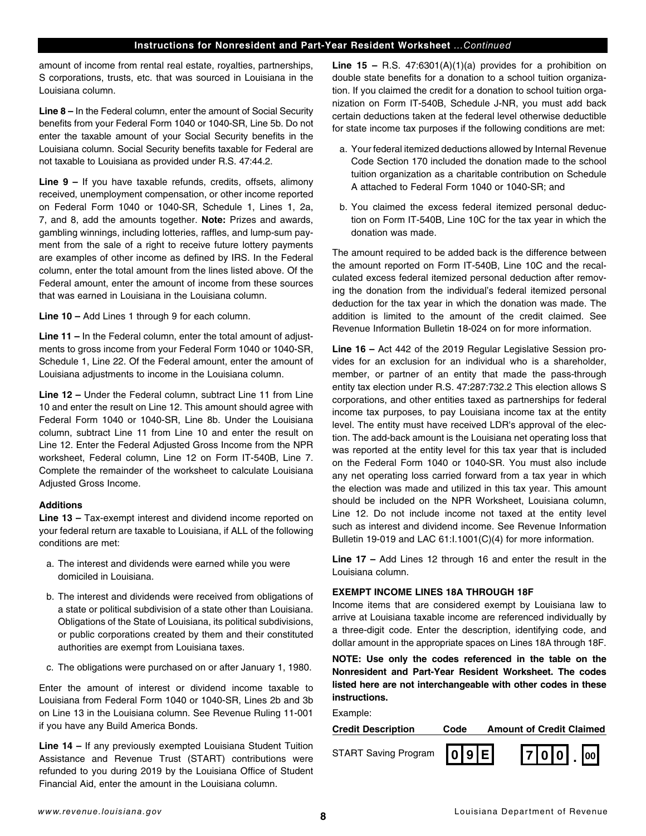amount of income from rental real estate, royalties, partnerships, S corporations, trusts, etc. that was sourced in Louisiana in the Louisiana column.

**Line 8 –** In the Federal column, enter the amount of Social Security benefits from your Federal Form 1040 or 1040-SR, Line 5b. Do not enter the taxable amount of your Social Security benefits in the Louisiana column. Social Security benefits taxable for Federal are not taxable to Louisiana as provided under R.S. 47:44.2.

**Line 9 –** If you have taxable refunds, credits, offsets, alimony received, unemployment compensation, or other income reported on Federal Form 1040 or 1040-SR, Schedule 1, Lines 1, 2a, 7, and 8, add the amounts together. **Note:** Prizes and awards, gambling winnings, including lotteries, raffles, and lump-sum payment from the sale of a right to receive future lottery payments are examples of other income as defned by IRS. In the Federal column, enter the total amount from the lines listed above. Of the Federal amount, enter the amount of income from these sources that was earned in Louisiana in the Louisiana column.

**Line 10 –** Add Lines 1 through 9 for each column.

**Line 11 –** In the Federal column, enter the total amount of adjustments to gross income from your Federal Form 1040 or 1040-SR, Schedule 1, Line 22. Of the Federal amount, enter the amount of Louisiana adjustments to income in the Louisiana column.

**Line 12 –** Under the Federal column, subtract Line 11 from Line 10 and enter the result on Line 12. This amount should agree with Federal Form 1040 or 1040-SR, Line 8b. Under the Louisiana column, subtract Line 11 from Line 10 and enter the result on Line 12. Enter the Federal Adjusted Gross Income from the NPR worksheet, Federal column, Line 12 on Form IT-540B, Line 7. Complete the remainder of the worksheet to calculate Louisiana Adjusted Gross Income.

## **Additions**

**Line 13 –** Tax-exempt interest and dividend income reported on your federal return are taxable to Louisiana, if ALL of the following conditions are met:

- a. The interest and dividends were earned while you were domiciled in Louisiana.
- b. The interest and dividends were received from obligations of a state or political subdivision of a state other than Louisiana. Obligations of the State of Louisiana, its political subdivisions, or public corporations created by them and their constituted authorities are exempt from Louisiana taxes.
- c. The obligations were purchased on or after January 1, 1980.

Enter the amount of interest or dividend income taxable to Louisiana from Federal Form 1040 or 1040-SR, Lines 2b and 3b on Line 13 in the Louisiana column. See Revenue Ruling 11-001 if you have any Build America Bonds.

**Line 14 –** If any previously exempted Louisiana Student Tuition Assistance and Revenue Trust (START) contributions were refunded to you during 2019 by the Louisiana Office of Student Financial Aid, enter the amount in the Louisiana column.

**Line 15 –** R.S. 47:6301(A)(1)(a) provides for a prohibition on double state benefits for a donation to a school tuition organization. If you claimed the credit for a donation to school tuition organization on Form IT-540B, Schedule J-NR, you must add back certain deductions taken at the federal level otherwise deductible for state income tax purposes if the following conditions are met:

- a. Your federal itemized deductions allowed by Internal Revenue Code Section 170 included the donation made to the school tuition organization as a charitable contribution on Schedule A attached to Federal Form 1040 or 1040-SR; and
- b. You claimed the excess federal itemized personal deduction on Form IT-540B, Line 10C for the tax year in which the donation was made.

The amount required to be added back is the difference between the amount reported on Form IT-540B, Line 10C and the recalculated excess federal itemized personal deduction after removing the donation from the individual's federal itemized personal deduction for the tax year in which the donation was made. The addition is limited to the amount of the credit claimed. See Revenue Information Bulletin 18-024 on for more information.

**Line 16 –** Act 442 of the 2019 Regular Legislative Session provides for an exclusion for an individual who is a shareholder, member, or partner of an entity that made the pass-through entity tax election under R.S. 47:287:732.2 This election allows S corporations, and other entities taxed as partnerships for federal income tax purposes, to pay Louisiana income tax at the entity level. The entity must have received LDR's approval of the election. The add-back amount is the Louisiana net operating loss that was reported at the entity level for this tax year that is included on the Federal Form 1040 or 1040-SR. You must also include any net operating loss carried forward from a tax year in which the election was made and utilized in this tax year. This amount should be included on the NPR Worksheet, Louisiana column, Line 12. Do not include income not taxed at the entity level such as interest and dividend income. See Revenue Information Bulletin 19-019 and LAC 61:I.1001(C)(4) for more information.

**Line 17 –** Add Lines 12 through 16 and enter the result in the Louisiana column.

## **EXEMPT INCOME LINES 18A THROUGH 18F**

Income items that are considered exempt by Louisiana law to arrive at Louisiana taxable income are referenced individually by a three-digit code. Enter the description, identifying code, and dollar amount in the appropriate spaces on Lines 18A through 18F.

**NOTE: Use only the codes referenced in the table on the Nonresident and Part-Year Resident Worksheet. The codes listed here are not interchangeable with other codes in these instructions.**

Example:

**Credit Description Code Amount of Credit Claimed** START Saving Program  $\begin{bmatrix} 0 & 9 & E \\ \end{bmatrix}$  | 7 0 0 0  $\begin{bmatrix} 0 & 0 \\ 0 & 0 \end{bmatrix}$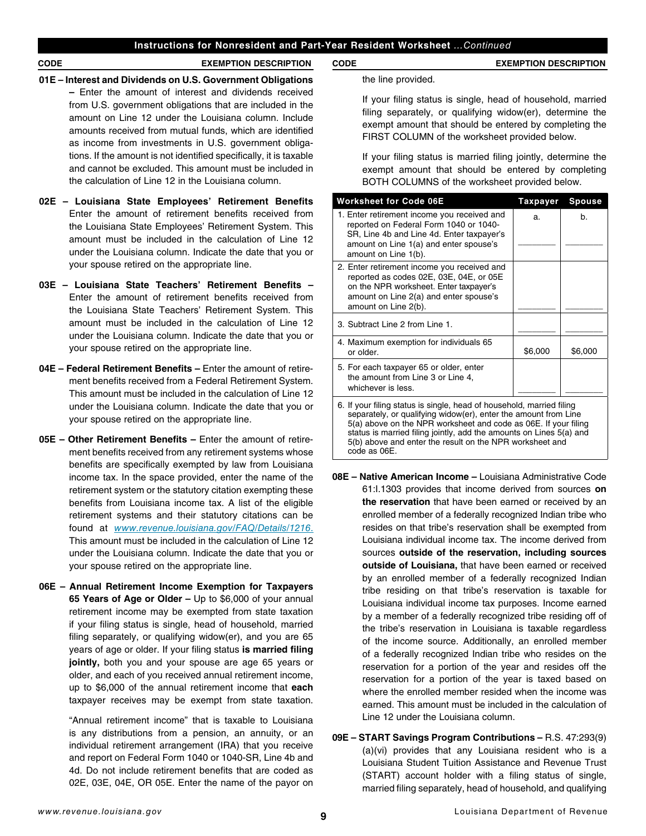- **01E Interest and Dividends on U.S. Government Obligations –** Enter the amount of interest and dividends received from U.S. government obligations that are included in the amount on Line 12 under the Louisiana column. Include amounts received from mutual funds, which are identifed as income from investments in U.S. government obligations. If the amount is not identified specifically, it is taxable and cannot be excluded. This amount must be included in the calculation of Line 12 in the Louisiana column.
- **02E Louisiana State Employees' Retirement Benefts**  Enter the amount of retirement benefits received from the Louisiana State Employees' Retirement System. This amount must be included in the calculation of Line 12 under the Louisiana column. Indicate the date that you or your spouse retired on the appropriate line.
- **03E Louisiana State Teachers' Retirement Benefts**  Enter the amount of retirement benefits received from the Louisiana State Teachers' Retirement System. This amount must be included in the calculation of Line 12 under the Louisiana column. Indicate the date that you or your spouse retired on the appropriate line.
- **04E Federal Retirement Benefts –** Enter the amount of retirement benefts received from a Federal Retirement System. This amount must be included in the calculation of Line 12 under the Louisiana column. Indicate the date that you or your spouse retired on the appropriate line.
- **05E Other Retirement Benefts –** Enter the amount of retirement benefits received from any retirement systems whose benefits are specifically exempted by law from Louisiana income tax. In the space provided, enter the name of the retirement system or the statutory citation exempting these benefits from Louisiana income tax. A list of the eligible retirement systems and their statutory citations can be found at *[www.revenue.louisiana.gov/FAQ/Details/1216](http://www.revenue.louisiana.gov/FAQ/Details/1216)*. This amount must be included in the calculation of Line 12 under the Louisiana column. Indicate the date that you or your spouse retired on the appropriate line.
- **06E Annual Retirement Income Exemption for Taxpayers 65 Years of Age or Older –** Up to \$6,000 of your annual retirement income may be exempted from state taxation if your filing status is single, head of household, married filing separately, or qualifying widow(er), and you are 65 years of age or older. If your fling status **is married fling jointly,** both you and your spouse are age 65 years or older, and each of you received annual retirement income, up to \$6,000 of the annual retirement income that **each** taxpayer receives may be exempt from state taxation.

"Annual retirement income" that is taxable to Louisiana is any distributions from a pension, an annuity, or an individual retirement arrangement (IRA) that you receive and report on Federal Form 1040 or 1040-SR, Line 4b and 4d. Do not include retirement benefits that are coded as 02E, 03E, 04E, OR 05E. Enter the name of the payor on

the line provided.

If your filing status is single, head of household, married filing separately, or qualifying widow(er), determine the exempt amount that should be entered by completing the FIRST COLUMN of the worksheet provided below.

If your filing status is married filing jointly, determine the exempt amount that should be entered by completing BOTH COLUMNS of the worksheet provided below.

| <b>Worksheet for Code 06E</b>                                                                                                                                                                                                                                                                                                                  | Taxpayer | <b>Spouse</b> |  |  |  |
|------------------------------------------------------------------------------------------------------------------------------------------------------------------------------------------------------------------------------------------------------------------------------------------------------------------------------------------------|----------|---------------|--|--|--|
| 1. Enter retirement income you received and<br>reported on Federal Form 1040 or 1040-<br>SR, Line 4b and Line 4d. Enter taxpayer's<br>amount on Line 1(a) and enter spouse's                                                                                                                                                                   | a.       | b.            |  |  |  |
| amount on Line 1(b).                                                                                                                                                                                                                                                                                                                           |          |               |  |  |  |
| 2. Enter retirement income you received and<br>reported as codes 02E, 03E, 04E, or 05E<br>on the NPR worksheet. Enter taxpayer's<br>amount on Line 2(a) and enter spouse's<br>amount on Line 2(b).                                                                                                                                             |          |               |  |  |  |
| 3. Subtract Line 2 from Line 1.                                                                                                                                                                                                                                                                                                                |          |               |  |  |  |
| 4. Maximum exemption for individuals 65<br>or older.                                                                                                                                                                                                                                                                                           | \$6,000  | \$6,000       |  |  |  |
| 5. For each taxpayer 65 or older, enter<br>the amount from Line 3 or Line 4,<br>whichever is less.                                                                                                                                                                                                                                             |          |               |  |  |  |
| 6. If your filing status is single, head of household, married filing<br>separately, or qualifying widow(er), enter the amount from Line<br>5(a) above on the NPR worksheet and code as 06E. If your filing<br>status is married filing jointly, add the amounts on Lines 5(a) and<br>5(b) above and enter the result on the NPR worksheet and |          |               |  |  |  |

- **08E Native American Income –** Louisiana Administrative Code 61:I.1303 provides that income derived from sources **on the reservation** that have been earned or received by an enrolled member of a federally recognized Indian tribe who resides on that tribe's reservation shall be exempted from Louisiana individual income tax. The income derived from sources **outside of the reservation, including sources outside of Louisiana,** that have been earned or received by an enrolled member of a federally recognized Indian tribe residing on that tribe's reservation is taxable for Louisiana individual income tax purposes. Income earned by a member of a federally recognized tribe residing off of the tribe's reservation in Louisiana is taxable regardless of the income source. Additionally, an enrolled member of a federally recognized Indian tribe who resides on the reservation for a portion of the year and resides off the reservation for a portion of the year is taxed based on where the enrolled member resided when the income was earned. This amount must be included in the calculation of Line 12 under the Louisiana column.
- **09E START Savings Program Contributions –** R.S. 47:293(9) (a)(vi) provides that any Louisiana resident who is a Louisiana Student Tuition Assistance and Revenue Trust (START) account holder with a filing status of single, married fling separately, head of household, and qualifying

code as 06E.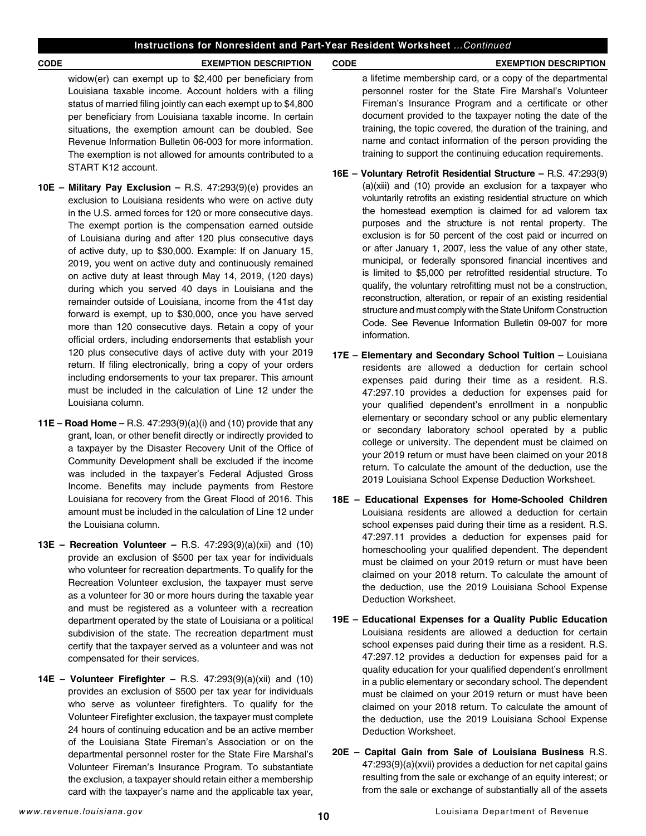widow(er) can exempt up to  $$2,400$  per beneficiary from Louisiana taxable income. Account holders with a fling status of married fling jointly can each exempt up to \$4,800 per beneficiary from Louisiana taxable income. In certain situations, the exemption amount can be doubled. See Revenue Information Bulletin 06-003 for more information. The exemption is not allowed for amounts contributed to a START K12 account.

- **10E Military Pay Exclusion –** R.S. 47:293(9)(e) provides an exclusion to Louisiana residents who were on active duty in the U.S. armed forces for 120 or more consecutive days. The exempt portion is the compensation earned outside of Louisiana during and after 120 plus consecutive days of active duty, up to \$30,000. Example: If on January 15, 2019, you went on active duty and continuously remained on active duty at least through May 14, 2019, (120 days) during which you served 40 days in Louisiana and the remainder outside of Louisiana, income from the 41st day forward is exempt, up to \$30,000, once you have served more than 120 consecutive days. Retain a copy of your official orders, including endorsements that establish your 120 plus consecutive days of active duty with your 2019 return. If fling electronically, bring a copy of your orders including endorsements to your tax preparer. This amount must be included in the calculation of Line 12 under the Louisiana column.
- **11E Road Home –** R.S. 47:293(9)(a)(i) and (10) provide that any grant, loan, or other benefit directly or indirectly provided to a taxpayer by the Disaster Recovery Unit of the Office of Community Development shall be excluded if the income was included in the taxpayer's Federal Adjusted Gross Income. Benefits may include payments from Restore Louisiana for recovery from the Great Flood of 2016. This amount must be included in the calculation of Line 12 under the Louisiana column.
- **13E Recreation Volunteer –** R.S. 47:293(9)(a)(xii) and (10) provide an exclusion of \$500 per tax year for individuals who volunteer for recreation departments. To qualify for the Recreation Volunteer exclusion, the taxpayer must serve as a volunteer for 30 or more hours during the taxable year and must be registered as a volunteer with a recreation department operated by the state of Louisiana or a political subdivision of the state. The recreation department must certify that the taxpayer served as a volunteer and was not compensated for their services.
- **14E Volunteer Firefghter –** R.S. 47:293(9)(a)(xii) and (10) provides an exclusion of \$500 per tax year for individuals who serve as volunteer firefighters. To qualify for the Volunteer Firefighter exclusion, the taxpayer must complete 24 hours of continuing education and be an active member of the Louisiana State Fireman's Association or on the departmental personnel roster for the State Fire Marshal's Volunteer Fireman's Insurance Program. To substantiate the exclusion, a taxpayer should retain either a membership card with the taxpayer's name and the applicable tax year,

### **CODE EXEMPTION DESCRIPTION CODE EXEMPTION DESCRIPTION**

a lifetime membership card, or a copy of the departmental personnel roster for the State Fire Marshal's Volunteer Fireman's Insurance Program and a certificate or other document provided to the taxpayer noting the date of the training, the topic covered, the duration of the training, and name and contact information of the person providing the training to support the continuing education requirements.

- **16E Voluntary Retroft Residential Structure –** R.S. 47:293(9) (a)(xiii) and (10) provide an exclusion for a taxpayer who voluntarily retrofits an existing residential structure on which the homestead exemption is claimed for ad valorem tax purposes and the structure is not rental property. The exclusion is for 50 percent of the cost paid or incurred on or after January 1, 2007, less the value of any other state, municipal, or federally sponsored fnancial incentives and is limited to \$5,000 per retrofitted residential structure. To qualify, the voluntary retrofitting must not be a construction, reconstruction, alteration, or repair of an existing residential structure and must comply with the State Uniform Construction Code. See Revenue Information Bulletin 09-007 for more information.
- **17E Elementary and Secondary School Tuition** Louisiana residents are allowed a deduction for certain school expenses paid during their time as a resident. R.S. 47:297.10 provides a deduction for expenses paid for your qualifed dependent's enrollment in a nonpublic elementary or secondary school or any public elementary or secondary laboratory school operated by a public college or university. The dependent must be claimed on your 2019 return or must have been claimed on your 2018 return. To calculate the amount of the deduction, use the 2019 Louisiana School Expense Deduction Worksheet.
- **18E Educational Expenses for Home-Schooled Children**  Louisiana residents are allowed a deduction for certain school expenses paid during their time as a resident. R.S. 47:297.11 provides a deduction for expenses paid for homeschooling your qualified dependent. The dependent must be claimed on your 2019 return or must have been claimed on your 2018 return. To calculate the amount of the deduction, use the 2019 Louisiana School Expense Deduction Worksheet.
- **19E Educational Expenses for a Quality Public Education**  Louisiana residents are allowed a deduction for certain school expenses paid during their time as a resident. R.S. 47:297.12 provides a deduction for expenses paid for a quality education for your qualifed dependent's enrollment in a public elementary or secondary school. The dependent must be claimed on your 2019 return or must have been claimed on your 2018 return. To calculate the amount of the deduction, use the 2019 Louisiana School Expense Deduction Worksheet.
- **20E Capital Gain from Sale of Louisiana Business** R.S. 47:293(9)(a)(xvii) provides a deduction for net capital gains resulting from the sale or exchange of an equity interest; or from the sale or exchange of substantially all of the assets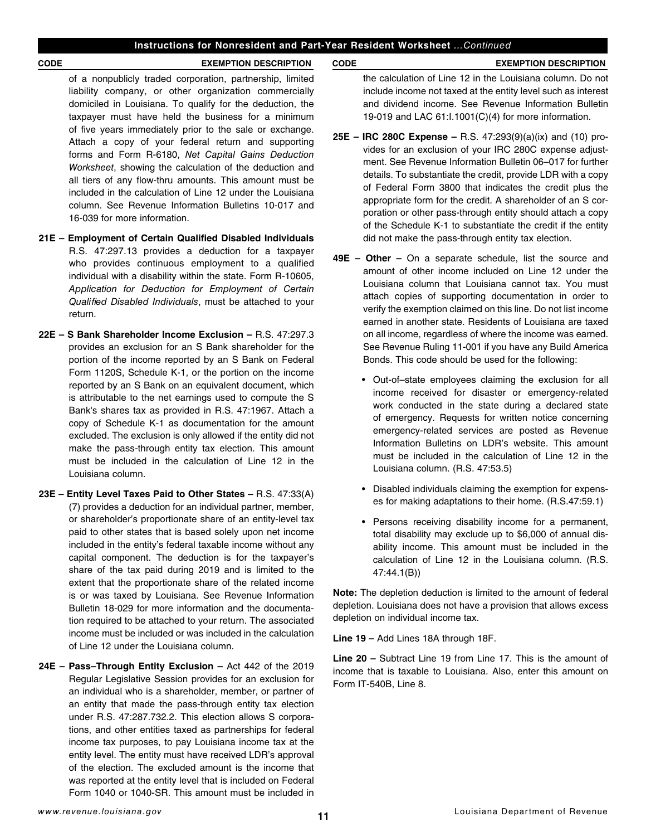of a nonpublicly traded corporation, partnership, limited liability company, or other organization commercially domiciled in Louisiana. To qualify for the deduction, the taxpayer must have held the business for a minimum of five years immediately prior to the sale or exchange. Attach a copy of your federal return and supporting forms and Form R-6180, *Net Capital Gains Deduction Worksheet*, showing the calculation of the deduction and all tiers of any flow-thru amounts. This amount must be included in the calculation of Line 12 under the Louisiana column. See Revenue Information Bulletins 10-017 and 16-039 for more information.

- **21E Employment of Certain Qualifed Disabled Individuals** R.S. 47:297.13 provides a deduction for a taxpayer who provides continuous employment to a qualified individual with a disability within the state. Form R-10605, *Application for Deduction for Employment of Certain Quali*f*ed Disabled Individuals*, must be attached to your return.
- **22E – S Bank Shareholder Income Exclusion –** R.S. 47:297.3 provides an exclusion for an S Bank shareholder for the portion of the income reported by an S Bank on Federal Form 1120S, Schedule K-1, or the portion on the income reported by an S Bank on an equivalent document, which is attributable to the net earnings used to compute the S Bank's shares tax as provided in R.S. 47:1967. Attach a copy of Schedule K-1 as documentation for the amount excluded. The exclusion is only allowed if the entity did not make the pass-through entity tax election. This amount must be included in the calculation of Line 12 in the Louisiana column.
- **23E Entity Level Taxes Paid to Other States –** R.S. 47:33(A) (7) provides a deduction for an individual partner, member, or shareholder's proportionate share of an entity-level tax paid to other states that is based solely upon net income included in the entity's federal taxable income without any capital component. The deduction is for the taxpayer's share of the tax paid during 2019 and is limited to the extent that the proportionate share of the related income is or was taxed by Louisiana. See Revenue Information Bulletin 18-029 for more information and the documentation required to be attached to your return. The associated income must be included or was included in the calculation of Line 12 under the Louisiana column.
- **24E Pass–Through Entity Exclusion –** Act 442 of the 2019 Regular Legislative Session provides for an exclusion for an individual who is a shareholder, member, or partner of an entity that made the pass-through entity tax election under R.S. 47:287.732.2. This election allows S corporations, and other entities taxed as partnerships for federal income tax purposes, to pay Louisiana income tax at the entity level. The entity must have received LDR's approval of the election. The excluded amount is the income that was reported at the entity level that is included on Federal Form 1040 or 1040-SR. This amount must be included in

#### **CODE EXEMPTION DESCRIPTION CODE EXEMPTION DESCRIPTION**

the calculation of Line 12 in the Louisiana column. Do not include income not taxed at the entity level such as interest and dividend income. See Revenue Information Bulletin 19-019 and LAC 61:I.1001(C)(4) for more information.

- **25E IRC 280C Expense –** R.S. 47:293(9)(a)(ix) and (10) provides for an exclusion of your IRC 280C expense adjustment. See Revenue Information Bulletin 06–017 for further details. To substantiate the credit, provide LDR with a copy of Federal Form 3800 that indicates the credit plus the appropriate form for the credit. A shareholder of an S corporation or other pass-through entity should attach a copy of the Schedule K-1 to substantiate the credit if the entity did not make the pass-through entity tax election.
- **49E Other –** On a separate schedule, list the source and amount of other income included on Line 12 under the Louisiana column that Louisiana cannot tax. You must attach copies of supporting documentation in order to verify the exemption claimed on this line. Do not list income earned in another state. Residents of Louisiana are taxed on all income, regardless of where the income was earned. See Revenue Ruling 11-001 if you have any Build America Bonds. This code should be used for the following:
	- Out-of–state employees claiming the exclusion for all income received for disaster or emergency-related work conducted in the state during a declared state of emergency. Requests for written notice concerning emergency-related services are posted as Revenue Information Bulletins on LDR's website. This amount must be included in the calculation of Line 12 in the Louisiana column. (R.S. 47:53.5)
	- Disabled individuals claiming the exemption for expenses for making adaptations to their home. (R.S.47:59.1)
	- Persons receiving disability income for a permanent, total disability may exclude up to \$6,000 of annual disability income. This amount must be included in the calculation of Line 12 in the Louisiana column. (R.S. 47:44.1(B))

**Note:** The depletion deduction is limited to the amount of federal depletion. Louisiana does not have a provision that allows excess depletion on individual income tax.

**Line 19 –** Add Lines 18A through 18F.

**Line 20 –** Subtract Line 19 from Line 17. This is the amount of income that is taxable to Louisiana. Also, enter this amount on Form IT-540B, Line 8.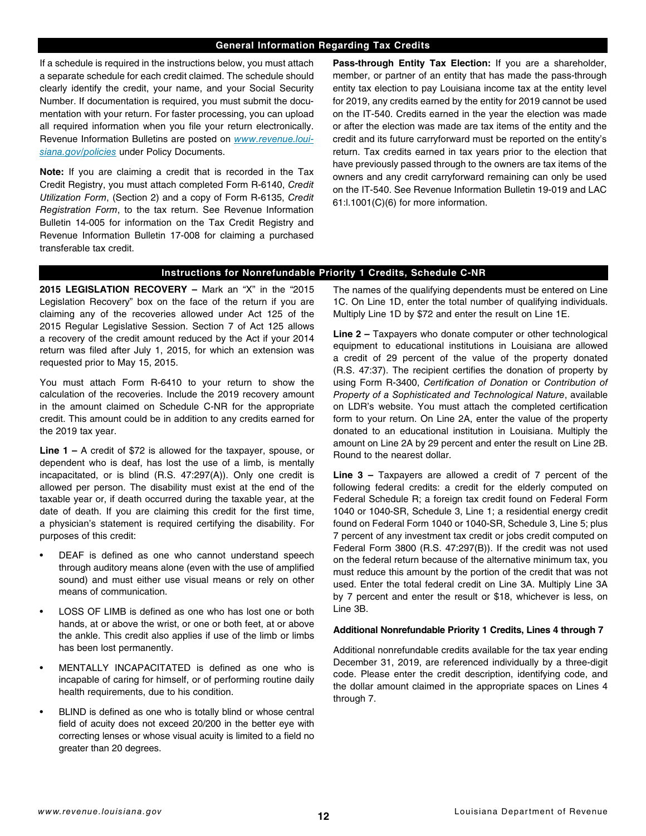#### **General Information Regarding Tax Credits**

If a schedule is required in the instructions below, you must attach a separate schedule for each credit claimed. The schedule should clearly identify the credit, your name, and your Social Security Number. If documentation is required, you must submit the documentation with your return. For faster processing, you can upload all required information when you file your return electronically. Revenue Information Bulletins are posted on *[www.revenue.loui](http://www.revenue.louisiana.gov/policies)[siana.gov/policies](http://www.revenue.louisiana.gov/policies)* under Policy Documents.

**Note:** If you are claiming a credit that is recorded in the Tax Credit Registry, you must attach completed Form R-6140, *Credit Utilization Form*, (Section 2) and a copy of Form R-6135, *Credit Registration Form*, to the tax return. See Revenue Information Bulletin 14-005 for information on the Tax Credit Registry and Revenue Information Bulletin 17-008 for claiming a purchased transferable tax credit.

**Pass-through Entity Tax Election:** If you are a shareholder, member, or partner of an entity that has made the pass-through entity tax election to pay Louisiana income tax at the entity level for 2019, any credits earned by the entity for 2019 cannot be used on the IT-540. Credits earned in the year the election was made or after the election was made are tax items of the entity and the credit and its future carryforward must be reported on the entity's return. Tax credits earned in tax years prior to the election that have previously passed through to the owners are tax items of the owners and any credit carryforward remaining can only be used on the IT-540. See Revenue Information Bulletin 19-019 and LAC 61:l.1001(C)(6) for more information.

## **Instructions for Nonrefundable Priority 1 Credits, Schedule C-NR**

**2015 LEGISLATION RECOVERY –** Mark an "X" in the "2015 Legislation Recovery" box on the face of the return if you are claiming any of the recoveries allowed under Act 125 of the 2015 Regular Legislative Session. Section 7 of Act 125 allows a recovery of the credit amount reduced by the Act if your 2014 return was fled after July 1, 2015, for which an extension was requested prior to May 15, 2015.

You must attach Form R-6410 to your return to show the calculation of the recoveries. Include the 2019 recovery amount in the amount claimed on Schedule C-NR for the appropriate credit. This amount could be in addition to any credits earned for the 2019 tax year.

**Line 1 –** A credit of \$72 is allowed for the taxpayer, spouse, or dependent who is deaf, has lost the use of a limb, is mentally incapacitated, or is blind (R.S. 47:297(A)). Only one credit is allowed per person. The disability must exist at the end of the taxable year or, if death occurred during the taxable year, at the date of death. If you are claiming this credit for the first time, a physician's statement is required certifying the disability. For purposes of this credit:

- DEAF is defined as one who cannot understand speech through auditory means alone (even with the use of amplifed sound) and must either use visual means or rely on other means of communication.
- LOSS OF LIMB is defined as one who has lost one or both hands, at or above the wrist, or one or both feet, at or above the ankle. This credit also applies if use of the limb or limbs has been lost permanently.
- MENTALLY INCAPACITATED is defined as one who is incapable of caring for himself, or of performing routine daily health requirements, due to his condition.
- BLIND is defined as one who is totally blind or whose central feld of acuity does not exceed 20/200 in the better eye with correcting lenses or whose visual acuity is limited to a field no greater than 20 degrees.

The names of the qualifying dependents must be entered on Line 1C. On Line 1D, enter the total number of qualifying individuals. Multiply Line 1D by \$72 and enter the result on Line 1E.

**Line 2 –** Taxpayers who donate computer or other technological equipment to educational institutions in Louisiana are allowed a credit of 29 percent of the value of the property donated (R.S. 47:37). The recipient certifes the donation of property by using Form R-3400, *Certi*f*cation of Donation* or *Contribution of Property of a Sophisticated and Technological Nature*, available on LDR's website. You must attach the completed certifcation form to your return. On Line 2A, enter the value of the property donated to an educational institution in Louisiana. Multiply the amount on Line 2A by 29 percent and enter the result on Line 2B. Round to the nearest dollar.

**Line 3 –** Taxpayers are allowed a credit of 7 percent of the following federal credits: a credit for the elderly computed on Federal Schedule R; a foreign tax credit found on Federal Form 1040 or 1040-SR, Schedule 3, Line 1; a residential energy credit found on Federal Form 1040 or 1040-SR, Schedule 3, Line 5; plus 7 percent of any investment tax credit or jobs credit computed on Federal Form 3800 (R.S. 47:297(B)). If the credit was not used on the federal return because of the alternative minimum tax, you must reduce this amount by the portion of the credit that was not used. Enter the total federal credit on Line 3A. Multiply Line 3A by 7 percent and enter the result or \$18, whichever is less, on Line 3B.

#### **Additional Nonrefundable Priority 1 Credits, Lines 4 through 7**

Additional nonrefundable credits available for the tax year ending December 31, 2019, are referenced individually by a three-digit code. Please enter the credit description, identifying code, and the dollar amount claimed in the appropriate spaces on Lines 4 through 7.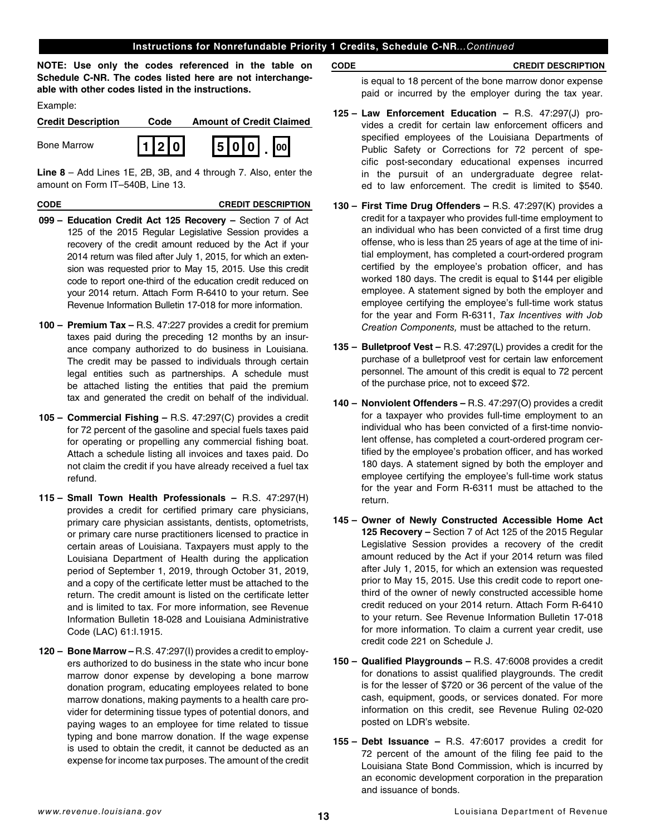## **Instructions for Nonrefundable Priority 1 Credits, Schedule C-NR***...Continued*

**NOTE: Use only the codes referenced in the table on Schedule C-NR. The codes listed here are not interchangeable with other codes listed in the instructions.**

Example:

| <b>Credit Description</b> | Code  | <b>Amount of Credit Claimed</b> |
|---------------------------|-------|---------------------------------|
| <b>Bone Marrow</b>        | 112 0 | 5 0 0 <br>$\log$                |

**Line 8** – Add Lines 1E, 2B, 3B, and 4 through 7. Also, enter the amount on Form IT–540B, Line 13.

## **CODE CREDIT DESCRIPTION**

- **099 Education Credit Act 125 Recovery** Section 7 of Act 125 of the 2015 Regular Legislative Session provides a recovery of the credit amount reduced by the Act if your 2014 return was fled after July 1, 2015, for which an extension was requested prior to May 15, 2015. Use this credit code to report one-third of the education credit reduced on your 2014 return. Attach Form R-6410 to your return. See Revenue Information Bulletin 17-018 for more information.
- **100 Premium Tax** R.S. 47:227 provides a credit for premium taxes paid during the preceding 12 months by an insurance company authorized to do business in Louisiana. The credit may be passed to individuals through certain legal entities such as partnerships. A schedule must be attached listing the entities that paid the premium tax and generated the credit on behalf of the individual.
- **105 Commercial Fishing** R.S. 47:297(C) provides a credit for 72 percent of the gasoline and special fuels taxes paid for operating or propelling any commercial fishing boat. Attach a schedule listing all invoices and taxes paid. Do not claim the credit if you have already received a fuel tax refund.
- **115 Small Town Health Professionals** R.S. 47:297(H) provides a credit for certifed primary care physicians, primary care physician assistants, dentists, optometrists, or primary care nurse practitioners licensed to practice in certain areas of Louisiana. Taxpayers must apply to the Louisiana Department of Health during the application period of September 1, 2019, through October 31, 2019, and a copy of the certificate letter must be attached to the return. The credit amount is listed on the certificate letter and is limited to tax. For more information, see Revenue Information Bulletin 18-028 and Louisiana Administrative Code (LAC) 61:I.1915.
- **120 Bone Marrow** R.S. 47:297(I) provides a credit to employers authorized to do business in the state who incur bone marrow donor expense by developing a bone marrow donation program, educating employees related to bone marrow donations, making payments to a health care provider for determining tissue types of potential donors, and paying wages to an employee for time related to tissue typing and bone marrow donation. If the wage expense is used to obtain the credit, it cannot be deducted as an expense for income tax purposes. The amount of the credit

#### **CODE CREDIT DESCRIPTION**

is equal to 18 percent of the bone marrow donor expense paid or incurred by the employer during the tax year.

- **125 Law Enforcement Education** R.S. 47:297(J) provides a credit for certain law enforcement officers and specifed employees of the Louisiana Departments of Public Safety or Corrections for 72 percent of specific post-secondary educational expenses incurred in the pursuit of an undergraduate degree related to law enforcement. The credit is limited to \$540.
- **130 – First Time Drug Offenders** R.S. 47:297(K) provides a credit for a taxpayer who provides full-time employment to an individual who has been convicted of a frst time drug offense, who is less than 25 years of age at the time of initial employment, has completed a court-ordered program certifed by the employee's probation officer, and has worked 180 days. The credit is equal to \$144 per eligible employee. A statement signed by both the employer and employee certifying the employee's full-time work status for the year and Form R-6311, *Tax Incentives with Job Creation Components,* must be attached to the return.
- **135 – Bulletproof Vest** R.S. 47:297(L) provides a credit for the purchase of a bulletproof vest for certain law enforcement personnel. The amount of this credit is equal to 72 percent of the purchase price, not to exceed \$72.
- **140 – Nonviolent Offenders** R.S. 47:297(O) provides a credit for a taxpayer who provides full-time employment to an individual who has been convicted of a first-time nonviolent offense, has completed a court-ordered program certifed by the employee's probation officer, and has worked 180 days. A statement signed by both the employer and employee certifying the employee's full-time work status for the year and Form R-6311 must be attached to the return.
- **145 – Owner of Newly Constructed Accessible Home Act 125 Recovery –** Section 7 of Act 125 of the 2015 Regular Legislative Session provides a recovery of the credit amount reduced by the Act if your 2014 return was fled after July 1, 2015, for which an extension was requested prior to May 15, 2015. Use this credit code to report onethird of the owner of newly constructed accessible home credit reduced on your 2014 return. Attach Form R-6410 to your return. See Revenue Information Bulletin 17-018 for more information. To claim a current year credit, use credit code 221 on Schedule J.
- **150 – Qualifed Playgrounds** R.S. 47:6008 provides a credit for donations to assist qualifed playgrounds. The credit is for the lesser of \$720 or 36 percent of the value of the cash, equipment, goods, or services donated. For more information on this credit, see Revenue Ruling 02-020 posted on LDR's website.
- **155 Debt Issuance** R.S. 47:6017 provides a credit for 72 percent of the amount of the fling fee paid to the Louisiana State Bond Commission, which is incurred by an economic development corporation in the preparation and issuance of bonds.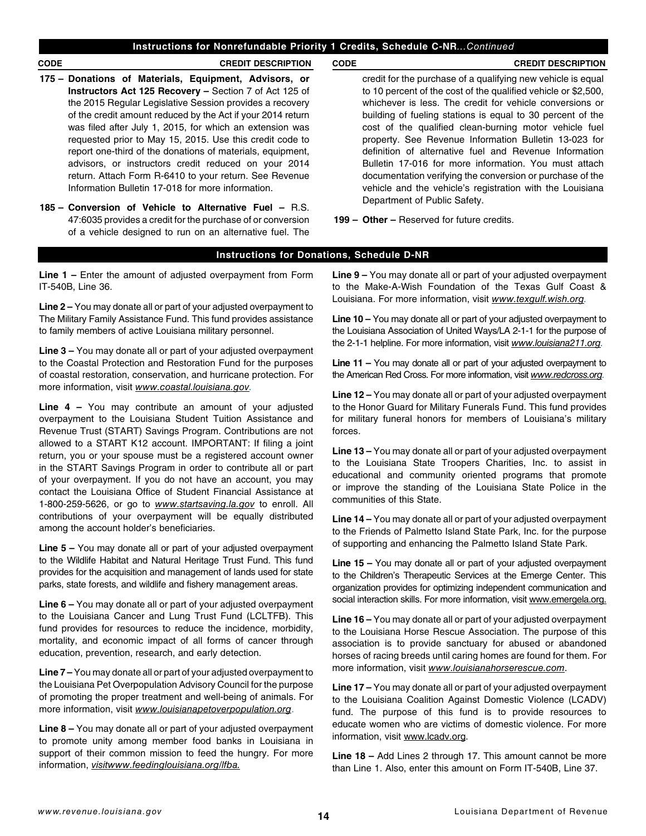## **Instructions for Nonrefundable Priority 1 Credits, Schedule C-NR***...Continued*

#### **CODE CREDIT DESCRIPTION CODE CREDIT DESCRIPTION**

- **175 – Donations of Materials, Equipment, Advisors, or Instructors Act 125 Recovery –** Section 7 of Act 125 of the 2015 Regular Legislative Session provides a recovery of the credit amount reduced by the Act if your 2014 return was filed after July 1, 2015, for which an extension was requested prior to May 15, 2015. Use this credit code to report one-third of the donations of materials, equipment, advisors, or instructors credit reduced on your 2014 return. Attach Form R-6410 to your return. See Revenue Information Bulletin 17-018 for more information.
- **185 Conversion of Vehicle to Alternative Fuel** R.S. 47:6035 provides a credit for the purchase of or conversion of a vehicle designed to run on an alternative fuel. The

credit for the purchase of a qualifying new vehicle is equal to 10 percent of the cost of the qualifed vehicle or \$2,500, whichever is less. The credit for vehicle conversions or building of fueling stations is equal to 30 percent of the cost of the qualifed clean-burning motor vehicle fuel property. See Revenue Information Bulletin 13-023 for definition of alternative fuel and Revenue Information Bulletin 17-016 for more information. You must attach documentation verifying the conversion or purchase of the vehicle and the vehicle's registration with the Louisiana Department of Public Safety.

**199 – Other –** Reserved for future credits.

## **Instructions for Donations, Schedule D-NR**

**Line 1 –** Enter the amount of adjusted overpayment from Form IT-540B, Line 36.

**Line 2 –** You may donate all or part of your adjusted overpayment to The Military Family Assistance Fund. This fund provides assistance to family members of active Louisiana military personnel.

**Line 3 –** You may donate all or part of your adjusted overpayment to the Coastal Protection and Restoration Fund for the purposes of coastal restoration, conservation, and hurricane protection. For more information, visit *[www.coastal.louisiana.gov](http://www.coastal.louisiana.gov).*

**Line 4 –** You may contribute an amount of your adjusted overpayment to the Louisiana Student Tuition Assistance and Revenue Trust (START) Savings Program. Contributions are not allowed to a START K12 account. IMPORTANT: If fling a joint return, you or your spouse must be a registered account owner in the START Savings Program in order to contribute all or part of your overpayment. If you do not have an account, you may contact the Louisiana Office of Student Financial Assistance at 1-800-259-5626, or go to *[www.startsaving.la.gov](http://www.startsaving.la.gov)* to enroll. All contributions of your overpayment will be equally distributed among the account holder's beneficiaries.

**Line 5 –** You may donate all or part of your adjusted overpayment to the Wildlife Habitat and Natural Heritage Trust Fund. This fund provides for the acquisition and management of lands used for state parks, state forests, and wildlife and fishery management areas.

**Line 6 –** You may donate all or part of your adjusted overpayment to the Louisiana Cancer and Lung Trust Fund (LCLTFB). This fund provides for resources to reduce the incidence, morbidity, mortality, and economic impact of all forms of cancer through education, prevention, research, and early detection.

**Line 7 –** You may donate all or part of your adjusted overpayment to the Louisiana Pet Overpopulation Advisory Council for the purpose of promoting the proper treatment and well-being of animals. For more information, visit *[www.louisianapetoverpopulation.org](http://www.louisianapetoverpopulation.org)*.

**Line 8 –** You may donate all or part of your adjusted overpayment to promote unity among member food banks in Louisiana in support of their common mission to feed the hungry. For more information, *[visitwww.feedinglouisiana.org/lfba.](http://visitwww.feedinglouisiana.org/lfba)*

**Line 9 –** You may donate all or part of your adjusted overpayment to the Make-A-Wish Foundation of the Texas Gulf Coast & Louisiana. For more information, visit *[www.texgulf.wish.org.](http://www.texgulf.wish.org)*

**Line 10 –** You may donate all or part of your adjusted overpayment to the Louisiana Association of United Ways/LA 2-1-1 for the purpose of the 2-1-1 helpline. For more information, visit *[www.louisiana211.org](http://www.louisiana211.org).*

**Line 11 –** You may donate all or part of your adjusted overpayment to the American Red Cross. For more information, visit *[www.redcross.org.](http://www.redcross.org)*

**Line 12 –** You may donate all or part of your adjusted overpayment to the Honor Guard for Military Funerals Fund. This fund provides for military funeral honors for members of Louisiana's military forces.

**Line 13 –** You may donate all or part of your adjusted overpayment to the Louisiana State Troopers Charities, Inc. to assist in educational and community oriented programs that promote or improve the standing of the Louisiana State Police in the communities of this State.

**Line 14 –** You may donate all or part of your adjusted overpayment to the Friends of Palmetto Island State Park, Inc. for the purpose of supporting and enhancing the Palmetto Island State Park.

**Line 15 –** You may donate all or part of your adjusted overpayment to the Children's Therapeutic Services at the Emerge Center. This organization provides for optimizing independent communication and social interaction skills. For more information, visit [www.emergela.org.](http://www.emergela.org.)

**Line 16 –** You may donate all or part of your adjusted overpayment to the Louisiana Horse Rescue Association. The purpose of this association is to provide sanctuary for abused or abandoned horses of racing breeds until caring homes are found for them. For more information, visit *[www.louisianahorserescue.com](http://www.louisianahorserescue.com)*.

**Line 17 –** You may donate all or part of your adjusted overpayment to the Louisiana Coalition Against Domestic Violence (LCADV) fund. The purpose of this fund is to provide resources to educate women who are victims of domestic violence. For more information, visit [www.lcadv.org.](http://www.lcadv.org)

**Line 18 –** Add Lines 2 through 17. This amount cannot be more than Line 1. Also, enter this amount on Form IT-540B, Line 37.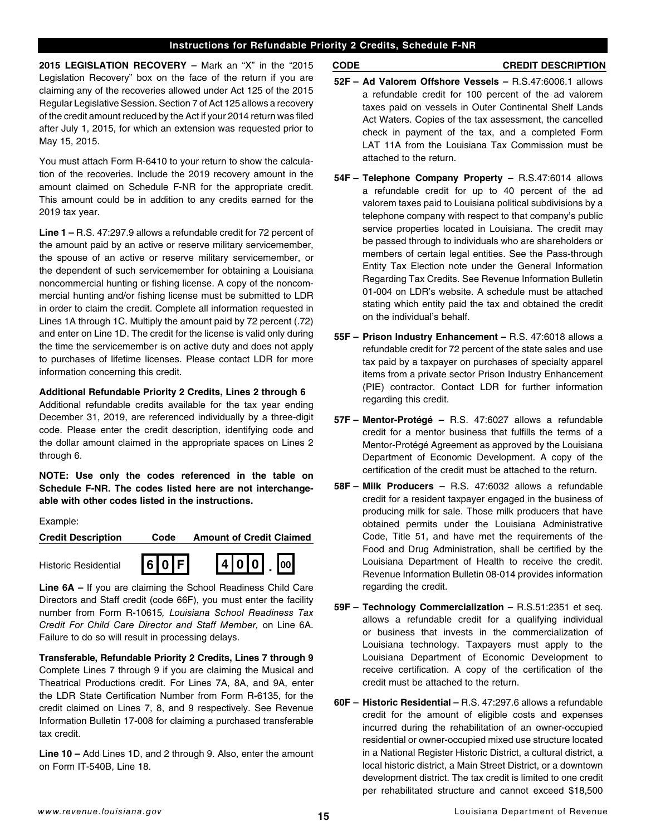## **Instructions for Refundable Priority 2 Credits, Schedule F-NR**

**2015 LEGISLATION RECOVERY –** Mark an "X" in the "2015 Legislation Recovery" box on the face of the return if you are claiming any of the recoveries allowed under Act 125 of the 2015 Regular Legislative Session. Section 7 of Act 125 allows a recovery of the credit amount reduced by the Act if your 2014 return was fled after July 1, 2015, for which an extension was requested prior to May 15, 2015.

You must attach Form R-6410 to your return to show the calculation of the recoveries. Include the 2019 recovery amount in the amount claimed on Schedule F-NR for the appropriate credit. This amount could be in addition to any credits earned for the 2019 tax year.

**Line 1 –** R.S. 47:297.9 allows a refundable credit for 72 percent of the amount paid by an active or reserve military servicemember, the spouse of an active or reserve military servicemember, or the dependent of such servicemember for obtaining a Louisiana noncommercial hunting or fishing license. A copy of the noncommercial hunting and/or fishing license must be submitted to LDR in order to claim the credit. Complete all information requested in Lines 1A through 1C. Multiply the amount paid by 72 percent (.72) and enter on Line 1D. The credit for the license is valid only during the time the servicemember is on active duty and does not apply to purchases of lifetime licenses. Please contact LDR for more information concerning this credit.

## **Additional Refundable Priority 2 Credits, Lines 2 through 6**

Additional refundable credits available for the tax year ending December 31, 2019, are referenced individually by a three-digit code. Please enter the credit description, identifying code and the dollar amount claimed in the appropriate spaces on Lines 2 through 6.

**NOTE: Use only the codes referenced in the table on Schedule F-NR. The codes listed here are not interchangeable with other codes listed in the instructions.**

Example:

| <b>Credit Description</b>   | Code | <b>Amount of Credit Claimed</b>                     |
|-----------------------------|------|-----------------------------------------------------|
| <b>Historic Residential</b> | 60F  | $\boxed{4}$ $\boxed{0}$ $\boxed{0}$ $\boxed{00}$    |
| $l$ ing $\epsilon \Lambda$  |      | If you are algiming the Cabool Deadingse Child Care |

**Line 6A –** If you are claiming the School Readiness Child Care Directors and Staff credit (code 66F), you must enter the facility number from Form R-10615*, Louisiana School Readiness Tax Credit For Child Care Director and Staff Member,* on Line 6A. Failure to do so will result in processing delays.

**Transferable, Refundable Priority 2 Credits, Lines 7 through 9** Complete Lines 7 through 9 if you are claiming the Musical and Theatrical Productions credit. For Lines 7A, 8A, and 9A, enter the LDR State Certifcation Number from Form R-6135, for the credit claimed on Lines 7, 8, and 9 respectively. See Revenue Information Bulletin 17-008 for claiming a purchased transferable tax credit.

**Line 10 –** Add Lines 1D, and 2 through 9. Also, enter the amount on Form IT-540B, Line 18.

**CODE CREDIT DESCRIPTION**

- **52F Ad Valorem Offshore Vessels** R.S.47:6006.1 allows a refundable credit for 100 percent of the ad valorem taxes paid on vessels in Outer Continental Shelf Lands Act Waters. Copies of the tax assessment, the cancelled check in payment of the tax, and a completed Form LAT 11A from the Louisiana Tax Commission must be attached to the return.
- **54F Telephone Company Property** R.S.47:6014 allows a refundable credit for up to 40 percent of the ad valorem taxes paid to Louisiana political subdivisions by a telephone company with respect to that company's public service properties located in Louisiana. The credit may be passed through to individuals who are shareholders or members of certain legal entities. See the Pass-through Entity Tax Election note under the General Information Regarding Tax Credits. See Revenue Information Bulletin 01-004 on LDR's website. A schedule must be attached stating which entity paid the tax and obtained the credit on the individual's behalf.
- **55F Prison Industry Enhancement** R.S. 47:6018 allows a refundable credit for 72 percent of the state sales and use tax paid by a taxpayer on purchases of specialty apparel items from a private sector Prison Industry Enhancement (PIE) contractor. Contact LDR for further information regarding this credit.
- **57F Mentor-Protégé** R.S. 47:6027 allows a refundable credit for a mentor business that fulfills the terms of a Mentor-Protégé Agreement as approved by the Louisiana Department of Economic Development. A copy of the certifcation of the credit must be attached to the return.
- **58F Milk Producers** R.S. 47:6032 allows a refundable credit for a resident taxpayer engaged in the business of producing milk for sale. Those milk producers that have obtained permits under the Louisiana Administrative Code, Title 51, and have met the requirements of the Food and Drug Administration, shall be certifed by the Louisiana Department of Health to receive the credit. Revenue Information Bulletin 08-014 provides information regarding the credit.
- **59F Technology Commercialization** R.S.51:2351 et seq. allows a refundable credit for a qualifying individual or business that invests in the commercialization of Louisiana technology. Taxpayers must apply to the Louisiana Department of Economic Development to receive certification. A copy of the certification of the credit must be attached to the return.
- **60F Historic Residential** R.S. 47:297.6 allows a refundable credit for the amount of eligible costs and expenses incurred during the rehabilitation of an owner-occupied residential or owner-occupied mixed use structure located in a National Register Historic District, a cultural district, a local historic district, a Main Street District, or a downtown development district. The tax credit is limited to one credit per rehabilitated structure and cannot exceed \$18,500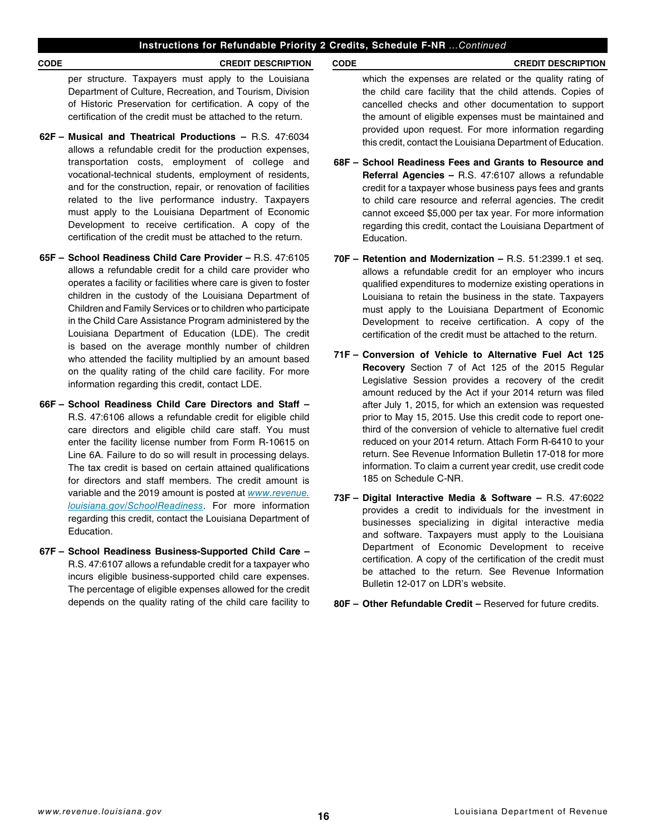## **Instructions for Refundable Priority 2 Credits, Schedule F-NR** *...Continued*

## **CODE CREDIT DESCRIPTION CODE CREDIT DESCRIPTION**

per structure. Taxpayers must apply to the Louisiana Department of Culture, Recreation, and Tourism, Division of Historic Preservation for certifcation. A copy of the certification of the credit must be attached to the return.

- **62F Musical and Theatrical Productions** R.S. 47:6034 allows a refundable credit for the production expenses, transportation costs, employment of college and vocational-technical students, employment of residents, and for the construction, repair, or renovation of facilities related to the live performance industry. Taxpayers must apply to the Louisiana Department of Economic Development to receive certification. A copy of the certifcation of the credit must be attached to the return.
- **65F School Readiness Child Care Provider** R.S. 47:6105 allows a refundable credit for a child care provider who operates a facility or facilities where care is given to foster children in the custody of the Louisiana Department of Children and Family Services or to children who participate in the Child Care Assistance Program administered by the Louisiana Department of Education (LDE). The credit is based on the average monthly number of children who attended the facility multiplied by an amount based on the quality rating of the child care facility. For more information regarding this credit, contact LDE.
- **66F School Readiness Child Care Directors and Staff**  R.S. 47:6106 allows a refundable credit for eligible child care directors and eligible child care staff. You must enter the facility license number from Form R-10615 on Line 6A. Failure to do so will result in processing delays. The tax credit is based on certain attained qualifications for directors and staff members. The credit amount is variable and the 2019 amount is posted at *[www.revenue.](http://www.revenue.louisiana.gov/SchoolReadiness) [louisiana.gov/SchoolReadiness](http://www.revenue.louisiana.gov/SchoolReadiness)*. For more information regarding this credit, contact the Louisiana Department of Education.
- **67F School Readiness Business-Supported Child Care**  R.S. 47:6107 allows a refundable credit for a taxpayer who incurs eligible business-supported child care expenses. The percentage of eligible expenses allowed for the credit depends on the quality rating of the child care facility to

```
which the expenses are related or the quality rating of 
the child care facility that the child attends. Copies of 
cancelled checks and other documentation to support 
the amount of eligible expenses must be maintained and 
provided upon request. For more information regarding 
this credit, contact the Louisiana Department of Education.
```
- **68F School Readiness Fees and Grants to Resource and Referral Agencies –** R.S. 47:6107 allows a refundable credit for a taxpayer whose business pays fees and grants to child care resource and referral agencies. The credit cannot exceed \$5,000 per tax year. For more information regarding this credit, contact the Louisiana Department of Education.
- **70F Retention and Modernization** R.S. 51:2399.1 et seq. allows a refundable credit for an employer who incurs qualifed expenditures to modernize existing operations in Louisiana to retain the business in the state. Taxpayers must apply to the Louisiana Department of Economic Development to receive certification. A copy of the certifcation of the credit must be attached to the return.
- **71F Conversion of Vehicle to Alternative Fuel Act 125 Recovery** Section 7 of Act 125 of the 2015 Regular Legislative Session provides a recovery of the credit amount reduced by the Act if your 2014 return was fled after July 1, 2015, for which an extension was requested prior to May 15, 2015. Use this credit code to report onethird of the conversion of vehicle to alternative fuel credit reduced on your 2014 return. Attach Form R-6410 to your return. See Revenue Information Bulletin 17-018 for more information. To claim a current year credit, use credit code 185 on Schedule C-NR.
- **73F Digital Interactive Media & Software** R.S. 47:6022 provides a credit to individuals for the investment in businesses specializing in digital interactive media and software. Taxpayers must apply to the Louisiana Department of Economic Development to receive certification. A copy of the certification of the credit must be attached to the return. See Revenue Information Bulletin 12-017 on LDR's website.
- **80F Other Refundable Credit** Reserved for future credits.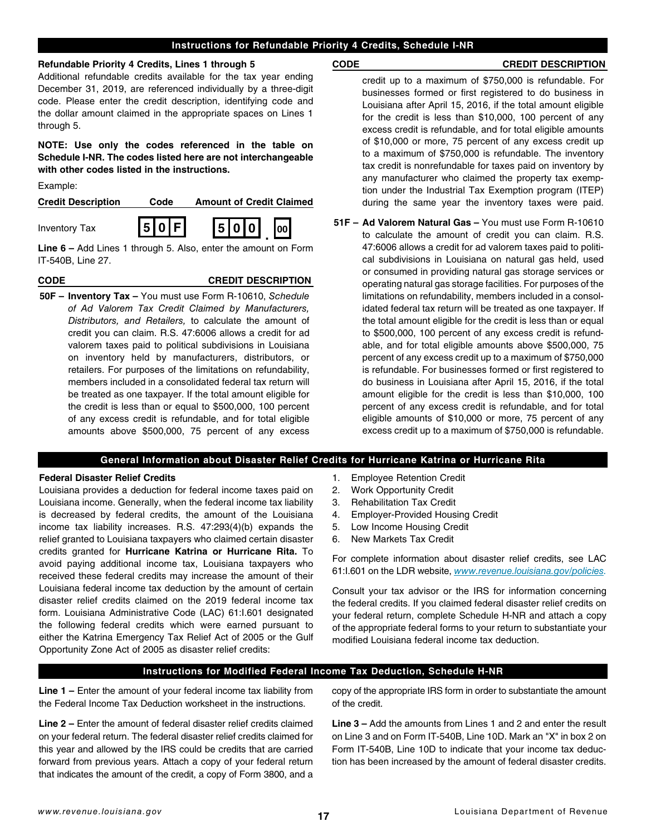## **Instructions for Refundable Priority 4 Credits, Schedule I-NR**

## **Refundable Priority 4 Credits, Lines 1 through 5**

Additional refundable credits available for the tax year ending December 31, 2019, are referenced individually by a three-digit code. Please enter the credit description, identifying code and the dollar amount claimed in the appropriate spaces on Lines 1 through 5.

**NOTE: Use only the codes referenced in the table on Schedule I-NR. The codes listed here are not interchangeable with other codes listed in the instructions.**

Example:



**Line 6 –** Add Lines 1 through 5. Also, enter the amount on Form IT-540B, Line 27.

## **CODE CREDIT DESCRIPTION**

**50F – Inventory Tax –** You must use Form R-10610, *Schedule of Ad Valorem Tax Credit Claimed by Manufacturers, Distributors, and Retailers,* to calculate the amount of credit you can claim. R.S. 47:6006 allows a credit for ad valorem taxes paid to political subdivisions in Louisiana on inventory held by manufacturers, distributors, or retailers. For purposes of the limitations on refundability, members included in a consolidated federal tax return will be treated as one taxpayer. If the total amount eligible for the credit is less than or equal to \$500,000, 100 percent of any excess credit is refundable, and for total eligible amounts above \$500,000, 75 percent of any excess

## **CODE CREDIT DESCRIPTION**

credit up to a maximum of \$750,000 is refundable. For businesses formed or first registered to do business in Louisiana after April 15, 2016, if the total amount eligible for the credit is less than \$10,000, 100 percent of any excess credit is refundable, and for total eligible amounts of \$10,000 or more, 75 percent of any excess credit up to a maximum of \$750,000 is refundable. The inventory tax credit is nonrefundable for taxes paid on inventory by any manufacturer who claimed the property tax exemption under the Industrial Tax Exemption program (ITEP) during the same year the inventory taxes were paid.

**51F – Ad Valorem Natural Gas –** You must use Form R-10610 to calculate the amount of credit you can claim. R.S. 47:6006 allows a credit for ad valorem taxes paid to political subdivisions in Louisiana on natural gas held, used or consumed in providing natural gas storage services or operating natural gas storage facilities. For purposes of the limitations on refundability, members included in a consolidated federal tax return will be treated as one taxpayer. If the total amount eligible for the credit is less than or equal to \$500,000, 100 percent of any excess credit is refundable, and for total eligible amounts above \$500,000, 75 percent of any excess credit up to a maximum of \$750,000 is refundable. For businesses formed or first registered to do business in Louisiana after April 15, 2016, if the total amount eligible for the credit is less than \$10,000, 100 percent of any excess credit is refundable, and for total eligible amounts of \$10,000 or more, 75 percent of any excess credit up to a maximum of \$750,000 is refundable.

## **General Information about Disaster Relief Credits for Hurricane Katrina or Hurricane Rita**

## **Federal Disaster Relief Credits**

Louisiana provides a deduction for federal income taxes paid on Louisiana income. Generally, when the federal income tax liability is decreased by federal credits, the amount of the Louisiana income tax liability increases. R.S. 47:293(4)(b) expands the relief granted to Louisiana taxpayers who claimed certain disaster credits granted for **Hurricane Katrina or Hurricane Rita.** To avoid paying additional income tax, Louisiana taxpayers who received these federal credits may increase the amount of their Louisiana federal income tax deduction by the amount of certain disaster relief credits claimed on the 2019 federal income tax form. Louisiana Administrative Code (LAC) 61:I.601 designated the following federal credits which were earned pursuant to either the Katrina Emergency Tax Relief Act of 2005 or the Gulf Opportunity Zone Act of 2005 as disaster relief credits:

- 1. Employee Retention Credit
- 2. Work Opportunity Credit
- 3. Rehabilitation Tax Credit
- 4. Employer-Provided Housing Credit
- 5. Low Income Housing Credit
- 6. New Markets Tax Credit

For complete information about disaster relief credits, see LAC 61:I.601 on the LDR website, *[www.revenue.louisiana.gov/policies](http://www.revenue.louisiana.gov/policies).*

Consult your tax advisor or the IRS for information concerning the federal credits. If you claimed federal disaster relief credits on your federal return, complete Schedule H-NR and attach a copy of the appropriate federal forms to your return to substantiate your modifed Louisiana federal income tax deduction.

## **Instructions for Modified Federal Income Tax Deduction, Schedule H-NR**

**Line 1 –** Enter the amount of your federal income tax liability from the Federal Income Tax Deduction worksheet in the instructions.

**Line 2 –** Enter the amount of federal disaster relief credits claimed on your federal return. The federal disaster relief credits claimed for this year and allowed by the IRS could be credits that are carried forward from previous years. Attach a copy of your federal return that indicates the amount of the credit, a copy of Form 3800, and a copy of the appropriate IRS form in order to substantiate the amount of the credit.

**Line 3 –** Add the amounts from Lines 1 and 2 and enter the result on Line 3 and on Form IT-540B, Line 10D. Mark an "X" in box 2 on Form IT-540B, Line 10D to indicate that your income tax deduction has been increased by the amount of federal disaster credits.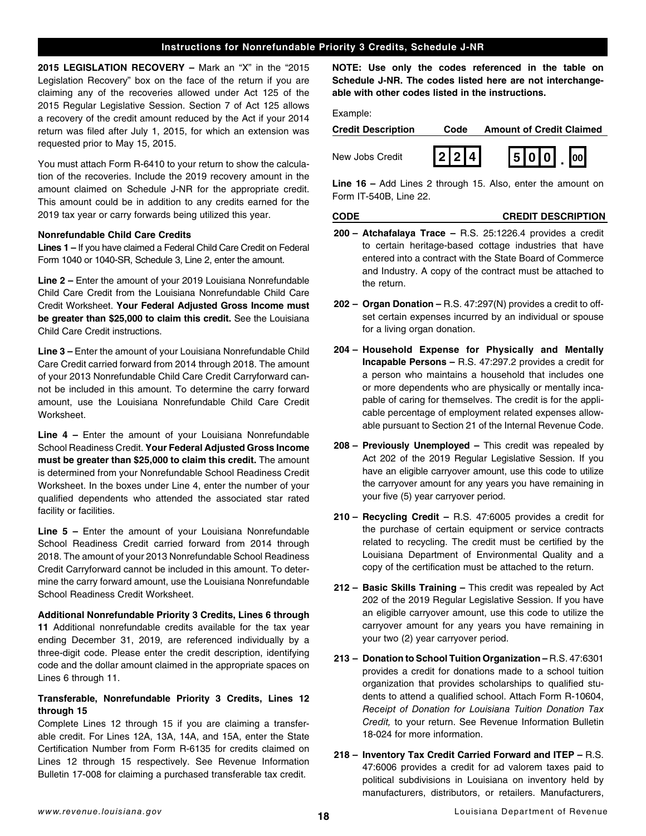## **Instructions for Nonrefundable Priority 3 Credits, Schedule J-NR**

**2015 LEGISLATION RECOVERY –** Mark an "X" in the "2015 Legislation Recovery" box on the face of the return if you are claiming any of the recoveries allowed under Act 125 of the 2015 Regular Legislative Session. Section 7 of Act 125 allows a recovery of the credit amount reduced by the Act if your 2014 return was filed after July 1, 2015, for which an extension was requested prior to May 15, 2015.

You must attach Form R-6410 to your return to show the calculation of the recoveries. Include the 2019 recovery amount in the amount claimed on Schedule J-NR for the appropriate credit. This amount could be in addition to any credits earned for the 2019 tax year or carry forwards being utilized this year.

#### **Nonrefundable Child Care Credits**

**Lines 1 –** If you have claimed a Federal Child Care Credit on Federal Form 1040 or 1040-SR, Schedule 3, Line 2, enter the amount.

**Line 2 –** Enter the amount of your 2019 Louisiana Nonrefundable Child Care Credit from the Louisiana Nonrefundable Child Care Credit Worksheet. **Your Federal Adjusted Gross Income must be greater than \$25,000 to claim this credit.** See the Louisiana Child Care Credit instructions.

**Line 3 –** Enter the amount of your Louisiana Nonrefundable Child Care Credit carried forward from 2014 through 2018. The amount of your 2013 Nonrefundable Child Care Credit Carryforward cannot be included in this amount. To determine the carry forward amount, use the Louisiana Nonrefundable Child Care Credit Worksheet.

**Line 4 –** Enter the amount of your Louisiana Nonrefundable School Readiness Credit. **Your Federal Adjusted Gross Income must be greater than \$25,000 to claim this credit.** The amount is determined from your Nonrefundable School Readiness Credit Worksheet. In the boxes under Line 4, enter the number of your qualifed dependents who attended the associated star rated facility or facilities.

**Line 5 –** Enter the amount of your Louisiana Nonrefundable School Readiness Credit carried forward from 2014 through 2018. The amount of your 2013 Nonrefundable School Readiness Credit Carryforward cannot be included in this amount. To determine the carry forward amount, use the Louisiana Nonrefundable School Readiness Credit Worksheet.

**Additional Nonrefundable Priority 3 Credits, Lines 6 through 11** Additional nonrefundable credits available for the tax year ending December 31, 2019, are referenced individually by a three-digit code. Please enter the credit description, identifying code and the dollar amount claimed in the appropriate spaces on Lines 6 through 11.

## **Transferable, Nonrefundable Priority 3 Credits, Lines 12 through 15**

Complete Lines 12 through 15 if you are claiming a transferable credit. For Lines 12A, 13A, 14A, and 15A, enter the State Certifcation Number from Form R-6135 for credits claimed on Lines 12 through 15 respectively. See Revenue Information Bulletin 17-008 for claiming a purchased transferable tax credit.

**NOTE: Use only the codes referenced in the table on Schedule J-NR. The codes listed here are not interchangeable with other codes listed in the instructions.**

Example:

| <b>Credit Description</b> | Code      | <b>Amount of Credit Claimed</b> |  |  |  |
|---------------------------|-----------|---------------------------------|--|--|--|
| New Jobs Credit           | $ 2 2 4 $ | $500$ .                         |  |  |  |

**Line 16 –** Add Lines 2 through 15. Also, enter the amount on Form IT-540B, Line 22.

#### **CODE CREDIT DESCRIPTION**

- **200 – Atchafalaya Trace –** R.S. 25:1226.4 provides a credit to certain heritage-based cottage industries that have entered into a contract with the State Board of Commerce and Industry. A copy of the contract must be attached to the return.
- **202 – Organ Donation –** R.S. 47:297(N) provides a credit to offset certain expenses incurred by an individual or spouse for a living organ donation.
- **204 – Household Expense for Physically and Mentally Incapable Persons –** R.S. 47:297.2 provides a credit for a person who maintains a household that includes one or more dependents who are physically or mentally incapable of caring for themselves. The credit is for the applicable percentage of employment related expenses allowable pursuant to Section 21 of the Internal Revenue Code.
- **208 – Previously Unemployed –** This credit was repealed by Act 202 of the 2019 Regular Legislative Session. If you have an eligible carryover amount, use this code to utilize the carryover amount for any years you have remaining in your five (5) year carryover period.
- **210 – Recycling Credit –** R.S. 47:6005 provides a credit for the purchase of certain equipment or service contracts related to recycling. The credit must be certifed by the Louisiana Department of Environmental Quality and a copy of the certification must be attached to the return.
- **212 – Basic Skills Training –** This credit was repealed by Act 202 of the 2019 Regular Legislative Session. If you have an eligible carryover amount, use this code to utilize the carryover amount for any years you have remaining in your two (2) year carryover period.
- **213 – Donation to School Tuition Organization** R.S. 47:6301 provides a credit for donations made to a school tuition organization that provides scholarships to qualifed students to attend a qualified school. Attach Form R-10604, *Receipt of Donation for Louisiana Tuition Donation Tax Credit,* to your return. See Revenue Information Bulletin 18-024 for more information.
- **218 – Inventory Tax Credit Carried Forward and ITEP –** R.S. 47:6006 provides a credit for ad valorem taxes paid to political subdivisions in Louisiana on inventory held by manufacturers, distributors, or retailers. Manufacturers,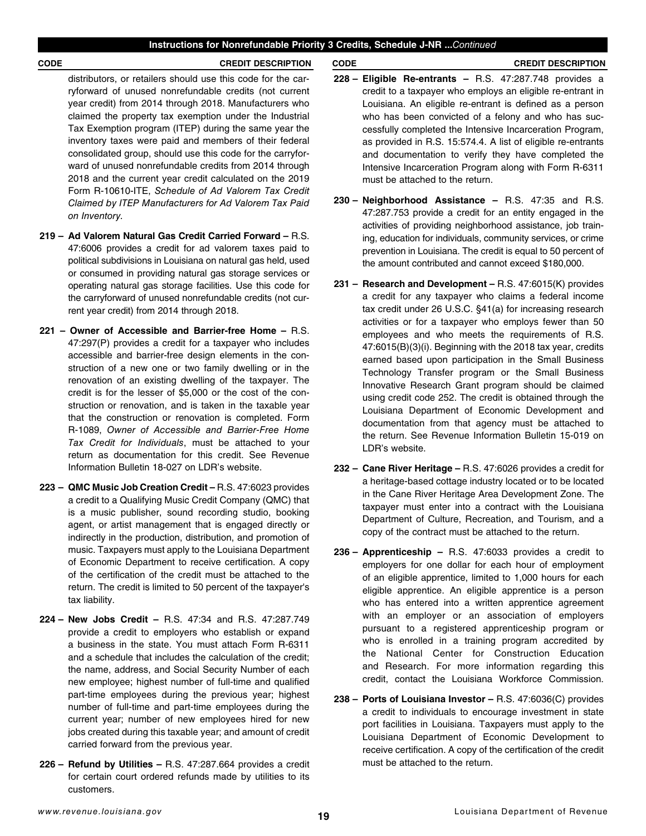#### **CODE CREDIT DESCRIPTION CODE CREDIT DESCRIPTION**

distributors, or retailers should use this code for the carryforward of unused nonrefundable credits (not current year credit) from 2014 through 2018. Manufacturers who claimed the property tax exemption under the Industrial Tax Exemption program (ITEP) during the same year the inventory taxes were paid and members of their federal consolidated group, should use this code for the carryforward of unused nonrefundable credits from 2014 through 2018 and the current year credit calculated on the 2019 Form R-10610-ITE, *Schedule of Ad Valorem Tax Credit Claimed by ITEP Manufacturers for Ad Valorem Tax Paid on Inventory.*

- **219 – Ad Valorem Natural Gas Credit Carried Forward –** R.S. 47:6006 provides a credit for ad valorem taxes paid to political subdivisions in Louisiana on natural gas held, used or consumed in providing natural gas storage services or operating natural gas storage facilities. Use this code for the carryforward of unused nonrefundable credits (not current year credit) from 2014 through 2018.
- **221 Owner of Accessible and Barrier-free Home** R.S. 47:297(P) provides a credit for a taxpayer who includes accessible and barrier-free design elements in the construction of a new one or two family dwelling or in the renovation of an existing dwelling of the taxpayer. The credit is for the lesser of \$5,000 or the cost of the construction or renovation, and is taken in the taxable year that the construction or renovation is completed. Form R-1089, *Owner of Accessible and Barrier-Free Home Tax Credit for Individuals*, must be attached to your return as documentation for this credit. See Revenue Information Bulletin 18-027 on LDR's website.
- **223 – QMC Music Job Creation Credit** R.S. 47:6023 provides a credit to a Qualifying Music Credit Company (QMC) that is a music publisher, sound recording studio, booking agent, or artist management that is engaged directly or indirectly in the production, distribution, and promotion of music. Taxpayers must apply to the Louisiana Department of Economic Department to receive certification. A copy of the certifcation of the credit must be attached to the return. The credit is limited to 50 percent of the taxpayer's tax liability.
- **224 – New Jobs Credit –** R.S. 47:34 and R.S. 47:287.749 provide a credit to employers who establish or expand a business in the state. You must attach Form R-6311 and a schedule that includes the calculation of the credit; the name, address, and Social Security Number of each new employee; highest number of full-time and qualifed part-time employees during the previous year; highest number of full-time and part-time employees during the current year; number of new employees hired for new jobs created during this taxable year; and amount of credit carried forward from the previous year.
- **226 – Refund by Utilities –** R.S. 47:287.664 provides a credit for certain court ordered refunds made by utilities to its customers.
- **228 – Eligible Re-entrants –** R.S. 47:287.748 provides a credit to a taxpayer who employs an eligible re-entrant in Louisiana. An eligible re-entrant is defined as a person who has been convicted of a felony and who has successfully completed the Intensive Incarceration Program, as provided in R.S. 15:574.4. A list of eligible re-entrants and documentation to verify they have completed the Intensive Incarceration Program along with Form R-6311 must be attached to the return.
- **230 – Neighborhood Assistance –** R.S. 47:35 and R.S. 47:287.753 provide a credit for an entity engaged in the activities of providing neighborhood assistance, job training, education for individuals, community services, or crime prevention in Louisiana. The credit is equal to 50 percent of the amount contributed and cannot exceed \$180,000.
- **231 – Research and Development –** R.S. 47:6015(K) provides a credit for any taxpayer who claims a federal income tax credit under 26 U.S.C. §41(a) for increasing research activities or for a taxpayer who employs fewer than 50 employees and who meets the requirements of R.S. 47:6015(B)(3)(i). Beginning with the 2018 tax year, credits earned based upon participation in the Small Business Technology Transfer program or the Small Business Innovative Research Grant program should be claimed using credit code 252. The credit is obtained through the Louisiana Department of Economic Development and documentation from that agency must be attached to the return. See Revenue Information Bulletin 15-019 on LDR's website.
- **232 – Cane River Heritage –** R.S. 47:6026 provides a credit for a heritage-based cottage industry located or to be located in the Cane River Heritage Area Development Zone. The taxpayer must enter into a contract with the Louisiana Department of Culture, Recreation, and Tourism, and a copy of the contract must be attached to the return.
- **236 – Apprenticeship –** R.S. 47:6033 provides a credit to employers for one dollar for each hour of employment of an eligible apprentice, limited to 1,000 hours for each eligible apprentice. An eligible apprentice is a person who has entered into a written apprentice agreement with an employer or an association of employers pursuant to a registered apprenticeship program or who is enrolled in a training program accredited by the National Center for Construction Education and Research. For more information regarding this credit, contact the Louisiana Workforce Commission.
- **238 – Ports of Louisiana Investor –** R.S. 47:6036(C) provides a credit to individuals to encourage investment in state port facilities in Louisiana. Taxpayers must apply to the Louisiana Department of Economic Development to receive certification. A copy of the certification of the credit must be attached to the return.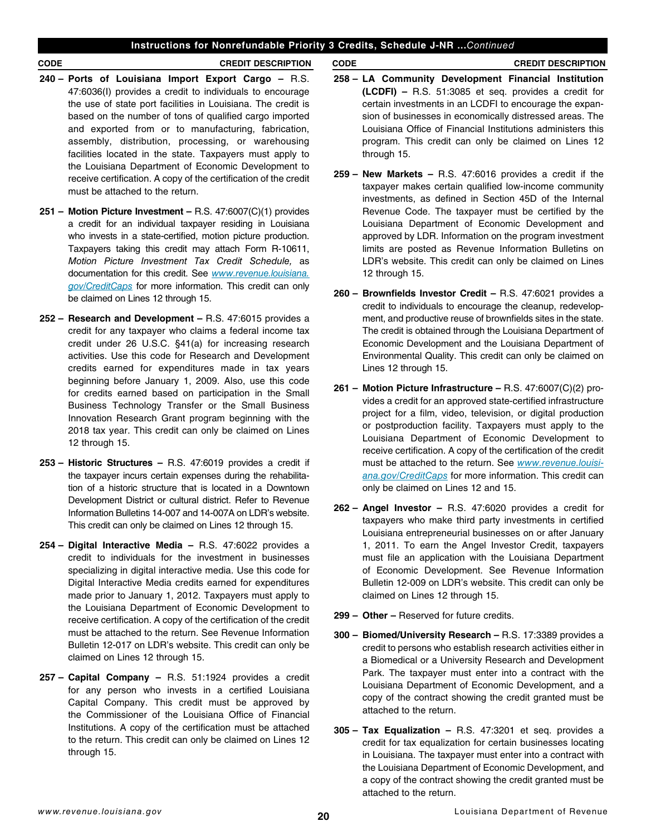## **Instructions for Nonrefundable Priority 3 Credits, Schedule J-NR ...***Continued*

- **240 – Ports of Louisiana Import Export Cargo –** R.S. 47:6036(I) provides a credit to individuals to encourage the use of state port facilities in Louisiana. The credit is based on the number of tons of qualifed cargo imported and exported from or to manufacturing, fabrication, assembly, distribution, processing, or warehousing facilities located in the state. Taxpayers must apply to the Louisiana Department of Economic Development to receive certification. A copy of the certification of the credit must be attached to the return.
- **251 – Motion Picture Investment –** R.S. 47:6007(C)(1) provides a credit for an individual taxpayer residing in Louisiana who invests in a state-certifed, motion picture production. Taxpayers taking this credit may attach Form R-10611, *Motion Picture Investment Tax Credit Schedule,* as documentation for this credit. See *[www.revenue.louisiana.](http://www.revenue.louisiana.gov/CreditCaps) [gov/CreditCaps](http://www.revenue.louisiana.gov/CreditCaps)* for more information. This credit can only be claimed on Lines 12 through 15.
- **252 – Research and Development –** R.S. 47:6015 provides a credit for any taxpayer who claims a federal income tax credit under 26 U.S.C. §41(a) for increasing research activities. Use this code for Research and Development credits earned for expenditures made in tax years beginning before January 1, 2009. Also, use this code for credits earned based on participation in the Small Business Technology Transfer or the Small Business Innovation Research Grant program beginning with the 2018 tax year. This credit can only be claimed on Lines 12 through 15.
- **253 – Historic Structures –** R.S. 47:6019 provides a credit if the taxpayer incurs certain expenses during the rehabilitation of a historic structure that is located in a Downtown Development District or cultural district. Refer to Revenue Information Bulletins 14-007 and 14-007A on LDR's website. This credit can only be claimed on Lines 12 through 15.
- **254 – Digital Interactive Media –** R.S. 47:6022 provides a credit to individuals for the investment in businesses specializing in digital interactive media. Use this code for Digital Interactive Media credits earned for expenditures made prior to January 1, 2012. Taxpayers must apply to the Louisiana Department of Economic Development to receive certification. A copy of the certification of the credit must be attached to the return. See Revenue Information Bulletin 12-017 on LDR's website. This credit can only be claimed on Lines 12 through 15.
- **257 – Capital Company –** R.S. 51:1924 provides a credit for any person who invests in a certified Louisiana Capital Company. This credit must be approved by the Commissioner of the Louisiana Office of Financial Institutions. A copy of the certification must be attached to the return. This credit can only be claimed on Lines 12 through 15.

#### **CODE CREDIT DESCRIPTION CODE CREDIT DESCRIPTION**

- **258 – LA Community Development Financial Institution (LCDFI) –** R.S. 51:3085 et seq. provides a credit for certain investments in an LCDFI to encourage the expansion of businesses in economically distressed areas. The Louisiana Office of Financial Institutions administers this program. This credit can only be claimed on Lines 12 through 15.
- **259 – New Markets –** R.S. 47:6016 provides a credit if the taxpayer makes certain qualified low-income community investments, as defined in Section 45D of the Internal Revenue Code. The taxpayer must be certifed by the Louisiana Department of Economic Development and approved by LDR. Information on the program investment limits are posted as Revenue Information Bulletins on LDR's website. This credit can only be claimed on Lines 12 through 15.
- **260 – Brownfelds Investor Credit –** R.S. 47:6021 provides a credit to individuals to encourage the cleanup, redevelopment, and productive reuse of brownfields sites in the state. The credit is obtained through the Louisiana Department of Economic Development and the Louisiana Department of Environmental Quality. This credit can only be claimed on Lines 12 through 15.
- **261 – Motion Picture Infrastructure –** R.S. 47:6007(C)(2) provides a credit for an approved state-certifed infrastructure project for a film, video, television, or digital production or postproduction facility. Taxpayers must apply to the Louisiana Department of Economic Development to receive certification. A copy of the certification of the credit must be attached to the return. See *[www.revenue.louisi](http://www.revenue.louisiana.gov/CreditCaps)[ana.gov/CreditCaps](http://www.revenue.louisiana.gov/CreditCaps)* for more information. This credit can only be claimed on Lines 12 and 15.
- **262 – Angel Investor –** R.S. 47:6020 provides a credit for taxpayers who make third party investments in certifed Louisiana entrepreneurial businesses on or after January 1, 2011. To earn the Angel Investor Credit, taxpayers must fle an application with the Louisiana Department of Economic Development. See Revenue Information Bulletin 12-009 on LDR's website. This credit can only be claimed on Lines 12 through 15.
- **299 – Other –** Reserved for future credits.
- **300 – Biomed/University Research –** R.S. 17:3389 provides a credit to persons who establish research activities either in a Biomedical or a University Research and Development Park. The taxpayer must enter into a contract with the Louisiana Department of Economic Development, and a copy of the contract showing the credit granted must be attached to the return.
- **305 – Tax Equalization –** R.S. 47:3201 et seq. provides a credit for tax equalization for certain businesses locating in Louisiana. The taxpayer must enter into a contract with the Louisiana Department of Economic Development, and a copy of the contract showing the credit granted must be attached to the return.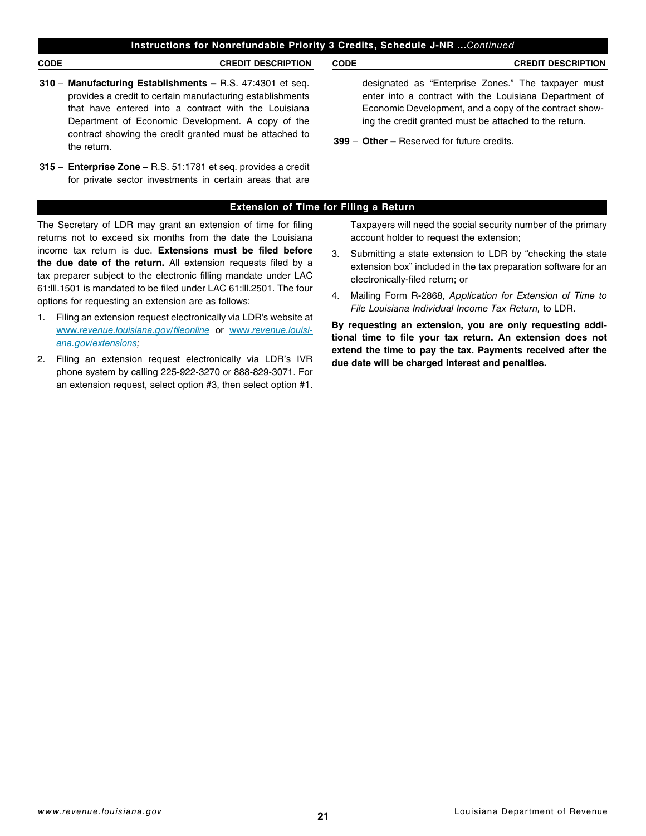## **Instructions for Nonrefundable Priority 3 Credits, Schedule J-NR ...***Continued*

**CODE CREDIT DESCRIPTION CODE CREDIT DESCRIPTION**

- **310 Manufacturing Establishments –** R.S. 47:4301 et seq. provides a credit to certain manufacturing establishments that have entered into a contract with the Louisiana Department of Economic Development. A copy of the contract showing the credit granted must be attached to the return.
- **315 Enterprise Zone –** R.S. 51:1781 et seq. provides a credit for private sector investments in certain areas that are

designated as "Enterprise Zones." The taxpayer must enter into a contract with the Louisiana Department of Economic Development, and a copy of the contract showing the credit granted must be attached to the return.

**399** – **Other –** Reserved for future credits.

## **Extension of Time for Filing a Return**

The Secretary of LDR may grant an extension of time for fling returns not to exceed six months from the date the Louisiana income tax return is due. **Extensions must be fled before**  the due date of the return. All extension requests filed by a tax preparer subject to the electronic flling mandate under LAC 61:lll.1501 is mandated to be fled under LAC 61:lll.2501. The four options for requesting an extension are as follows:

- 1. Filing an extension request electronically via LDR's website at www.*[revenue.louisiana.gov/](http://www.revenue.louisiana.gov/fileonline)*f*leonline* or www.*[revenue.louisi](http://www.revenue.louisiana.gov/extensions)[ana.gov/extensions;](http://www.revenue.louisiana.gov/extensions)*
- 2. Filing an extension request electronically via LDR's IVR phone system by calling 225-922-3270 or 888-829-3071. For an extension request, select option #3, then select option #1.

Taxpayers will need the social security number of the primary account holder to request the extension;

- 3. Submitting a state extension to LDR by "checking the state extension box" included in the tax preparation software for an electronically-fled return; or
- 4. Mailing Form R-2868, *Application for Extension of Time to File Louisiana Individual Income Tax Return,* to LDR.

**By requesting an extension, you are only requesting additional time to fle your tax return. An extension does not extend the time to pay the tax. Payments received after the due date will be charged interest and penalties.**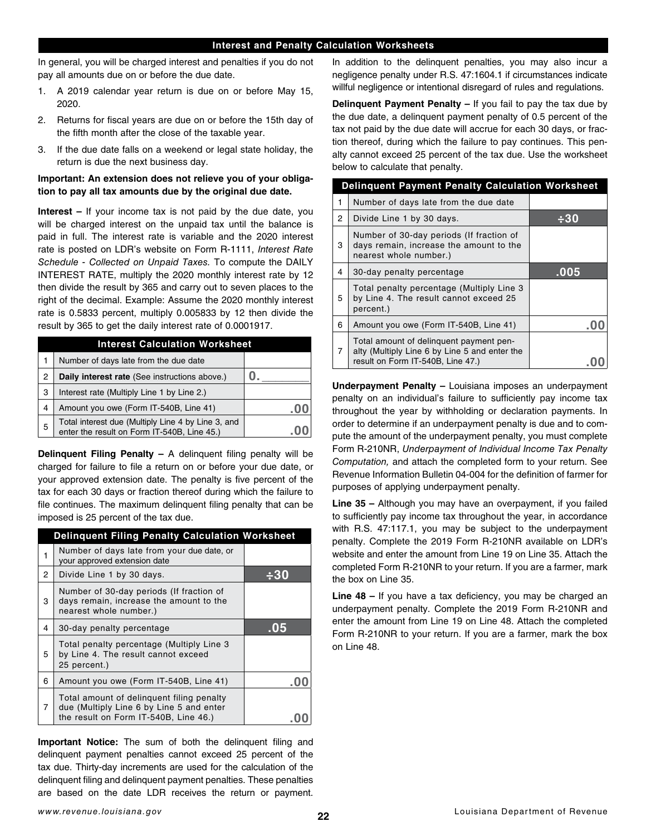In general, you will be charged interest and penalties if you do not pay all amounts due on or before the due date.

- 1. A 2019 calendar year return is due on or before May 15, 2020.
- 2. Returns for fiscal years are due on or before the 15th day of the ffth month after the close of the taxable year.
- 3. If the due date falls on a weekend or legal state holiday, the return is due the next business day.

## **Important: An extension does not relieve you of your obligation to pay all tax amounts due by the original due date.**

**Interest –** If your income tax is not paid by the due date, you will be charged interest on the unpaid tax until the balance is paid in full. The interest rate is variable and the 2020 interest rate is posted on LDR's website on Form R-1111, *Interest Rate Schedule - Collected on Unpaid Taxes.* To compute the DAILY INTEREST RATE, multiply the 2020 monthly interest rate by 12 then divide the result by 365 and carry out to seven places to the right of the decimal. Example: Assume the 2020 monthly interest rate is 0.5833 percent, multiply 0.005833 by 12 then divide the result by 365 to get the daily interest rate of 0.0001917.

| <b>Interest Calculation Worksheet</b> |                                                                                                   |  |  |
|---------------------------------------|---------------------------------------------------------------------------------------------------|--|--|
|                                       | Number of days late from the due date                                                             |  |  |
| 2                                     | Daily interest rate (See instructions above.)                                                     |  |  |
| 3                                     | Interest rate (Multiply Line 1 by Line 2.)                                                        |  |  |
| 4                                     | Amount you owe (Form IT-540B, Line 41)                                                            |  |  |
| 5                                     | Total interest due (Multiply Line 4 by Line 3, and<br>enter the result on Form IT-540B, Line 45.) |  |  |

**Delinquent Filing Penalty –** A delinquent fling penalty will be charged for failure to fle a return on or before your due date, or your approved extension date. The penalty is five percent of the tax for each 30 days or fraction thereof during which the failure to file continues. The maximum delinquent filing penalty that can be imposed is 25 percent of the tax due.

|   | <b>Delinquent Filing Penalty Calculation Worksheet</b>                                                                         |     |  |  |
|---|--------------------------------------------------------------------------------------------------------------------------------|-----|--|--|
| 1 | Number of days late from your due date, or<br>your approved extension date                                                     |     |  |  |
| 2 | Divide Line 1 by 30 days.                                                                                                      |     |  |  |
| 3 | Number of 30-day periods (If fraction of<br>days remain, increase the amount to the<br>nearest whole number.)                  |     |  |  |
| 4 | 30-day penalty percentage                                                                                                      | .05 |  |  |
| 5 | Total penalty percentage (Multiply Line 3<br>by Line 4. The result cannot exceed<br>25 percent.)                               |     |  |  |
| 6 | Amount you owe (Form IT-540B, Line 41)                                                                                         |     |  |  |
| 7 | Total amount of delinguent filing penalty<br>due (Multiply Line 6 by Line 5 and enter<br>the result on Form IT-540B, Line 46.) |     |  |  |

**Important Notice:** The sum of both the delinquent filing and delinquent payment penalties cannot exceed 25 percent of the tax due. Thirty-day increments are used for the calculation of the delinquent fling and delinquent payment penalties. These penalties are based on the date LDR receives the return or payment. In addition to the delinquent penalties, you may also incur a negligence penalty under R.S. 47:1604.1 if circumstances indicate willful negligence or intentional disregard of rules and regulations.

**Delinquent Payment Penalty –** If you fail to pay the tax due by the due date, a delinquent payment penalty of 0.5 percent of the tax not paid by the due date will accrue for each 30 days, or fraction thereof, during which the failure to pay continues. This penalty cannot exceed 25 percent of the tax due. Use the worksheet below to calculate that penalty.

| <b>Delinguent Payment Penalty Calculation Worksheet</b> |                                                                                                                               |      |  |
|---------------------------------------------------------|-------------------------------------------------------------------------------------------------------------------------------|------|--|
| 1                                                       | Number of days late from the due date                                                                                         |      |  |
| 2                                                       | Divide Line 1 by 30 days.                                                                                                     | -30  |  |
| 3                                                       | Number of 30-day periods (If fraction of<br>days remain, increase the amount to the<br>nearest whole number.)                 |      |  |
| 4                                                       | 30-day penalty percentage                                                                                                     | .005 |  |
| 5                                                       | Total penalty percentage (Multiply Line 3<br>by Line 4. The result cannot exceed 25<br>percent.)                              |      |  |
| 6                                                       | Amount you owe (Form IT-540B, Line 41)                                                                                        |      |  |
| 7                                                       | Total amount of delinguent payment pen-<br>alty (Multiply Line 6 by Line 5 and enter the<br>result on Form IT-540B, Line 47.) |      |  |

**Underpayment Penalty –** Louisiana imposes an underpayment penalty on an individual's failure to sufficiently pay income tax throughout the year by withholding or declaration payments. In order to determine if an underpayment penalty is due and to compute the amount of the underpayment penalty, you must complete Form R-210NR, *Underpayment of Individual Income Tax Penalty Computation,* and attach the completed form to your return. See Revenue Information Bulletin 04-004 for the defnition of farmer for purposes of applying underpayment penalty.

**Line 35 –** Although you may have an overpayment, if you failed to sufficiently pay income tax throughout the year, in accordance with R.S. 47:117.1, you may be subject to the underpayment penalty. Complete the 2019 Form R-210NR available on LDR's website and enter the amount from Line 19 on Line 35. Attach the completed Form R-210NR to your return. If you are a farmer, mark the box on Line 35.

**Line 48 –** If you have a tax deficiency, you may be charged an underpayment penalty. Complete the 2019 Form R-210NR and enter the amount from Line 19 on Line 48. Attach the completed Form R-210NR to your return. If you are a farmer, mark the box on Line 48.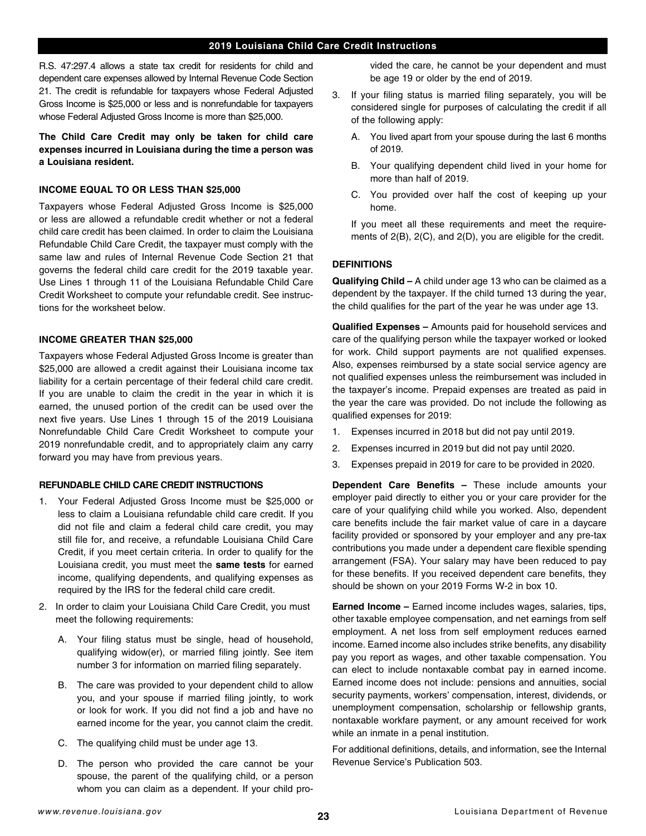R.S. 47:297.4 allows a state tax credit for residents for child and dependent care expenses allowed by Internal Revenue Code Section 21. The credit is refundable for taxpayers whose Federal Adjusted Gross Income is \$25,000 or less and is nonrefundable for taxpayers whose Federal Adjusted Gross Income is more than \$25,000.

**The Child Care Credit may only be taken for child care expenses incurred in Louisiana during the time a person was a Louisiana resident.**

## **INCOME EQUAL TO OR LESS THAN \$25,000**

Taxpayers whose Federal Adjusted Gross Income is \$25,000 or less are allowed a refundable credit whether or not a federal child care credit has been claimed. In order to claim the Louisiana Refundable Child Care Credit, the taxpayer must comply with the same law and rules of Internal Revenue Code Section 21 that governs the federal child care credit for the 2019 taxable year. Use Lines 1 through 11 of the Louisiana Refundable Child Care Credit Worksheet to compute your refundable credit. See instructions for the worksheet below.

## **INCOME GREATER THAN \$25,000**

Taxpayers whose Federal Adjusted Gross Income is greater than \$25,000 are allowed a credit against their Louisiana income tax liability for a certain percentage of their federal child care credit. If you are unable to claim the credit in the year in which it is earned, the unused portion of the credit can be used over the next five years. Use Lines 1 through 15 of the 2019 Louisiana Nonrefundable Child Care Credit Worksheet to compute your 2019 nonrefundable credit, and to appropriately claim any carry forward you may have from previous years.

## **REFUNDABLE CHILD CARE CREDIT INSTRUCTIONS**

- 1. Your Federal Adjusted Gross Income must be \$25,000 or less to claim a Louisiana refundable child care credit. If you did not fle and claim a federal child care credit, you may still file for, and receive, a refundable Louisiana Child Care Credit, if you meet certain criteria. In order to qualify for the Louisiana credit, you must meet the **same tests** for earned income, qualifying dependents, and qualifying expenses as required by the IRS for the federal child care credit.
- 2. In order to claim your Louisiana Child Care Credit, you must meet the following requirements:
	- A. Your filing status must be single, head of household, qualifying widow(er), or married fling jointly. See item number 3 for information on married filing separately.
	- B. The care was provided to your dependent child to allow you, and your spouse if married fling jointly, to work or look for work. If you did not find a job and have no earned income for the year, you cannot claim the credit.
	- C. The qualifying child must be under age 13.
	- D. The person who provided the care cannot be your spouse, the parent of the qualifying child, or a person whom you can claim as a dependent. If your child pro-

vided the care, he cannot be your dependent and must be age 19 or older by the end of 2019.

- 3. If your fling status is married fling separately, you will be considered single for purposes of calculating the credit if all of the following apply:
	- A. You lived apart from your spouse during the last 6 months of 2019.
	- B. Your qualifying dependent child lived in your home for more than half of 2019.
	- C. You provided over half the cost of keeping up your home.

If you meet all these requirements and meet the requirements of 2(B), 2(C), and 2(D), you are eligible for the credit.

## **DEFINITIONS**

**Qualifying Child –** A child under age 13 who can be claimed as a dependent by the taxpayer. If the child turned 13 during the year, the child qualifes for the part of the year he was under age 13.

**Qualifed Expenses –** Amounts paid for household services and care of the qualifying person while the taxpayer worked or looked for work. Child support payments are not qualifed expenses. Also, expenses reimbursed by a state social service agency are not qualifed expenses unless the reimbursement was included in the taxpayer's income. Prepaid expenses are treated as paid in the year the care was provided. Do not include the following as qualifed expenses for 2019:

- 1. Expenses incurred in 2018 but did not pay until 2019.
- 2. Expenses incurred in 2019 but did not pay until 2020.
- 3. Expenses prepaid in 2019 for care to be provided in 2020.

**Dependent Care Benefts –** These include amounts your employer paid directly to either you or your care provider for the care of your qualifying child while you worked. Also, dependent care benefits include the fair market value of care in a daycare facility provided or sponsored by your employer and any pre-tax contributions you made under a dependent care fexible spending arrangement (FSA). Your salary may have been reduced to pay for these benefits. If you received dependent care benefits, they should be shown on your 2019 Forms W-2 in box 10.

**Earned Income –** Earned income includes wages, salaries, tips, other taxable employee compensation, and net earnings from self employment. A net loss from self employment reduces earned income. Earned income also includes strike benefits, any disability pay you report as wages, and other taxable compensation. You can elect to include nontaxable combat pay in earned income. Earned income does not include: pensions and annuities, social security payments, workers' compensation, interest, dividends, or unemployment compensation, scholarship or fellowship grants, nontaxable workfare payment, or any amount received for work while an inmate in a penal institution.

For additional defnitions, details, and information, see the Internal Revenue Service's Publication 503.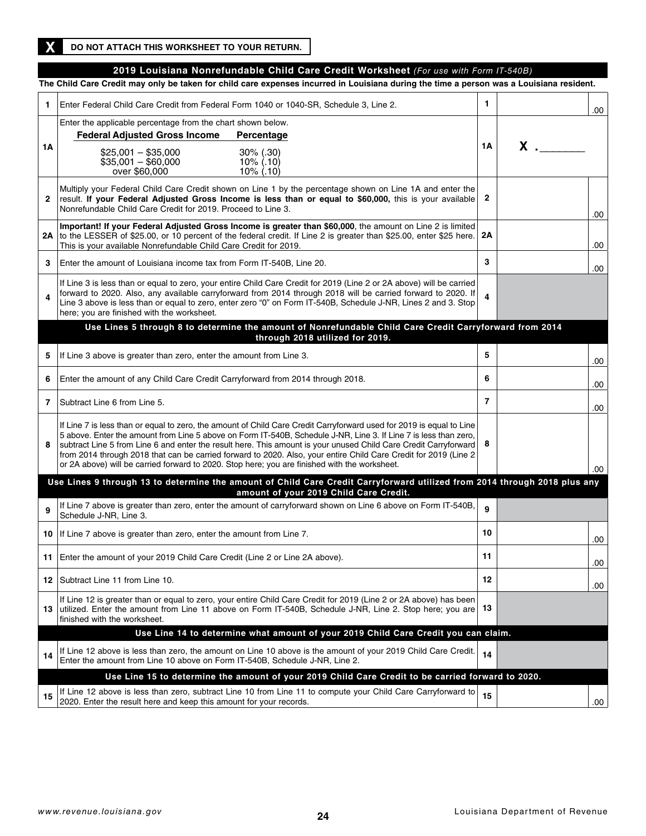## **2019 Louisiana Nonrefundable Child Care Credit Worksheet** *(For use with Form IT-540B)*

**The Child Care Credit may only be taken for child care expenses incurred in Louisiana during the time a person was a Louisiana resident.**

| 1              | Enter Federal Child Care Credit from Federal Form 1040 or 1040-SR, Schedule 3, Line 2.                                                                                                                                                                                                                                                                                                                                                                                                                                                                                            | 1              |          | .00  |
|----------------|-----------------------------------------------------------------------------------------------------------------------------------------------------------------------------------------------------------------------------------------------------------------------------------------------------------------------------------------------------------------------------------------------------------------------------------------------------------------------------------------------------------------------------------------------------------------------------------|----------------|----------|------|
| 1Α             | Enter the applicable percentage from the chart shown below.<br><b>Federal Adjusted Gross Income</b><br>Percentage<br>$$25,001 - $35,000$<br>$30\%$ (.30)<br>$$35,001 - $60,000$<br>$10\%$ (.10)<br>over \$60,000<br>$10\%$ (.10)                                                                                                                                                                                                                                                                                                                                                  | 1А             | $x \sim$ |      |
| $\mathbf{2}$   | Multiply your Federal Child Care Credit shown on Line 1 by the percentage shown on Line 1A and enter the<br>result. If your Federal Adjusted Gross Income is less than or equal to \$60,000, this is your available<br>Nonrefundable Child Care Credit for 2019. Proceed to Line 3.                                                                                                                                                                                                                                                                                               | 2              |          | .00  |
| 2A             | Important! If your Federal Adjusted Gross Income is greater than \$60,000, the amount on Line 2 is limited<br>to the LESSER of \$25.00, or 10 percent of the federal credit. If Line 2 is greater than \$25.00, enter \$25 here.<br>This is your available Nonrefundable Child Care Credit for 2019.                                                                                                                                                                                                                                                                              | 2A             |          | .00  |
| 3              | Enter the amount of Louisiana income tax from Form IT-540B, Line 20.                                                                                                                                                                                                                                                                                                                                                                                                                                                                                                              | 3              |          | .00  |
| $\overline{a}$ | If Line 3 is less than or equal to zero, your entire Child Care Credit for 2019 (Line 2 or 2A above) will be carried<br>forward to 2020. Also, any available carryforward from 2014 through 2018 will be carried forward to 2020. If<br>Line 3 above is less than or equal to zero, enter zero "0" on Form IT-540B, Schedule J-NR, Lines 2 and 3. Stop<br>here; you are finished with the worksheet.                                                                                                                                                                              | 4              |          |      |
|                | Use Lines 5 through 8 to determine the amount of Nonrefundable Child Care Credit Carryforward from 2014<br>through 2018 utilized for 2019.                                                                                                                                                                                                                                                                                                                                                                                                                                        |                |          |      |
| 5              | If Line 3 above is greater than zero, enter the amount from Line 3.                                                                                                                                                                                                                                                                                                                                                                                                                                                                                                               | 5              |          | .00  |
| 6              | Enter the amount of any Child Care Credit Carryforward from 2014 through 2018.                                                                                                                                                                                                                                                                                                                                                                                                                                                                                                    | 6              |          | .00  |
| 7              | Subtract Line 6 from Line 5.                                                                                                                                                                                                                                                                                                                                                                                                                                                                                                                                                      | $\overline{7}$ |          | .00  |
| 8              | If Line 7 is less than or equal to zero, the amount of Child Care Credit Carryforward used for 2019 is equal to Line<br>5 above. Enter the amount from Line 5 above on Form IT-540B, Schedule J-NR, Line 3. If Line 7 is less than zero,<br>subtract Line 5 from Line 6 and enter the result here. This amount is your unused Child Care Credit Carryforward<br>from 2014 through 2018 that can be carried forward to 2020. Also, your entire Child Care Credit for 2019 (Line 2<br>or 2A above) will be carried forward to 2020. Stop here; you are finished with the worksheet. | - 8            |          | .00  |
|                | Use Lines 9 through 13 to determine the amount of Child Care Credit Carryforward utilized from 2014 through 2018 plus any<br>amount of your 2019 Child Care Credit.                                                                                                                                                                                                                                                                                                                                                                                                               |                |          |      |
| 9              | If Line 7 above is greater than zero, enter the amount of carryforward shown on Line 6 above on Form IT-540B,<br>Schedule J-NR, Line 3.                                                                                                                                                                                                                                                                                                                                                                                                                                           | 9              |          |      |
| 10             | If Line 7 above is greater than zero, enter the amount from Line 7.                                                                                                                                                                                                                                                                                                                                                                                                                                                                                                               | 10             |          | .00  |
|                | 11 Enter the amount of your 2019 Child Care Credit (Line 2 or Line 2A above).                                                                                                                                                                                                                                                                                                                                                                                                                                                                                                     | 11             |          | .00. |
| 12             | Subtract Line 11 from Line 10.                                                                                                                                                                                                                                                                                                                                                                                                                                                                                                                                                    | 12             |          | .00  |
| 13             | If Line 12 is greater than or equal to zero, your entire Child Care Credit for 2019 (Line 2 or 2A above) has been<br>utilized. Enter the amount from Line 11 above on Form IT-540B, Schedule J-NR, Line 2. Stop here; you are<br>finished with the worksheet.                                                                                                                                                                                                                                                                                                                     | 13             |          |      |
|                | Use Line 14 to determine what amount of your 2019 Child Care Credit you can claim.                                                                                                                                                                                                                                                                                                                                                                                                                                                                                                |                |          |      |
| 14             | If Line 12 above is less than zero, the amount on Line 10 above is the amount of your 2019 Child Care Credit.<br>Enter the amount from Line 10 above on Form IT-540B, Schedule J-NR, Line 2.                                                                                                                                                                                                                                                                                                                                                                                      | 14             |          |      |
|                | Use Line 15 to determine the amount of your 2019 Child Care Credit to be carried forward to 2020.                                                                                                                                                                                                                                                                                                                                                                                                                                                                                 |                |          |      |
| 15             | If Line 12 above is less than zero, subtract Line 10 from Line 11 to compute your Child Care Carryforward to<br>2020. Enter the result here and keep this amount for your records.                                                                                                                                                                                                                                                                                                                                                                                                | 15             |          | .00  |